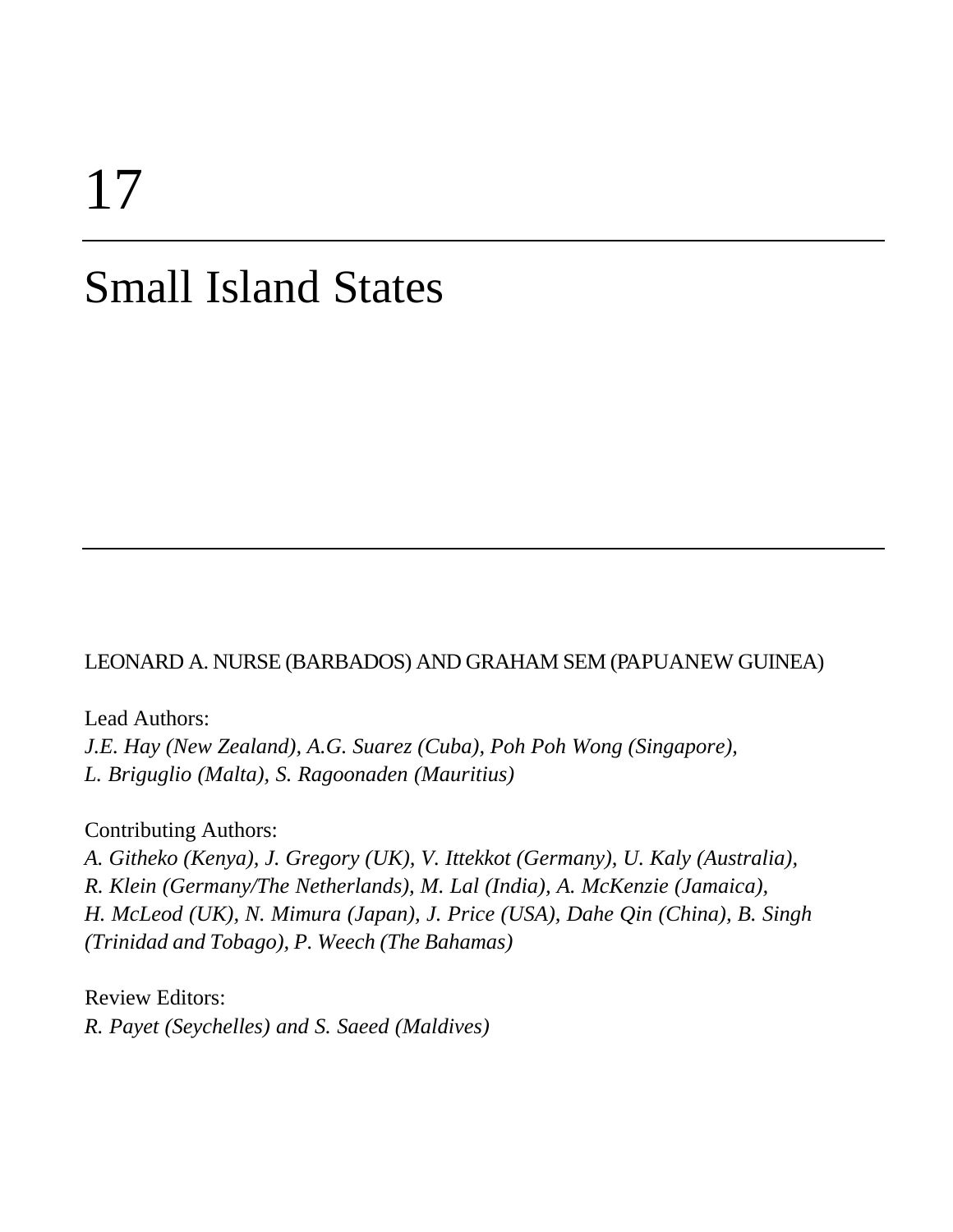# 17

# Small Island States

### LEONARD A. NURSE (BARBADOS) AND GRAHAM SEM (PAPUANEW GUINEA)

Lead Authors: *J.E. Hay (New Zealand), A.G. Suarez (Cuba), Poh Poh Wong (Singapore), L. Briguglio (Malta), S. Ragoonaden (Mauritius)*

Contributing Authors:

*A. Githeko (Kenya), J. Gregory (UK), V. Ittekkot (Germany), U. Kaly (Australia), R. Klein (Germany/The Netherlands), M. Lal (India), A. McKenzie (Jamaica), H. McLeod (UK), N. Mimura (Japan), J. Price (USA), Dahe Qin (China), B. Singh (Trinidad and Tobago), P. Weech (The Bahamas)*

Review Editors: *R. Payet (Seychelles) and S. Saeed (Maldives)*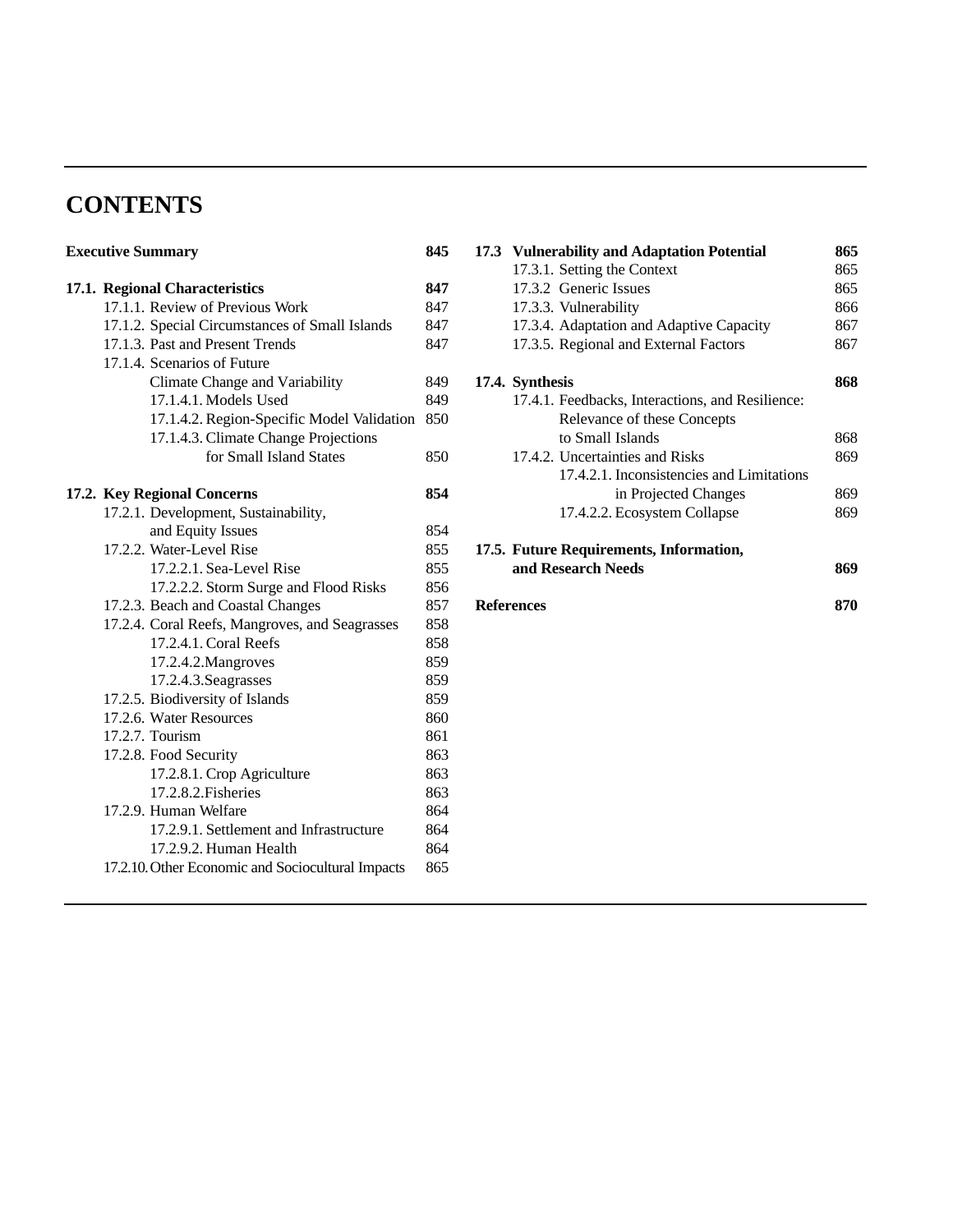# **CONTENTS**

| <b>Executive Summary</b>                          | 845 |
|---------------------------------------------------|-----|
| 17.1. Regional Characteristics                    | 847 |
| 17.1.1. Review of Previous Work                   | 847 |
| 17.1.2. Special Circumstances of Small Islands    | 847 |
| 17.1.3. Past and Present Trends                   | 847 |
| 17.1.4. Scenarios of Future                       |     |
| Climate Change and Variability                    | 849 |
| 17.1.4.1. Models Used                             | 849 |
| 17.1.4.2. Region-Specific Model Validation        | 850 |
| 17.1.4.3. Climate Change Projections              |     |
| for Small Island States                           | 850 |
| 17.2. Key Regional Concerns                       | 854 |
| 17.2.1. Development, Sustainability,              |     |
| and Equity Issues                                 | 854 |
| 17.2.2. Water-Level Rise                          | 855 |
| 17.2.2.1. Sea-Level Rise                          | 855 |
| 17.2.2.2. Storm Surge and Flood Risks             | 856 |
| 17.2.3. Beach and Coastal Changes                 | 857 |
| 17.2.4. Coral Reefs, Mangroves, and Seagrasses    | 858 |
| 17.2.4.1. Coral Reefs                             | 858 |
| 17.2.4.2. Mangroves                               | 859 |
| 17.2.4.3. Seagrasses                              | 859 |
| 17.2.5. Biodiversity of Islands                   | 859 |
| 17.2.6. Water Resources                           | 860 |
| 17.2.7. Tourism                                   | 861 |
| 17.2.8. Food Security                             | 863 |
| 17.2.8.1. Crop Agriculture                        | 863 |
| 17.2.8.2. Fisheries                               | 863 |
| 17.2.9. Human Welfare                             | 864 |
| 17.2.9.1. Settlement and Infrastructure           | 864 |
| 17.2.9.2. Human Health                            | 864 |
| 17.2.10. Other Economic and Sociocultural Impacts | 865 |

| 17.3 Vulnerability and Adaptation Potential      | 865 |
|--------------------------------------------------|-----|
| 17.3.1. Setting the Context                      | 865 |
| 17.3.2 Generic Issues                            | 865 |
| 17.3.3. Vulnerability                            | 866 |
| 17.3.4. Adaptation and Adaptive Capacity         | 867 |
| 17.3.5. Regional and External Factors            | 867 |
| 17.4. Synthesis                                  | 868 |
| 17.4.1. Feedbacks, Interactions, and Resilience: |     |
| Relevance of these Concepts                      |     |
| to Small Islands                                 | 868 |
| 17.4.2. Uncertainties and Risks                  | 869 |
| 17.4.2.1. Inconsistencies and Limitations        |     |
| in Projected Changes                             | 869 |
| 17.4.2.2. Ecosystem Collapse                     | 869 |
| 17.5. Future Requirements, Information,          |     |
| and Research Needs                               | 869 |
| <b>References</b>                                | 870 |
|                                                  |     |
|                                                  |     |
|                                                  |     |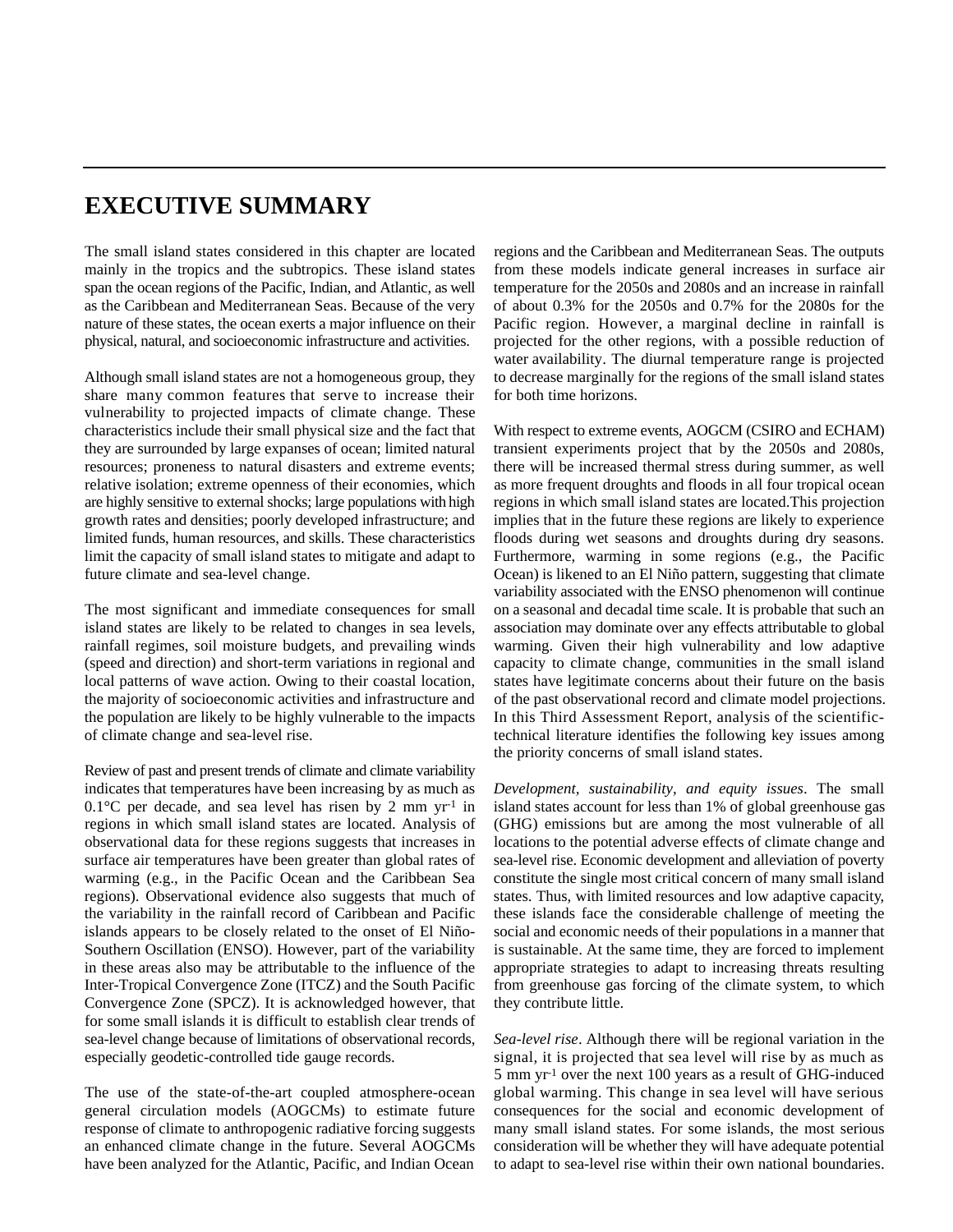## **EXECUTIVE SUMMARY**

The small island states considered in this chapter are located mainly in the tropics and the subtropics. These island states span the ocean regions of the Pacific, Indian, and Atlantic, as well as the Caribbean and Mediterranean Seas. Because of the very nature of these states, the ocean exerts a major influence on their physical, natural, and socioeconomic infrastructure and activities.

Although small island states are not a homogeneous group, they share many common features that serve to increase their vulnerability to projected impacts of climate change. These characteristics include their small physical size and the fact that they are surrounded by large expanses of ocean; limited natural resources; proneness to natural disasters and extreme events; relative isolation; extreme openness of their economies, which are highly sensitive to external shocks; large populations with high growth rates and densities; poorly developed infrastructure; and limited funds, human resources, and skills. These characteristics limit the capacity of small island states to mitigate and adapt to future climate and sea-level change.

The most significant and immediate consequences for small island states are likely to be related to changes in sea levels, rainfall regimes, soil moisture budgets, and prevailing winds (speed and direction) and short-term variations in regional and local patterns of wave action. Owing to their coastal location, the majority of socioeconomic activities and infrastructure and the population are likely to be highly vulnerable to the impacts of climate change and sea-level rise.

Review of past and present trends of climate and climate variability indicates that temperatures have been increasing by as much as  $0.1^{\circ}$ C per decade, and sea level has risen by 2 mm yr<sup>-1</sup> in regions in which small island states are located. Analysis of observational data for these regions suggests that increases in surface air temperatures have been greater than global rates of warming (e.g., in the Pacific Ocean and the Caribbean Sea regions). Observational evidence also suggests that much of the variability in the rainfall record of Caribbean and Pacific islands appears to be closely related to the onset of El Niño-Southern Oscillation (ENSO). However, part of the variability in these areas also may be attributable to the influence of the Inter-Tropical Convergence Zone (ITCZ) and the South Pacific Convergence Zone (SPCZ). It is acknowledged however, that for some small islands it is difficult to establish clear trends of sea-level change because of limitations of observational records, especially geodetic-controlled tide gauge records.

The use of the state-of-the-art coupled atmosphere-ocean general circulation models (AOGCMs) to estimate future response of climate to anthropogenic radiative forcing suggests an enhanced climate change in the future. Several AOGCMs have been analyzed for the Atlantic, Pacific, and Indian Ocean regions and the Caribbean and Mediterranean Seas. The outputs from these models indicate general increases in surface air temperature for the 2050s and 2080s and an increase in rainfall of about 0.3% for the 2050s and 0.7% for the 2080s for the Pacific region. However, a marginal decline in rainfall is projected for the other regions, with a possible reduction of water availability. The diurnal temperature range is projected to decrease marginally for the regions of the small island states for both time horizons.

With respect to extreme events, AOGCM (CSIRO and ECHAM) transient experiments project that by the 2050s and 2080s, there will be increased thermal stress during summer, as well as more frequent droughts and floods in all four tropical ocean regions in which small island states are located.This projection implies that in the future these regions are likely to experience floods during wet seasons and droughts during dry seasons. Furthermore, warming in some regions (e.g., the Pacific Ocean) is likened to an El Niño pattern, suggesting that climate variability associated with the ENSO phenomenon will continue on a seasonal and decadal time scale. It is probable that such an association may dominate over any effects attributable to global warming. Given their high vulnerability and low adaptive capacity to climate change, communities in the small island states have legitimate concerns about their future on the basis of the past observational record and climate model projections. In this Third Assessment Report, analysis of the scientifictechnical literature identifies the following key issues among the priority concerns of small island states.

*Development, sustainability, and equity issues*. The small island states account for less than 1% of global greenhouse gas (GHG) emissions but are among the most vulnerable of all locations to the potential adverse effects of climate change and sea-level rise. Economic development and alleviation of poverty constitute the single most critical concern of many small island states. Thus, with limited resources and low adaptive capacity, these islands face the considerable challenge of meeting the social and economic needs of their populations in a manner that is sustainable. At the same time, they are forced to implement appropriate strategies to adapt to increasing threats resulting from greenhouse gas forcing of the climate system, to which they contribute little.

*Sea-level rise*. Although there will be regional variation in the signal, it is projected that sea level will rise by as much as 5 mm yr-1 over the next 100 years as a result of GHG-induced global warming. This change in sea level will have serious consequences for the social and economic development of many small island states. For some islands, the most serious consideration will be whether they will have adequate potential to adapt to sea-level rise within their own national boundaries.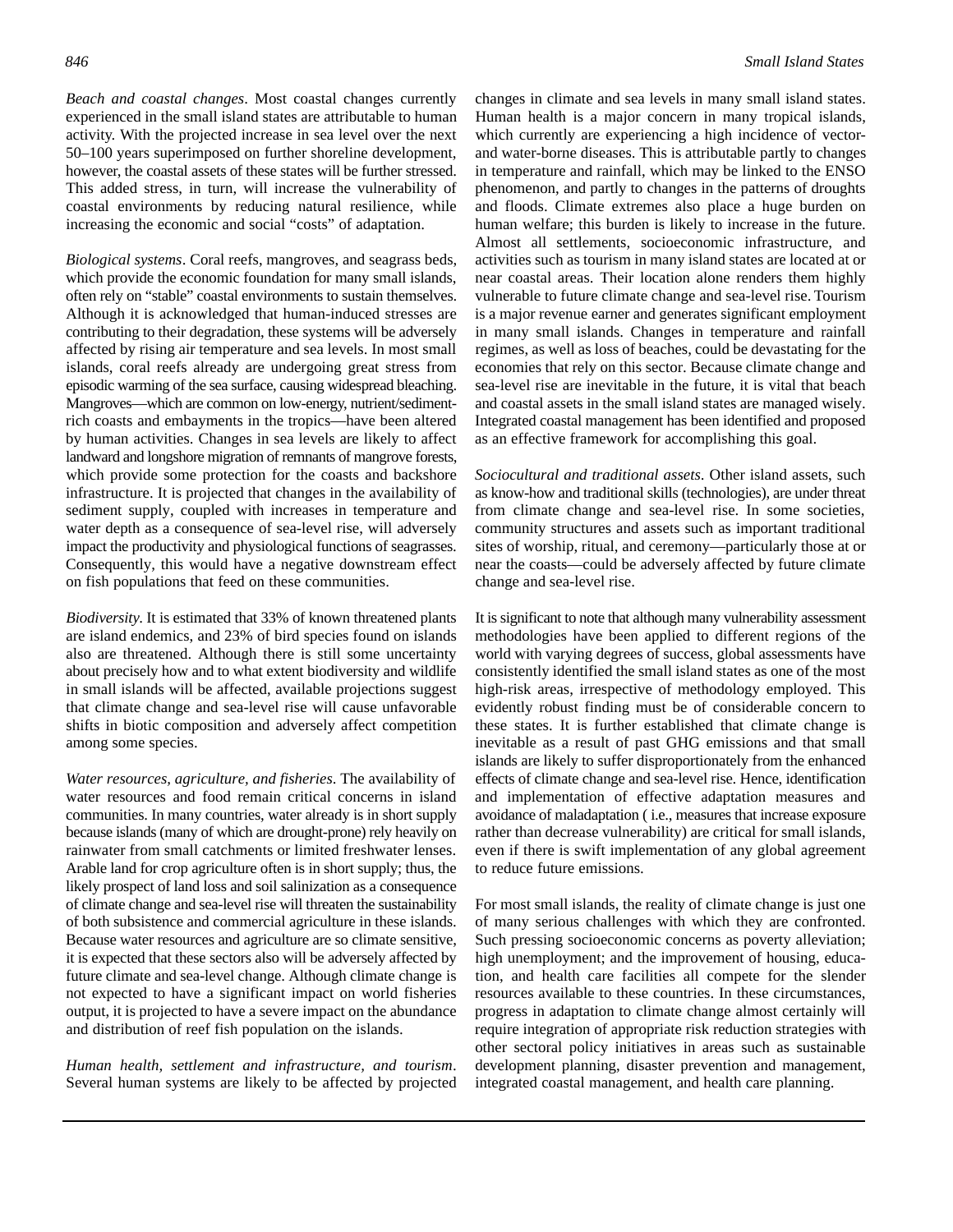*Beach and coastal changes*. Most coastal changes currently experienced in the small island states are attributable to human activity. With the projected increase in sea level over the next 50–100 years superimposed on further shoreline development, however, the coastal assets of these states will be further stressed. This added stress, in turn, will increase the vulnerability of coastal environments by reducing natural resilience, while increasing the economic and social "costs" of adaptation.

*Biological systems*. Coral reefs, mangroves, and seagrass beds, which provide the economic foundation for many small islands, often rely on "stable" coastal environments to sustain themselves. Although it is acknowledged that human-induced stresses are contributing to their degradation, these systems will be adversely affected by rising air temperature and sea levels. In most small islands, coral reefs already are undergoing great stress from episodic warming of the sea surface, causing widespread bleaching. Mangroves—which are common on low-energy, nutrient/sedimentrich coasts and embayments in the tropics—have been altered by human activities. Changes in sea levels are likely to affect landward and longshore migration of remnants of mangrove forests, which provide some protection for the coasts and backshore infrastructure. It is projected that changes in the availability of sediment supply, coupled with increases in temperature and water depth as a consequence of sea-level rise, will adversely impact the productivity and physiological functions of seagrasses. Consequently, this would have a negative downstream effect on fish populations that feed on these communities.

*Biodiversity*. It is estimated that 33% of known threatened plants are island endemics, and 23% of bird species found on islands also are threatened. Although there is still some uncertainty about precisely how and to what extent biodiversity and wildlife in small islands will be affected, available projections suggest that climate change and sea-level rise will cause unfavorable shifts in biotic composition and adversely affect competition among some species.

*Water resources, agriculture, and fisheries*. The availability of water resources and food remain critical concerns in island communities. In many countries, water already is in short supply because islands (many of which are drought-prone) rely heavily on rainwater from small catchments or limited freshwater lenses. Arable land for crop agriculture often is in short supply; thus, the likely prospect of land loss and soil salinization as a consequence of climate change and sea-level rise will threaten the sustainability of both subsistence and commercial agriculture in these islands. Because water resources and agriculture are so climate sensitive, it is expected that these sectors also will be adversely affected by future climate and sea-level change. Although climate change is not expected to have a significant impact on world fisheries output, it is projected to have a severe impact on the abundance and distribution of reef fish population on the islands.

*Human health, settlement and infrastructure, and tourism*. Several human systems are likely to be affected by projected changes in climate and sea levels in many small island states. Human health is a major concern in many tropical islands, which currently are experiencing a high incidence of vectorand water-borne diseases. This is attributable partly to changes in temperature and rainfall, which may be linked to the ENSO phenomenon, and partly to changes in the patterns of droughts and floods. Climate extremes also place a huge burden on human welfare; this burden is likely to increase in the future. Almost all settlements, socioeconomic infrastructure, and activities such as tourism in many island states are located at or near coastal areas. Their location alone renders them highly vulnerable to future climate change and sea-level rise. Tourism is a major revenue earner and generates significant employment in many small islands. Changes in temperature and rainfall regimes, as well as loss of beaches, could be devastating for the economies that rely on this sector. Because climate change and sea-level rise are inevitable in the future, it is vital that beach and coastal assets in the small island states are managed wisely. Integrated coastal management has been identified and proposed as an effective framework for accomplishing this goal.

*Sociocultural and traditional assets*. Other island assets, such as know-how and traditional skills (technologies), are under threat from climate change and sea-level rise. In some societies, community structures and assets such as important traditional sites of worship, ritual, and ceremony—particularly those at or near the coasts—could be adversely affected by future climate change and sea-level rise.

It is significant to note that although many vulnerability assessment methodologies have been applied to different regions of the world with varying degrees of success, global assessments have consistently identified the small island states as one of the most high-risk areas, irrespective of methodology employed. This evidently robust finding must be of considerable concern to these states. It is further established that climate change is inevitable as a result of past GHG emissions and that small islands are likely to suffer disproportionately from the enhanced e ffects of climate change and sea-level rise. Hence, identification and implementation of effective adaptation measures and avoidance of maladaptation ( i.e., measures that increase exposure rather than decrease vulnerability) are critical for small islands, even if there is swift implementation of any global agreement to reduce future emissions.

For most small islands, the reality of climate change is just one of many serious challenges with which they are confronted. Such pressing socioeconomic concerns as poverty alleviation; high unemployment; and the improvement of housing, education, and health care facilities all compete for the slender resources available to these countries. In these circumstances, progress in adaptation to climate change almost certainly will require integration of appropriate risk reduction strategies with other sectoral policy initiatives in areas such as sustainable development planning, disaster prevention and management, integrated coastal management, and health care planning.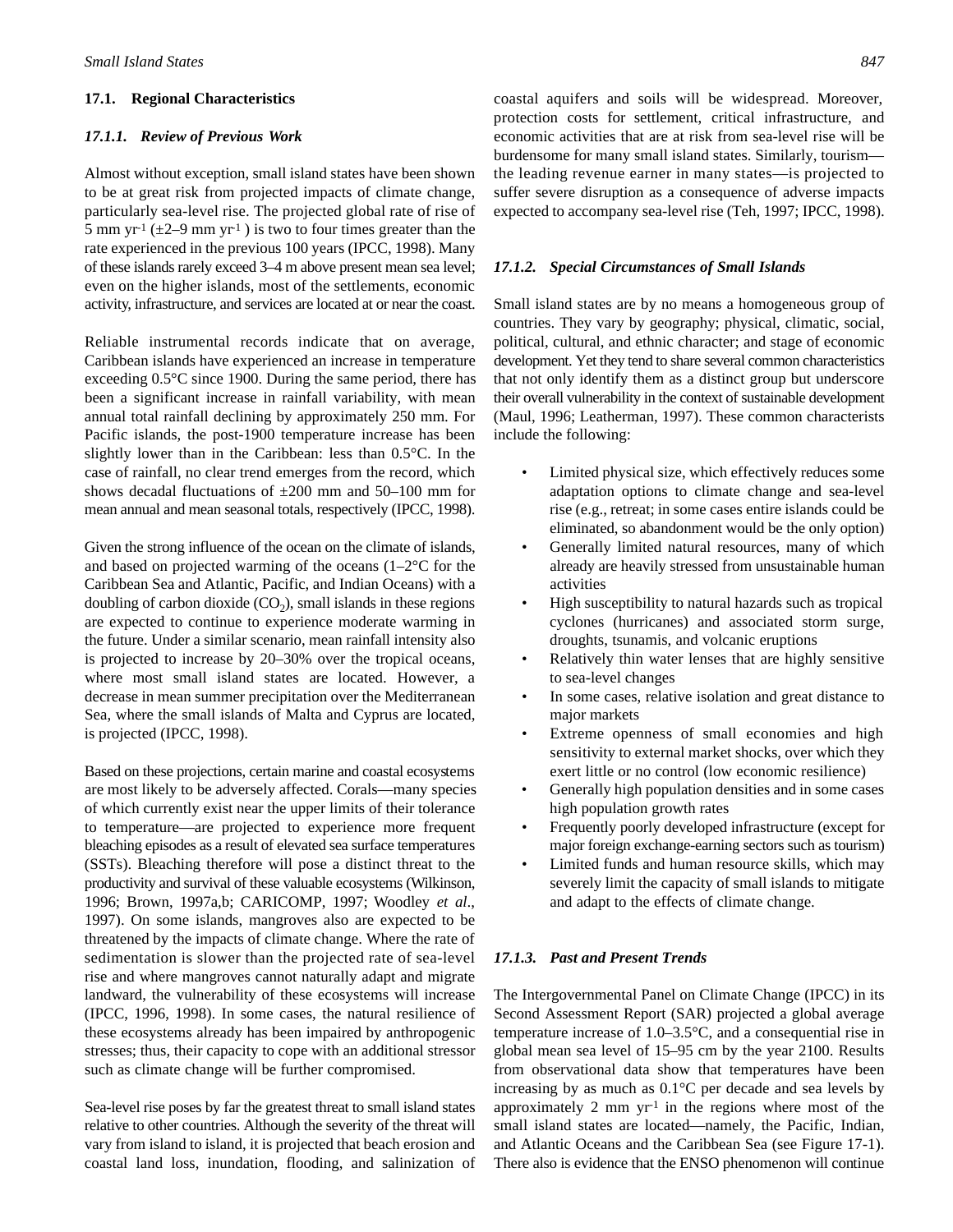#### **17.1. Regional Characteristics**

#### *17.1.1. Review of Previous Work*

Almost without exception, small island states have been shown to be at great risk from projected impacts of climate change, particularly sea-level rise. The projected global rate of rise of 5 mm yr<sup>-1</sup> ( $\pm$ 2–9 mm yr<sup>-1</sup>) is two to four times greater than the rate experienced in the previous 100 years (IPCC, 1998). Many of these islands rarely exceed 3–4 m above present mean sea level; even on the higher islands, most of the settlements, economic activity, infrastructure, and services are located at or near the coast.

Reliable instrumental records indicate that on average, Caribbean islands have experienced an increase in temperature exceeding 0.5°C since 1900. During the same period, there has been a significant increase in rainfall variability, with mean annual total rainfall declining by approximately 250 mm. For Pacific islands, the post-1900 temperature increase has been slightly lower than in the Caribbean: less than 0.5°C. In the case of rainfall, no clear trend emerges from the record, which shows decadal fluctuations of  $\pm 200$  mm and 50–100 mm for mean annual and mean seasonal totals, respectively (IPCC, 1998).

Given the strong influence of the ocean on the climate of islands, and based on projected warming of the oceans (1–2°C for the Caribbean Sea and Atlantic, Pacific, and Indian Oceans) with a doubling of carbon dioxide  $(CO<sub>2</sub>)$ , small islands in these regions are expected to continue to experience moderate warming in the future. Under a similar scenario, mean rainfall intensity also is projected to increase by 20–30% over the tropical oceans, where most small island states are located. However, a decrease in mean summer precipitation over the Mediterranean Sea, where the small islands of Malta and Cyprus are located, is projected (IPCC, 1998).

Based on these projections, certain marine and coastal ecosystems are most likely to be adversely affected. Corals—many species of which currently exist near the upper limits of their tolerance to temperature—are projected to experience more frequent bleaching episodes as a result of elevated sea surface temperatures (SSTs). Bleaching therefore will pose a distinct threat to the productivity and survival of these valuable ecosystems (Wilkinson, 1996; Brown, 1997a,b; CARICOMP, 1997; Woodley *et al*., 1997). On some islands, mangroves also are expected to be threatened by the impacts of climate change. Where the rate of sedimentation is slower than the projected rate of sea-level rise and where mangroves cannot naturally adapt and migrate landward, the vulnerability of these ecosystems will increase (IPCC, 1996, 1998). In some cases, the natural resilience of these ecosystems already has been impaired by anthropogenic stresses; thus, their capacity to cope with an additional stressor such as climate change will be further compromised.

Sea-level rise poses by far the greatest threat to small island states relative to other countries. Although the severity of the threat will vary from island to island, it is projected that beach erosion and coastal land loss, inundation, flooding, and salinization of

coastal aquifers and soils will be widespread. Moreover, protection costs for settlement, critical infrastructure, and economic activities that are at risk from sea-level rise will be burdensome for many small island states. Similarly, tourism the leading revenue earner in many states—is projected to suffer severe disruption as a consequence of adverse impacts expected to accompany sea-level rise (Teh, 1997; IPCC, 1998).

#### *17.1.2. Special Circumstances of Small Islands*

Small island states are by no means a homogeneous group of countries. They vary by geography; physical, climatic, social, political, cultural, and ethnic character; and stage of economic development. Yet they tend to share several common characteristics that not only identify them as a distinct group but underscore their overall vulnerability in the context of sustainable development (Maul, 1996; Leatherman, 1997). These common characterists include the following:

- Limited physical size, which effectively reduces some adaptation options to climate change and sea-level rise (e.g., retreat; in some cases entire islands could be eliminated, so abandonment would be the only option)
- Generally limited natural resources, many of which already are heavily stressed from unsustainable human activities
- High susceptibility to natural hazards such as tropical cyclones (hurricanes) and associated storm surge, droughts, tsunamis, and volcanic eruptions
- Relatively thin water lenses that are highly sensitive to sea-level changes
- In some cases, relative isolation and great distance to major markets
- Extreme openness of small economies and high sensitivity to external market shocks, over which they exert little or no control (low economic resilience)
- Generally high population densities and in some cases high population growth rates
- Frequently poorly developed infrastructure (except for major foreign exchange-earning sectors such as tourism)
- Limited funds and human resource skills, which may severely limit the capacity of small islands to mitigate and adapt to the effects of climate change.

#### *17.1.3. Past and Present Trends*

The Intergovernmental Panel on Climate Change (IPCC) in its Second Assessment Report (SAR) projected a global average temperature increase of 1.0–3.5°C, and a consequential rise in global mean sea level of 15–95 cm by the year 2100. Results from observational data show that temperatures have been increasing by as much as 0.1°C per decade and sea levels by approximately 2 mm  $yr^{-1}$  in the regions where most of the small island states are located—namely, the Pacific, Indian, and Atlantic Oceans and the Caribbean Sea (see Figure 17-1). There also is evidence that the ENSO phenomenon will continue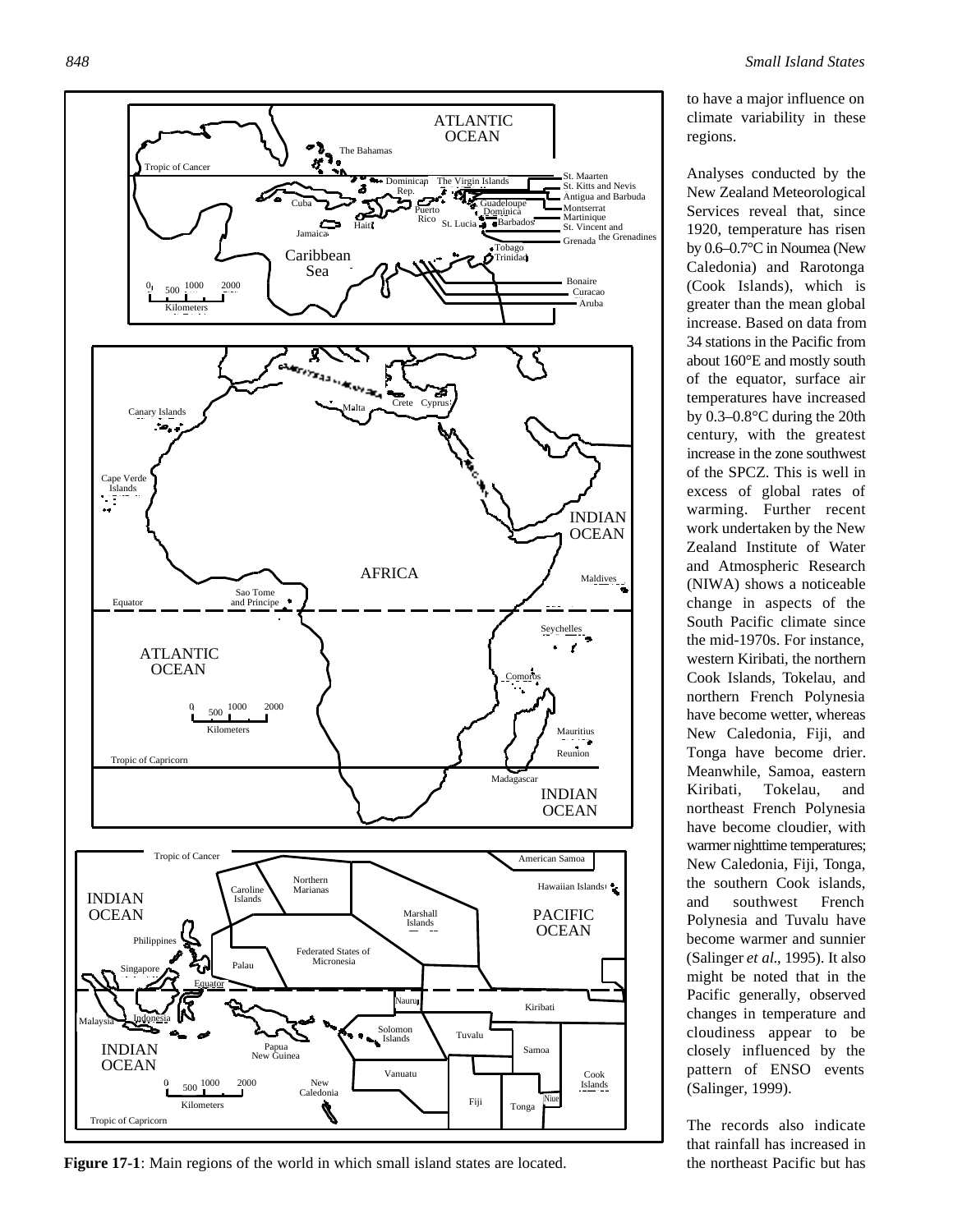

**Figure 17-1**: Main regions of the world in which small island states are located.

to have a major influence on climate variability in these regions.

Analyses conducted by the New Zealand Meteorological Services reveal that, since 1920, temperature has risen by 0.6–0.7°C in Noumea (New Caledonia) and Rarotonga (Cook Islands), which is greater than the mean global increase. Based on data from 34 stations in the Pacific from about 160°E and mostly south of the equator, surface air temperatures have increased by 0.3–0.8°C during the 20th century, with the greatest increase in the zone southwest of the SPCZ. This is well in excess of global rates of warming. Further recent work undertaken by the New Zealand Institute of Water and Atmospheric Research (NIWA) shows a noticeable change in aspects of the South Pacific climate since the mid-1970s. For instance, western Kiribati, the northern Cook Islands, Tokelau, and northern French Polynesia have become wetter, whereas New Caledonia, Fiji, and Tonga have become drier. Meanwhile, Samoa, eastern Kiribati, Tokelau, and northeast French Polynesia have become cloudier, with warmer nighttime temperatures; New Caledonia, Fiji, Tonga, the southern Cook islands, and southwest French Polynesia and Tuvalu have become warmer and sunnier (Salinger *et al*., 1995). It also might be noted that in the Pacific generally, observed changes in temperature and cloudiness appear to be closely influenced by the pattern of ENSO events (Salinger, 1999).

The records also indicate that rainfall has increased in the northeast Pacific but has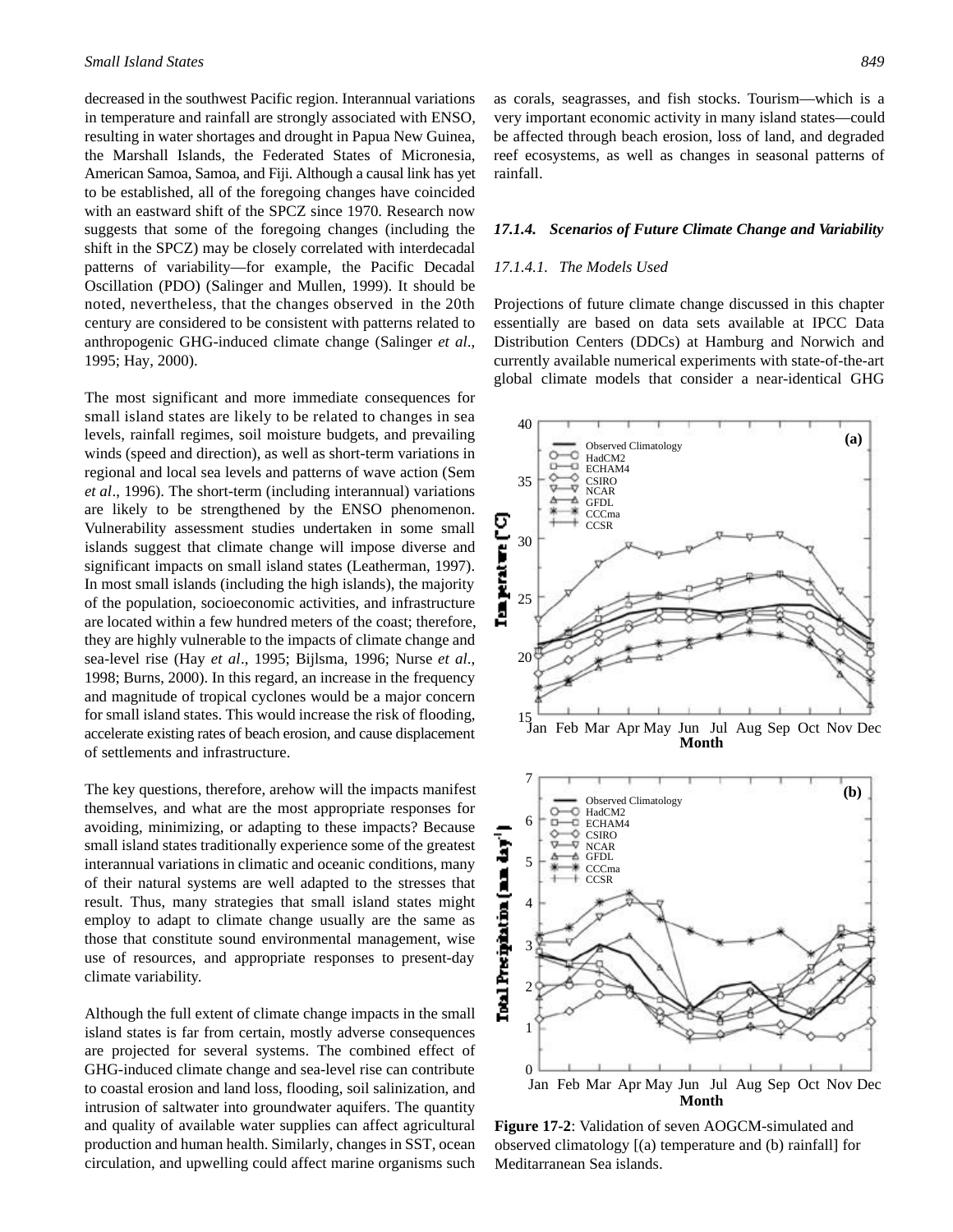decreased in the southwest Pacific region. Interannual variations in temperature and rainfall are strongly associated with ENSO, resulting in water shortages and drought in Papua New Guinea, the Marshall Islands, the Federated States of Micronesia, American Samoa, Samoa, and Fiji. Although a causal link has yet to be established, all of the foregoing changes have coincided with an eastward shift of the SPCZ since 1970. Research now suggests that some of the foregoing changes (including the shift in the SPCZ) may be closely correlated with interdecadal patterns of variability—for example, the Pacific Decadal Oscillation (PDO) (Salinger and Mullen, 1999). It should be noted, nevertheless, that the changes observed in the 20th century are considered to be consistent with patterns related to anthropogenic GHG-induced climate change (Salinger *et al*., 1995; Hay, 2000).

The most significant and more immediate consequences for small island states are likely to be related to changes in sea levels, rainfall regimes, soil moisture budgets, and prevailing winds (speed and direction), as well as short-term variations in regional and local sea levels and patterns of wave action (Sem *et al*., 1996). The short-term (including interannual) variations are likely to be strengthened by the ENSO phenomenon. Vulnerability assessment studies undertaken in some small islands suggest that climate change will impose diverse and significant impacts on small island states (Leatherman, 1997). In most small islands (including the high islands), the majority of the population, socioeconomic activities, and infrastructure are located within a few hundred meters of the coast; therefore, they are highly vulnerable to the impacts of climate change and sea-level rise (Hay *et al*., 1995; Bijlsma, 1996; Nurse *et al*., 1998; Burns, 2000). In this regard, an increase in the frequency and magnitude of tropical cyclones would be a major concern for small island states. This would increase the risk of flooding, accelerate existing rates of beach erosion, and cause displacement of settlements and infrastructure.

The key questions, therefore, arehow will the impacts manifest themselves, and what are the most appropriate responses for avoiding, minimizing, or adapting to these impacts? Because small island states traditionally experience some of the greatest interannual variations in climatic and oceanic conditions, many of their natural systems are well adapted to the stresses that result. Thus, many strategies that small island states might employ to adapt to climate change usually are the same as those that constitute sound environmental management, wise use of resources, and appropriate responses to present-day climate variability.

Although the full extent of climate change impacts in the small island states is far from certain, mostly adverse consequences are projected for several systems. The combined effect of GHG-induced climate change and sea-level rise can contribute to coastal erosion and land loss, flooding, soil salinization, and intrusion of saltwater into groundwater aquifers. The quantity and quality of available water supplies can affect agricultural production and human health. Similarly, changes in SST, ocean circulation, and upwelling could affect marine organisms such

as corals, seagrasses, and fish stocks. Tourism—which is a very important economic activity in many island states—could be affected through beach erosion, loss of land, and degraded reef ecosystems, as well as changes in seasonal patterns of rainfall.

#### 17.1.4. Scenarios of Future Climate Change and Variability

#### *17.1.4.1. The Models Used*

Projections of future climate change discussed in this chapter essentially are based on data sets available at IPCC Data Distribution Centers (DDCs) at Hamburg and Norwich and currently available numerical experiments with state-of-the-art global climate models that consider a near-identical GHG



**Month**



**Figure 17-2**: Validation of seven AOGCM-simulated and observed climatology [(a) temperature and (b) rainfall] for Meditarranean Sea islands.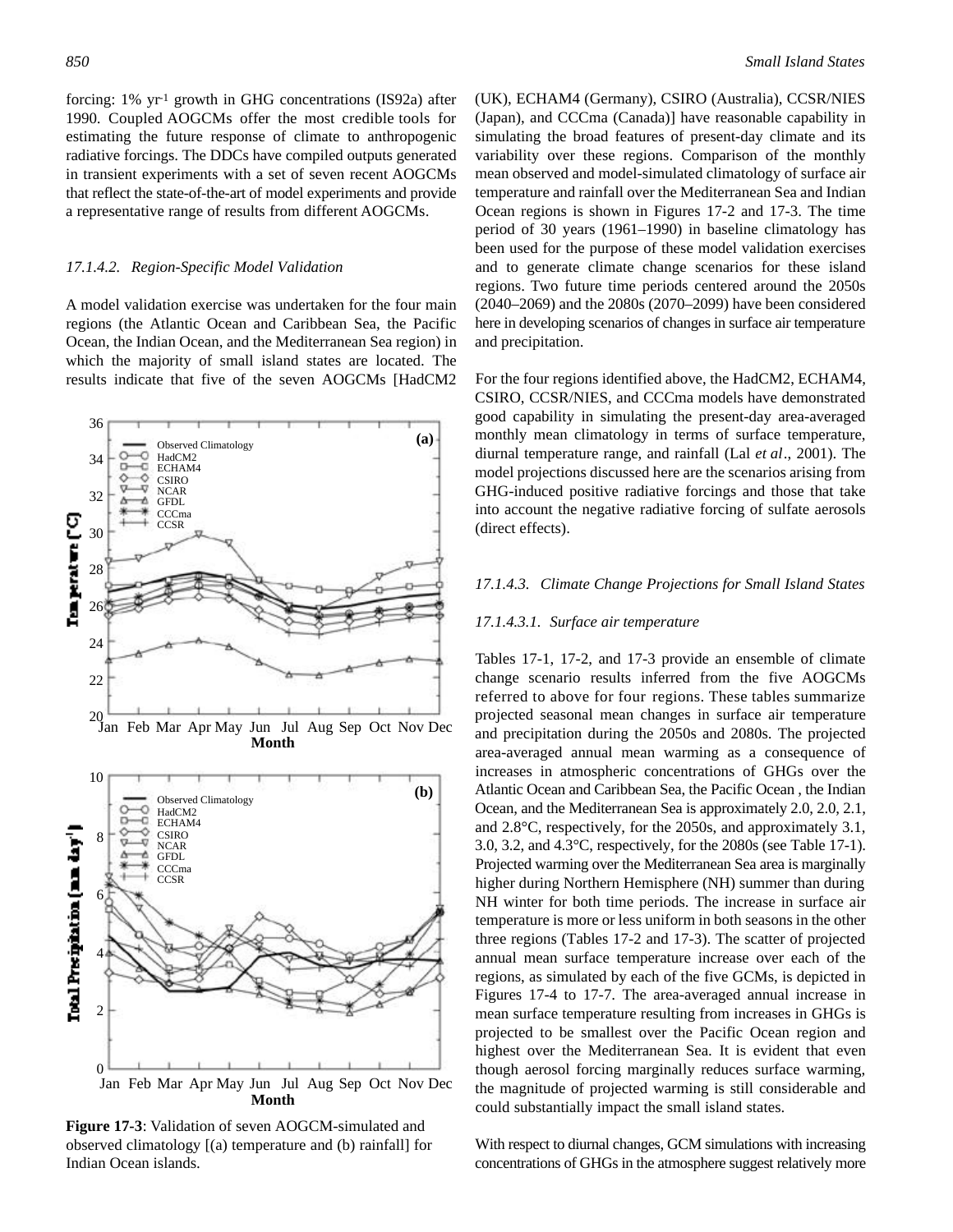36

34

forcing:  $1\%$  yr<sup>1</sup> growth in GHG concentrations (IS92a) after 1990. Coupled AOGCMs offer the most credible tools for estimating the future response of climate to anthropogenic radiative forcings. The DDCs have compiled outputs generated in transient experiments with a set of seven recent AOGCMs that reflect the state-of-the-art of model experiments and provide a representative range of results from different AOGCMs.

#### *17.1.4.2. Region-Specific Model Validation*

Observed Climatology HadCM2

A model validation exercise was undertaken for the four main regions (the Atlantic Ocean and Caribbean Sea, the Pacific Ocean, the Indian Ocean, and the Mediterranean Sea region) in which the majority of small island states are located. The results indicate that five of the seven AOGCMs [HadCM2

**(a)**



**Figure 17-3**: Validation of seven AOGCM-simulated and observed climatology [(a) temperature and (b) rainfall] for Indian Ocean islands.

(UK), ECHAM4 (Germany), CSIRO (Australia), CCSR/NIES (Japan), and CCCma (Canada)] have reasonable capability in simulating the broad features of present-day climate and its variability over these regions. Comparison of the monthly mean observed and model-simulated climatology of surface air temperature and rainfall over the Mediterranean Sea and Indian Ocean regions is shown in Figures 17-2 and 17-3. The time period of 30 years (1961–1990) in baseline climatology has been used for the purpose of these model validation exercises and to generate climate change scenarios for these island regions. Two future time periods centered around the 2050s (2040–2069) and the 2080s (2070–2099) have been considered here in developing scenarios of changes in surface air temperature and precipitation.

For the four regions identified above, the HadCM2, ECHAM4, CSIRO, CCSR/NIES, and CCCma models have demonstrated good capability in simulating the present-day area-averaged monthly mean climatology in terms of surface temperature, diurnal temperature range, and rainfall (Lal *et al*., 2001). The model projections discussed here are the scenarios arising from GHG-induced positive radiative forcings and those that take into account the negative radiative forcing of sulfate aerosols (direct effects).

#### *17.1.4.3. Climate Change Projections for Small Island States*

#### *17.1.4.3.1. Surface air temperature*

Tables 17-1, 17-2, and 17-3 provide an ensemble of climate change scenario results inferred from the five AOGCMs referred to above for four regions. These tables summarize projected seasonal mean changes in surface air temperature and precipitation during the 2050s and 2080s. The projected area-averaged annual mean warming as a consequence of increases in atmospheric concentrations of GHGs over the Atlantic Ocean and Caribbean Sea, the Pacific Ocean , the Indian Ocean, and the Mediterranean Sea is approximately 2.0, 2.0, 2.1, and 2.8°C, respectively, for the 2050s, and approximately 3.1, 3.0, 3.2, and 4.3°C, respectively, for the 2080s (see Table 17-1). Projected warming over the Mediterranean Sea area is marginally higher during Northern Hemisphere (NH) summer than during NH winter for both time periods. The increase in surface air temperature is more or less uniform in both seasons in the other three regions (Tables 17-2 and 17-3). The scatter of projected annual mean surface temperature increase over each of the regions, as simulated by each of the five GCMs, is depicted in Figures 17-4 to 17-7. The area-averaged annual increase in mean surface temperature resulting from increases in GHGs is projected to be smallest over the Pacific Ocean region and highest over the Mediterranean Sea. It is evident that even though aerosol forcing marginally reduces surface warming, the magnitude of projected warming is still considerable and could substantially impact the small island states.

With respect to diurnal changes, GCM simulations with increasing concentrations of GHGs in the atmosphere suggest relatively more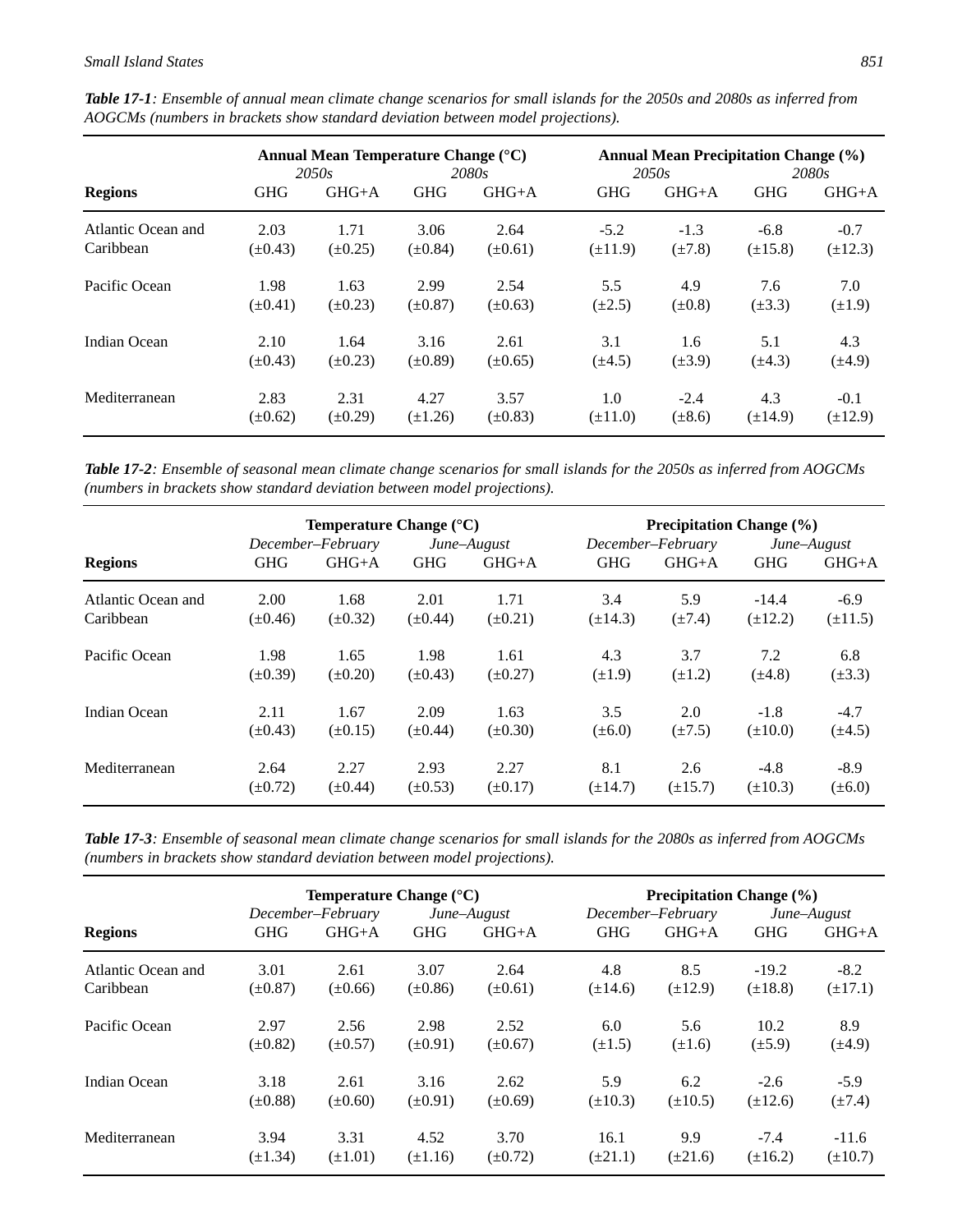|                    | Annual Mean Temperature Change $(^{\circ}C)$<br>2050s<br>2080s |              |              |              | <b>Annual Mean Precipitation Change (%)</b><br>2050s<br>2080s |             |              |              |  |
|--------------------|----------------------------------------------------------------|--------------|--------------|--------------|---------------------------------------------------------------|-------------|--------------|--------------|--|
| <b>Regions</b>     | <b>GHG</b>                                                     | $GHG+A$      | <b>GHG</b>   | $GHG+A$      | <b>GHG</b>                                                    | $GHG+A$     | <b>GHG</b>   | $GHG+A$      |  |
| Atlantic Ocean and | 2.03                                                           | 1.71         | 3.06         | 2.64         | $-5.2$                                                        | $-1.3$      | $-6.8$       | $-0.7$       |  |
| Caribbean          | $(\pm 0.43)$                                                   | $(\pm 0.25)$ | $(\pm 0.84)$ | $(\pm 0.61)$ | $(\pm 11.9)$                                                  | $(\pm 7.8)$ | $(\pm 15.8)$ | $(\pm 12.3)$ |  |
| Pacific Ocean      | 1.98                                                           | 1.63         | 2.99         | 2.54         | 5.5                                                           | 4.9         | 7.6          | 7.0          |  |
|                    | $(\pm 0.41)$                                                   | $(\pm 0.23)$ | $(\pm 0.87)$ | $(\pm 0.63)$ | $(\pm 2.5)$                                                   | $(\pm 0.8)$ | $(\pm 3.3)$  | $(\pm 1.9)$  |  |
| Indian Ocean       | 2.10                                                           | 1.64         | 3.16         | 2.61         | 3.1                                                           | 1.6         | 5.1          | 4.3          |  |
|                    | $(\pm 0.43)$                                                   | $(\pm 0.23)$ | $(\pm 0.89)$ | $(\pm 0.65)$ | $(\pm 4.5)$                                                   | $(\pm 3.9)$ | $(\pm 4.3)$  | $(\pm 4.9)$  |  |
| Mediterranean      | 2.83                                                           | 2.31         | 4.27         | 3.57         | 1.0                                                           | $-2.4$      | 4.3          | $-0.1$       |  |
|                    | $(\pm 0.62)$                                                   | $(\pm 0.29)$ | $(\pm 1.26)$ | $(\pm 0.83)$ | $(\pm 11.0)$                                                  | $(\pm 8.6)$ | $(\pm 14.9)$ | $(\pm 12.9)$ |  |

*Table 17-1: Ensemble of annual mean climate change scenarios for small islands for the 2050s and 2080s as inferred from AOGCMs (numbers in brackets show standard deviation between model projections).*

*Table 17-2: Ensemble of seasonal mean climate change scenarios for small islands for the 2050s as inferred from AOGCMs (numbers in brackets show standard deviation between model projections).*

|                    | Temperature Change $(^{\circ}C)$<br>December-February<br>June–August |              |              |              | <b>Precipitation Change (%)</b><br>December-February<br>June–August |              |              |              |  |
|--------------------|----------------------------------------------------------------------|--------------|--------------|--------------|---------------------------------------------------------------------|--------------|--------------|--------------|--|
| <b>Regions</b>     | <b>GHG</b>                                                           | $GHG+A$      | <b>GHG</b>   | $GHG+A$      | <b>GHG</b>                                                          | $GHG+A$      | <b>GHG</b>   | GHG+A        |  |
| Atlantic Ocean and | 2.00                                                                 | 1.68         | 2.01         | 1.71         | 3.4                                                                 | 5.9          | $-14.4$      | $-6.9$       |  |
| Caribbean          | $(\pm 0.46)$                                                         | $(\pm 0.32)$ | $(\pm 0.44)$ | $(\pm 0.21)$ | $(\pm 14.3)$                                                        | $(\pm 7.4)$  | $(\pm 12.2)$ | $(\pm 11.5)$ |  |
| Pacific Ocean      | 1.98                                                                 | 1.65         | 1.98         | 1.61         | 4.3                                                                 | 3.7          | 7.2          | 6.8          |  |
|                    | $(\pm 0.39)$                                                         | $(\pm 0.20)$ | $(\pm 0.43)$ | $(\pm 0.27)$ | $(\pm 1.9)$                                                         | $(\pm 1.2)$  | $(\pm 4.8)$  | $(\pm 3.3)$  |  |
| Indian Ocean       | 2.11                                                                 | 1.67         | 2.09         | 1.63         | 3.5                                                                 | 2.0          | $-1.8$       | $-4.7$       |  |
|                    | $(\pm 0.43)$                                                         | $(\pm 0.15)$ | $(\pm 0.44)$ | $(\pm 0.30)$ | $(\pm 6.0)$                                                         | $(\pm 7.5)$  | $(\pm 10.0)$ | $(\pm 4.5)$  |  |
| Mediterranean      | 2.64                                                                 | 2.27         | 2.93         | 2.27         | 8.1                                                                 | 2.6          | $-4.8$       | $-8.9$       |  |
|                    | $(\pm 0.72)$                                                         | $(\pm 0.44)$ | $(\pm 0.53)$ | $(\pm 0.17)$ | $(\pm 14.7)$                                                        | $(\pm 15.7)$ | $(\pm 10.3)$ | $(\pm 6.0)$  |  |

*Table 17-3: Ensemble of seasonal mean climate change scenarios for small islands for the 2080s as inferred from AOGCMs (numbers in brackets show standard deviation between model projections).*

|                    | Temperature Change $(^{\circ}C)$<br>December-February<br>June-August |              |              |              | <b>Precipitation Change (%)</b><br>December-February<br>June-August |              |              |              |  |
|--------------------|----------------------------------------------------------------------|--------------|--------------|--------------|---------------------------------------------------------------------|--------------|--------------|--------------|--|
| <b>Regions</b>     | <b>GHG</b>                                                           | $GHG+A$      | <b>GHG</b>   | $GHG+A$      | <b>GHG</b>                                                          | $GHG+A$      | <b>GHG</b>   | $GHG+A$      |  |
| Atlantic Ocean and | 3.01                                                                 | 2.61         | 3.07         | 2.64         | 4.8                                                                 | 8.5          | $-19.2$      | $-8.2$       |  |
| Caribbean          | $(\pm 0.87)$                                                         | $(\pm 0.66)$ | $(\pm 0.86)$ | $(\pm 0.61)$ | $(\pm 14.6)$                                                        | $(\pm 12.9)$ | $(\pm 18.8)$ | $(\pm 17.1)$ |  |
| Pacific Ocean      | 2.97                                                                 | 2.56         | 2.98         | 2.52         | 6.0                                                                 | 5.6          | 10.2         | 8.9          |  |
|                    | $(\pm 0.82)$                                                         | $(\pm 0.57)$ | $(\pm 0.91)$ | $(\pm 0.67)$ | $(\pm 1.5)$                                                         | $(\pm 1.6)$  | $(\pm 5.9)$  | $(\pm 4.9)$  |  |
| Indian Ocean       | 3.18                                                                 | 2.61         | 3.16         | 2.62         | 5.9                                                                 | 6.2          | $-2.6$       | $-5.9$       |  |
|                    | $(\pm 0.88)$                                                         | $(\pm 0.60)$ | $(\pm 0.91)$ | $(\pm 0.69)$ | $(\pm 10.3)$                                                        | $(\pm 10.5)$ | $(\pm 12.6)$ | $(\pm 7.4)$  |  |
| Mediterranean      | 3.94                                                                 | 3.31         | 4.52         | 3.70         | 16.1                                                                | 9.9          | $-7.4$       | $-11.6$      |  |
|                    | $(\pm 1.34)$                                                         | $(\pm 1.01)$ | $(\pm 1.16)$ | $(\pm 0.72)$ | $(\pm 21.1)$                                                        | $(\pm 21.6)$ | $(\pm 16.2)$ | $(\pm 10.7)$ |  |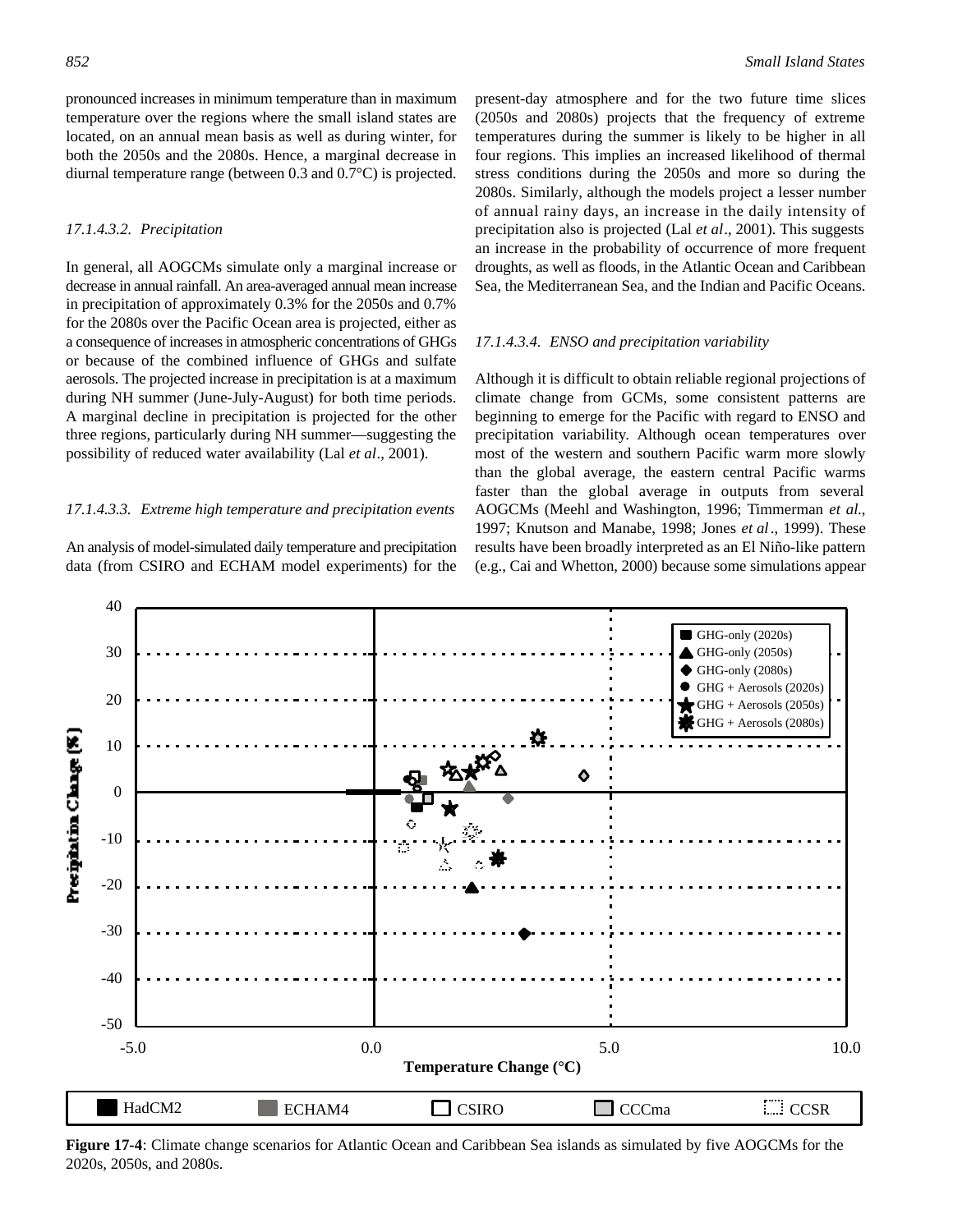pronounced increases in minimum temperature than in maximum temperature over the regions where the small island states are located, on an annual mean basis as well as during winter, for both the 2050s and the 2080s. Hence, a marginal decrease in diurnal temperature range (between 0.3 and 0.7°C) is projected.

#### *17.1.4.3.2. Precipitation*

In general, all AOGCMs simulate only a marginal increase or decrease in annual rainfall. An area-averaged annual mean increase in precipitation of approximately 0.3% for the 2050s and 0.7% for the 2080s over the Pacific Ocean area is projected, either as a consequence of increases in atmospheric concentrations of GHGs or because of the combined influence of GHGs and sulfate aerosols. The projected increase in precipitation is at a maximum during NH summer (June-July-August) for both time periods. A marginal decline in precipitation is projected for the other three regions, particularly during NH summer—suggesting the possibility of reduced water availability (Lal *et al*., 2001).

#### *1 7 . 1 . 4 . 3 . 3 . E x t reme high temperature and precipitation events*

An analysis of model-simulated daily temperature and precipitation data (from CSIRO and ECHAM model experiments) for the present-day atmosphere and for the two future time slices (2050s and 2080s) projects that the frequency of extreme temperatures during the summer is likely to be higher in all four regions. This implies an increased likelihood of thermal stress conditions during the 2050s and more so during the 2080s. Similarly, although the models project a lesser number of annual rainy days, an increase in the daily intensity of precipitation also is projected (Lal *et al.*, 2001). This suggests an increase in the probability of occurrence of more frequent droughts, as well as floods, in the Atlantic Ocean and Caribbean Sea, the Mediterranean Sea, and the Indian and Pacific Oceans.

#### *17.1.4.3.4. ENSO and precipitation variability*

Although it is difficult to obtain reliable regional projections of climate change from GCMs, some consistent patterns are beginning to emerge for the Pacific with regard to ENSO and precipitation variability. Although ocean temperatures over most of the western and southern Pacific warm more slowly than the global average, the eastern central Pacific warms faster than the global average in outputs from several AOGCMs (Meehl and Washington, 1996; Timmerman *et al*., 1997; Knutson and Manabe, 1998; Jones *et al*., 1999). These results have been broadly interpreted as an El Niño-like pattern (e.g., Cai and Whetton, 2000) because some simulations appear



**Figure 17-4**: Climate change scenarios for Atlantic Ocean and Caribbean Sea islands as simulated by five AOGCMs for the 2020s, 2050s, and 2080s.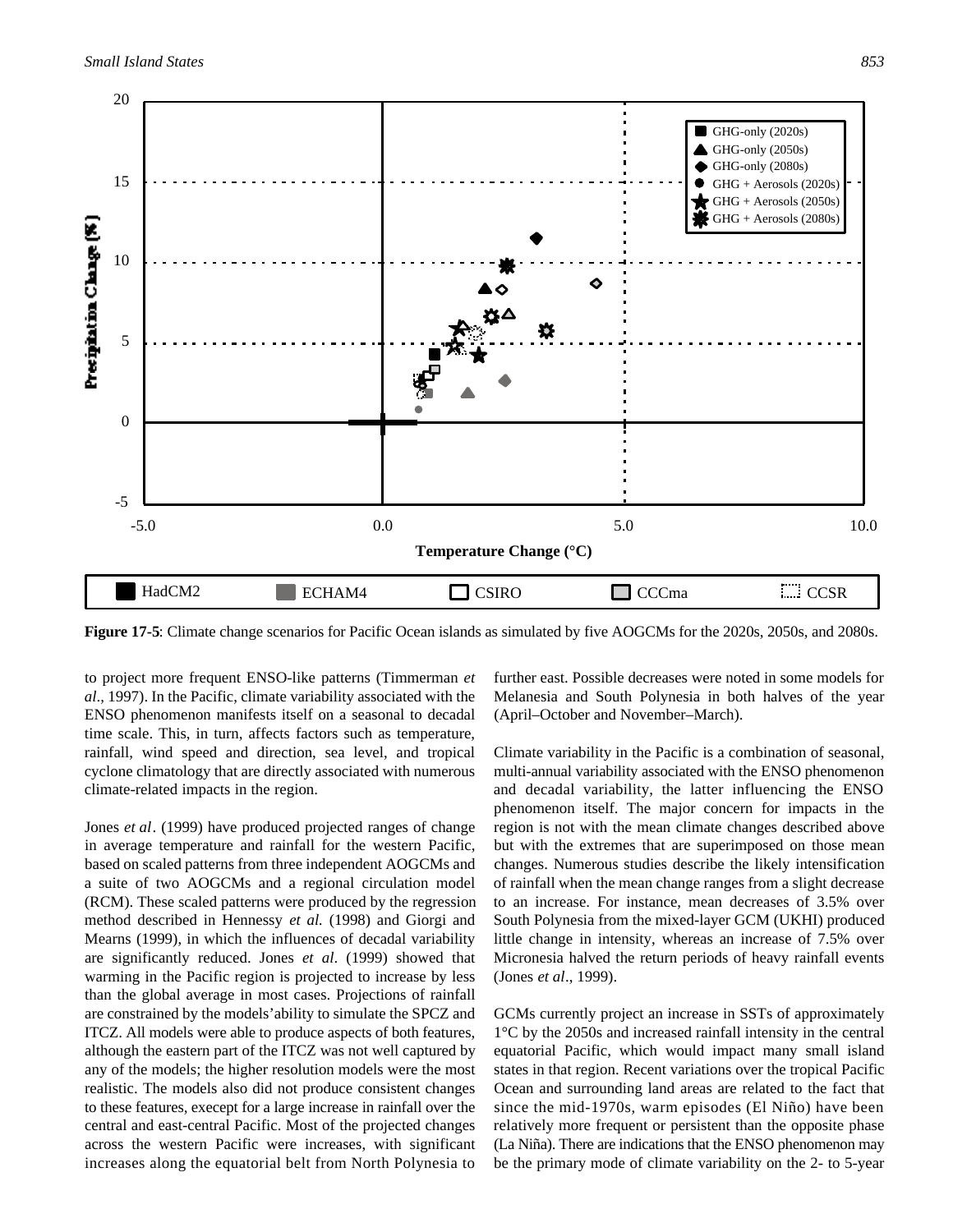

**Figure 17-5**: Climate change scenarios for Pacific Ocean islands as simulated by five AOGCMs for the 2020s, 2050s, and 2080s.

to project more frequent ENSO-like patterns (Timmerman *et al*., 1997). In the Pacific, climate variability associated with the ENSO phenomenon manifests itself on a seasonal to decadal time scale. This, in turn, affects factors such as temperature, rainfall, wind speed and direction, sea level, and tropical cyclone climatology that are directly associated with numerous climate-related impacts in the region.

Jones *et al*. (1999) have produced projected ranges of change in average temperature and rainfall for the western Pacific, based on scaled patterns from three independent AOGCMs and a suite of two AOGCMs and a regional circulation model (RCM). These scaled patterns were produced by the regression method described in Hennessy *et al.* (1998) and Giorgi and Mearns (1999), in which the influences of decadal variability are significantly reduced. Jones *et al*. (1999) showed that warming in the Pacific region is projected to increase by less than the global average in most cases. Projections of rainfall are constrained by the models'ability to simulate the SPCZ and ITCZ. All models were able to produce aspects of both features, although the eastern part of the ITCZ was not well captured by any of the models; the higher resolution models were the most realistic. The models also did not produce consistent changes to these features, execept for a large increase in rainfall over the central and east-central Pacific. Most of the projected changes across the western Pacific were increases, with significant increases along the equatorial belt from North Polynesia to further east. Possible decreases were noted in some models for Melanesia and South Polynesia in both halves of the year (April–October and November–March).

Climate variability in the Pacific is a combination of seasonal, multi-annual variability associated with the ENSO phenomenon and decadal variability, the latter influencing the ENSO phenomenon itself. The major concern for impacts in the region is not with the mean climate changes described above but with the extremes that are superimposed on those mean changes. Numerous studies describe the likely intensification of rainfall when the mean change ranges from a slight decrease to an increase. For instance, mean decreases of 3.5% over South Polynesia from the mixed-layer GCM (UKHI) produced little change in intensity, whereas an increase of 7.5% over Micronesia halved the return periods of heavy rainfall events (Jones *et al*., 1999).

GCMs currently project an increase in SSTs of approximately 1°C by the 2050s and increased rainfall intensity in the central equatorial Pacific, which would impact many small island states in that region. Recent variations over the tropical Pacific Ocean and surrounding land areas are related to the fact that since the mid-1970s, warm episodes (El Niño) have been relatively more frequent or persistent than the opposite phase (La Niña). There are indications that the ENSO phenomenon may be the primary mode of climate variability on the 2- to 5-year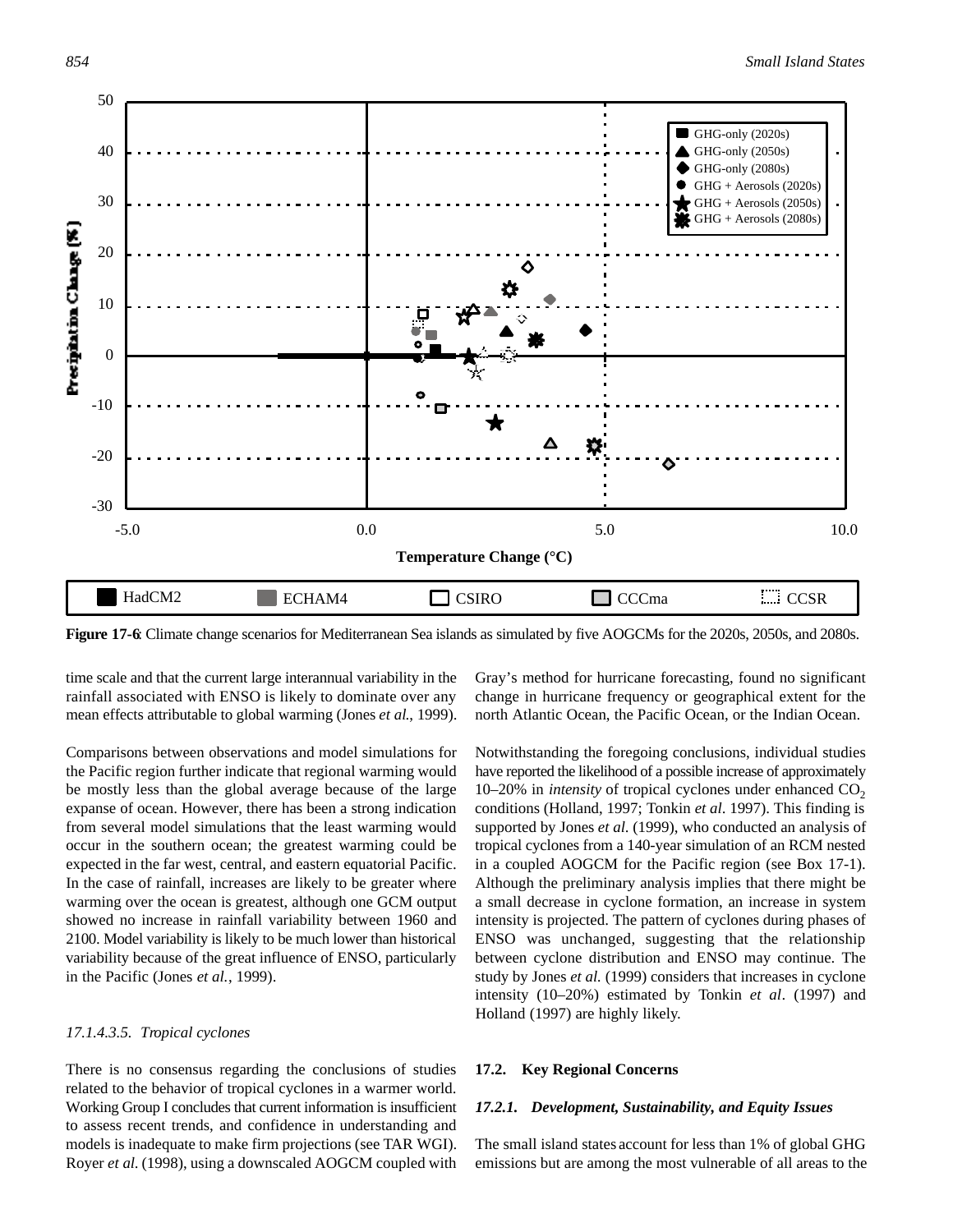

**Figure 17-6**: Climate change scenarios for Mediterranean Sea islands as simulated by five AOGCMs for the 2020s, 2050s, and 2080s.

time scale and that the current large interannual variability in the rainfall associated with ENSO is likely to dominate over any mean effects attributable to global warming (Jones *et al*., 1999).

Comparisons between observations and model simulations for the Pacific region further indicate that regional warming would be mostly less than the global average because of the large expanse of ocean. However, there has been a strong indication from several model simulations that the least warming would occur in the southern ocean; the greatest warming could be expected in the far west, central, and eastern equatorial Pacific. In the case of rainfall, increases are likely to be greater where warming over the ocean is greatest, although one GCM output showed no increase in rainfall variability between 1960 and 2100. Model variability is likely to be much lower than historical variability because of the great influence of ENSO, particularly in the Pacific (Jones *et al.*, 1999).

#### *17.1.4.3.5. Tropical cyclones*

There is no consensus regarding the conclusions of studies related to the behavior of tropical cyclones in a warmer world. Working Group I concludes that current information is insufficient to assess recent trends, and confidence in understanding and models is inadequate to make firm projections (see TAR WGI). Royer *et al*. (1998), using a downscaled AOGCM coupled with Gray's method for hurricane forecasting, found no significant change in hurricane frequency or geographical extent for the north Atlantic Ocean, the Pacific Ocean, or the Indian Ocean.

Notwithstanding the foregoing conclusions, individual studies have reported the likelihood of a possible increase of approximately  $10-20\%$  in *intensity* of tropical cyclones under enhanced  $CO<sub>2</sub>$ conditions (Holland, 1997; Tonkin *et al*. 1997). This finding is supported by Jones *et al*. (1999), who conducted an analysis of tropical cyclones from a 140-year simulation of an RCM nested in a coupled AOGCM for the Pacific region (see Box 17-1). Although the preliminary analysis implies that there might be a small decrease in cyclone formation, an increase in system intensity is projected. The pattern of cyclones during phases of ENSO was unchanged, suggesting that the relationship between cyclone distribution and ENSO may continue. The study by Jones *et al.* (1999) considers that increases in cyclone intensity (10–20%) estimated by Tonkin *et al*. (1997) and Holland (1997) are highly likely.

#### **17.2. Key Regional Concerns**

#### *17.2.1. Development, Sustainability, and Equity Issues*

The small island states account for less than 1% of global GHG emissions but are among the most vulnerable of all areas to the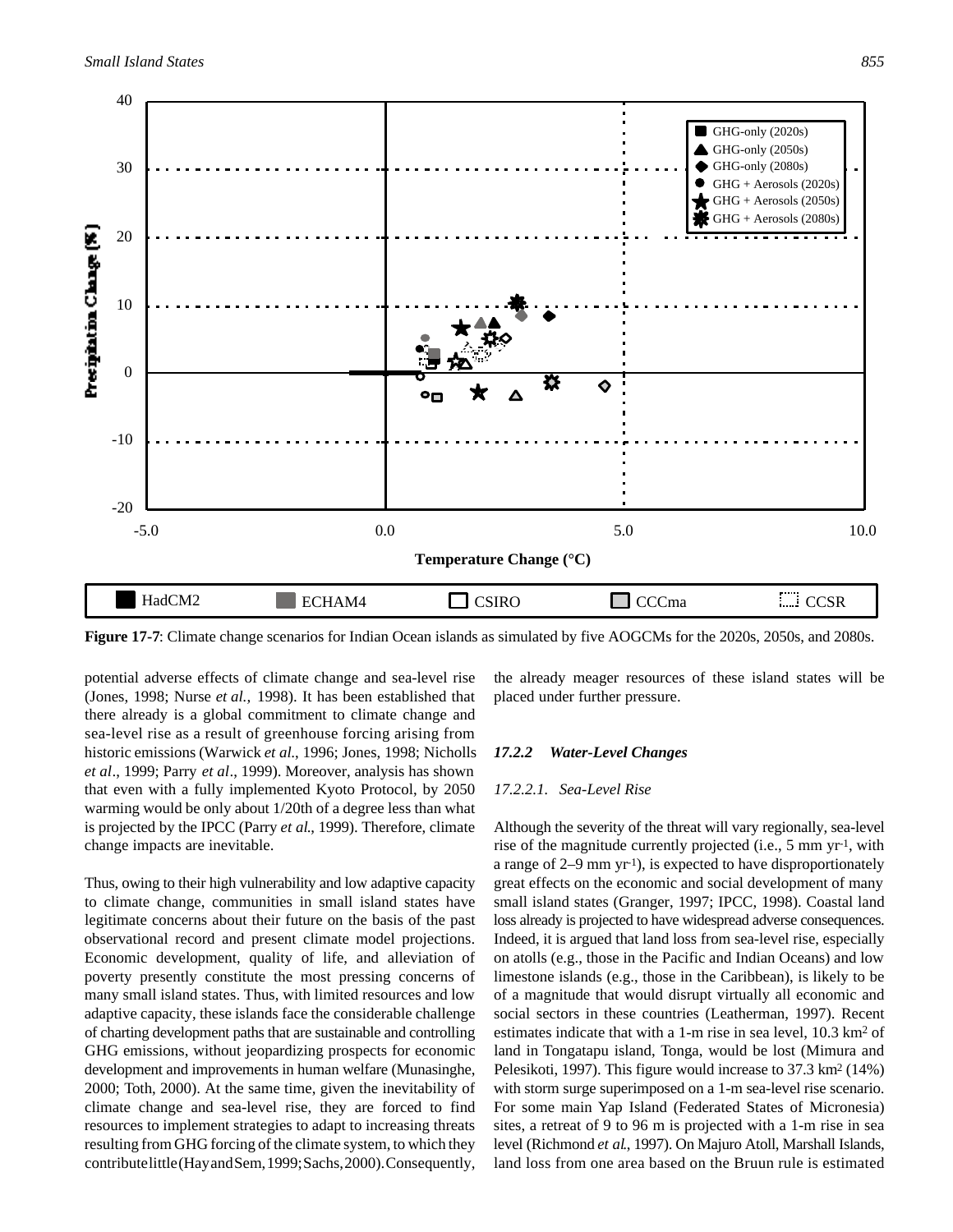

**Figure 17-7:** Climate change scenarios for Indian Ocean islands as simulated by five AOGCMs for the 2020s, 2050s, and 2080s.

potential adverse effects of climate change and sea-level rise (Jones, 1998; Nurse *et al.,* 1998). It has been established that there already is a global commitment to climate change and sea-level rise as a result of greenhouse forcing arising from historic emissions (Warwick et al., 1996; Jones, 1998; Nicholls *et al*., 1999; Parry *et al*., 1999). Moreover, analysis has shown that even with a fully implemented Kyoto Protocol, by 2050 warming would be only about 1/20th of a degree less than what is projected by the IPCC (Parry *et al*., 1999). Therefore, climate change impacts are inevitable.

Thus, owing to their high vulnerability and low adaptive capacity to climate change, communities in small island states have legitimate concerns about their future on the basis of the past observational record and present climate model projections. Economic development, quality of life, and alleviation of poverty presently constitute the most pressing concerns of many small island states. Thus, with limited resources and low adaptive capacity, these islands face the considerable challenge of charting development paths that are sustainable and controlling GHG emissions, without jeopardizing prospects for economic development and improvements in human welfare (Munasinghe, 2000; Toth, 2000). At the same time, given the inevitability of climate change and sea-level rise, they are forced to find resources to implement strategies to adapt to increasing threats resulting from GHG forcing of the climate system, to which they contribute little (Hay and Sem, 1999; Sachs, 2000). Consequently, the already meager resources of these island states will be placed under further pressure.

#### *17.2.2 Water-Level Changes*

#### *17.2.2.1. Sea-Level Rise*

Although the severity of the threat will vary regionally, sea-level rise of the magnitude currently projected (i.e., 5 mm yr-1, with a range of  $2-9$  mm yr<sup>1</sup>), is expected to have disproportionately great effects on the economic and social development of many small island states (Granger, 1997; IPCC, 1998). Coastal land loss already is projected to have widespread adverse consequences. Indeed, it is argued that land loss from sea-level rise, especially on atolls (e.g., those in the Pacific and Indian Oceans) and low limestone islands (e.g., those in the Caribbean), is likely to be of a magnitude that would disrupt virtually all economic and social sectors in these countries (Leatherman, 1997). Recent estimates indicate that with a 1-m rise in sea level, 10.3 km2 of land in Tongatapu island, Tonga, would be lost (Mimura and Pelesikoti, 1997). This figure would increase to 37.3 km<sup>2</sup> (14%) with storm surge superimposed on a 1-m sea-level rise scenario. For some main Yap Island (Federated States of Micronesia) sites, a retreat of 9 to 96 m is projected with a 1-m rise in sea level (Richmond *et al*., 1997). On Majuro Atoll, Marshall Islands, land loss from one area based on the Bruun rule is estimated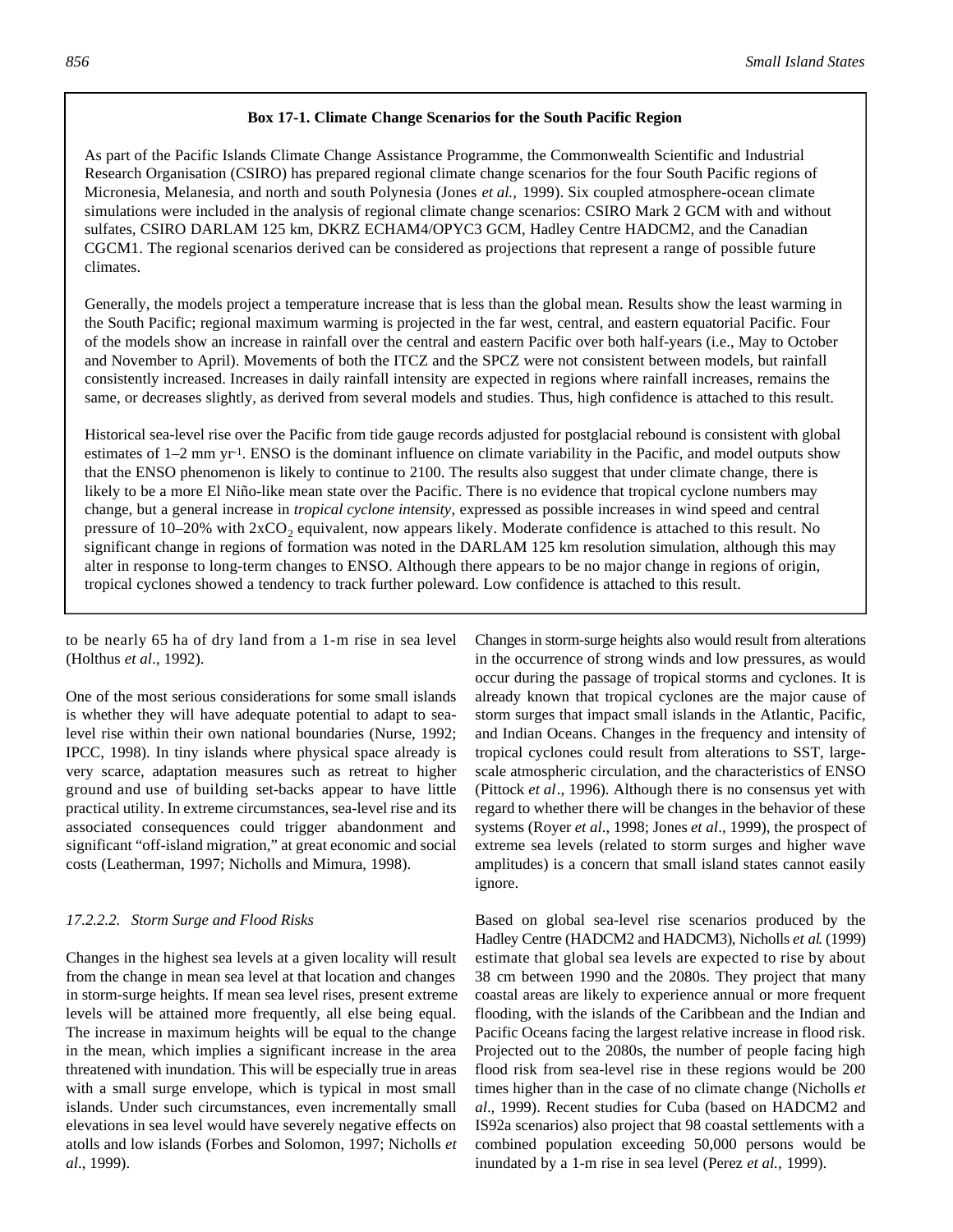#### **Box 17-1. Climate Change Scenarios for the South Pacific Region**

As part of the Pacific Islands Climate Change Assistance Programme, the Commonwealth Scientific and Industrial Research Organisation (CSIRO) has prepared regional climate change scenarios for the four South Pacific regions of Micronesia, Melanesia, and north and south Polynesia (Jones *et al.,* 1999). Six coupled atmosphere-ocean climate simulations were included in the analysis of regional climate change scenarios: CSIRO Mark 2 GCM with and without sulfates, CSIRO DARLAM 125 km, DKRZ ECHAM4/OPYC3 GCM, Hadley Centre HADCM2, and the Canadian CGCM1. The regional scenarios derived can be considered as projections that represent a range of possible future climates.

Generally, the models project a temperature increase that is less than the global mean. Results show the least warming in the South Pacific; regional maximum warming is projected in the far west, central, and eastern equatorial Pacific. Four of the models show an increase in rainfall over the central and eastern Pacific over both half-years (i.e., May to October and November to April). Movements of both the ITCZ and the SPCZ were not consistent between models, but rainfall consistently increased. Increases in daily rainfall intensity are expected in regions where rainfall increases, remains the same, or decreases slightly, as derived from several models and studies. Thus, high confidence is attached to this result.

Historical sea-level rise over the Pacific from tide gauge records adjusted for postglacial rebound is consistent with global estimates of  $1-2$  mm yr<sup>-1</sup>. ENSO is the dominant influence on climate variability in the Pacific, and model outputs show that the ENSO phenomenon is likely to continue to 2100. The results also suggest that under climate change, there is likely to be a more El Niño-like mean state over the Pacific. There is no evidence that tropical cyclone numbers may change, but a general increase in *tropical cyclone intensity*, expressed as possible increases in wind speed and central pressure of  $10-20\%$  with  $2xCO_2$  equivalent, now appears likely. Moderate confidence is attached to this result. No significant change in regions of formation was noted in the DARLAM 125 km resolution simulation, although this may alter in response to long-term changes to ENSO. Although there appears to be no major change in regions of origin, tropical cyclones showed a tendency to track further poleward. Low confidence is attached to this result.

to be nearly 65 ha of dry land from a 1-m rise in sea level (Holthus *et al*., 1992).

One of the most serious considerations for some small islands is whether they will have adequate potential to adapt to sealevel rise within their own national boundaries (Nurse, 1992; IPCC, 1998). In tiny islands where physical space already is very scarce, adaptation measures such as retreat to higher ground and use of building set-backs appear to have little practical utility. In extreme circumstances, sea-level rise and its associated consequences could trigger abandonment and significant "off-island migration," at great economic and social costs (Leatherman, 1997; Nicholls and Mimura, 1998).

#### *17.2.2.2. Storm Surge and Flood Risks*

Changes in the highest sea levels at a given locality will result from the change in mean sea level at that location and changes in storm-surge heights. If mean sea level rises, present extreme levels will be attained more frequently, all else being equal. The increase in maximum heights will be equal to the change in the mean, which implies a significant increase in the area threatened with inundation. This will be especially true in areas with a small surge envelope, which is typical in most small islands. Under such circumstances, even incrementally small elevations in sea level would have severely negative effects on atolls and low islands (Forbes and Solomon, 1997; Nicholls *et al*., 1999).

Changes in storm-surge heights also would result from alterations in the occurrence of strong winds and low pressures, as would occur during the passage of tropical storms and cyclones. It is already known that tropical cyclones are the major cause of storm surges that impact small islands in the Atlantic, Pacific, and Indian Oceans. Changes in the frequency and intensity of tropical cyclones could result from alterations to SST, largescale atmospheric circulation, and the characteristics of ENSO (Pittock *et al*., 1996). Although there is no consensus yet with regard to whether there will be changes in the behavior of these systems (Royer *et al*., 1998; Jones *et al*., 1999), the prospect of extreme sea levels (related to storm surges and higher wave amplitudes) is a concern that small island states cannot easily ignore.

Based on global sea-level rise scenarios produced by the Hadley Centre (HADCM2 and HADCM3), Nicholls *et al*. (1999) estimate that global sea levels are expected to rise by about 38 cm between 1990 and the 2080s. They project that many coastal areas are likely to experience annual or more frequent flooding, with the islands of the Caribbean and the Indian and Pacific Oceans facing the largest relative increase in flood risk. Projected out to the 2080s, the number of people facing high flood risk from sea-level rise in these regions would be 200 times higher than in the case of no climate change (Nicholls *et al*., 1999). Recent studies for Cuba (based on HADCM2 and IS92a scenarios) also project that 98 coastal settlements with a combined population exceeding 50,000 persons would be inundated by a 1-m rise in sea level (Perez *et al.,* 1999).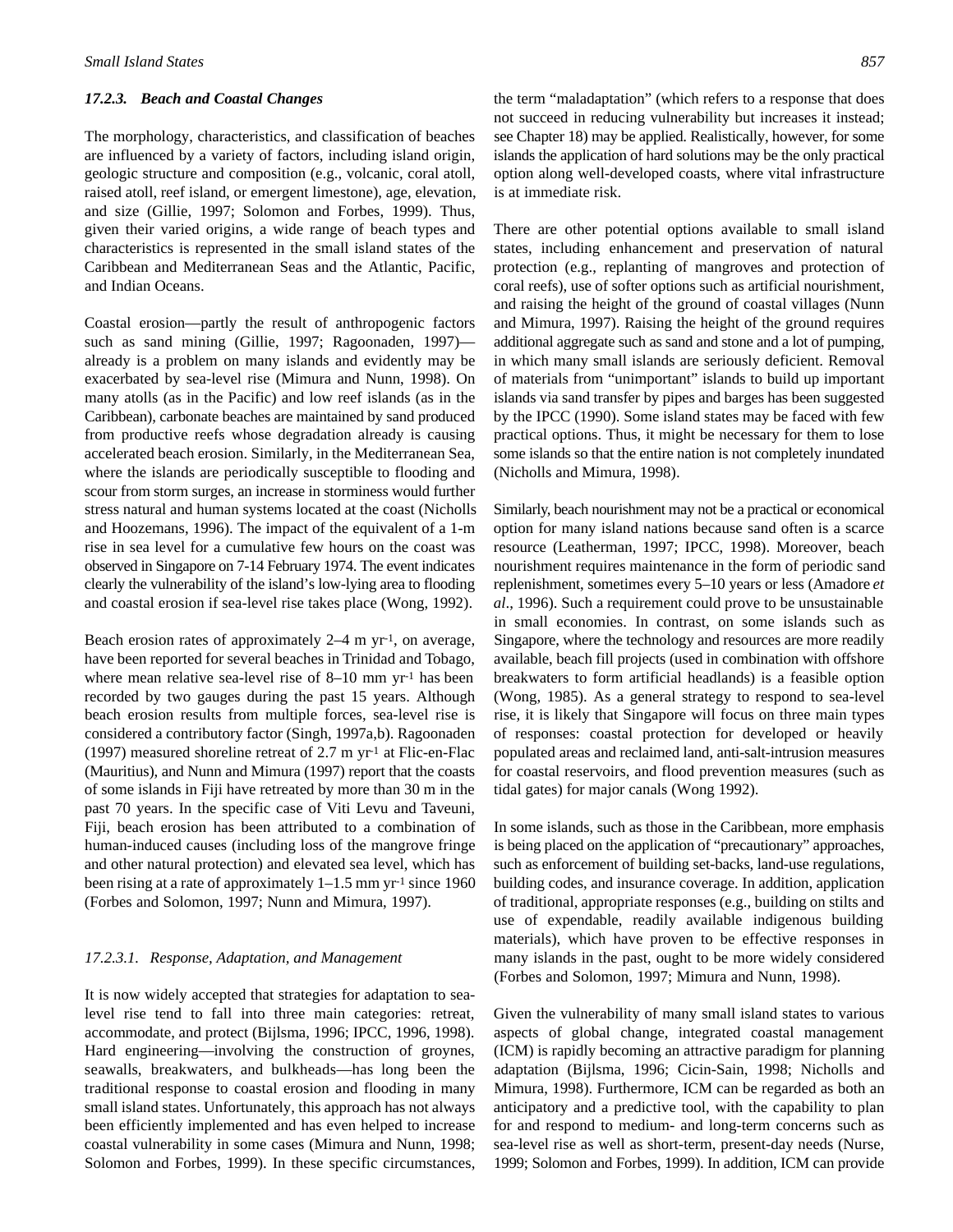#### *17.2.3. Beach and Coastal Changes*

The morphology, characteristics, and classification of beaches are influenced by a variety of factors, including island origin, geologic structure and composition (e.g., volcanic, coral atoll, raised atoll, reef island, or emergent limestone), age, elevation, and size (Gillie, 1997; Solomon and Forbes, 1999). Thus, given their varied origins, a wide range of beach types and characteristics is represented in the small island states of the Caribbean and Mediterranean Seas and the Atlantic, Pacific, and Indian Oceans.

Coastal erosion—partly the result of anthropogenic factors such as sand mining (Gillie, 1997; Ragoonaden, 1997) already is a problem on many islands and evidently may be exacerbated by sea-level rise (Mimura and Nunn, 1998). On many atolls (as in the Pacific) and low reef islands (as in the Caribbean), carbonate beaches are maintained by sand produced from productive reefs whose degradation already is causing accelerated beach erosion. Similarly, in the Mediterranean Sea, where the islands are periodically susceptible to flooding and scour from storm surges, an increase in storminess would further stress natural and human systems located at the coast (Nicholls and Hoozemans, 1996). The impact of the equivalent of a 1-m rise in sea level for a cumulative few hours on the coast was observed in Singapore on 7-14 February 1974. The event indicates clearly the vulnerability of the island's low-lying area to flooding and coastal erosion if sea-level rise takes place (Wong, 1992).

Beach erosion rates of approximately  $2-4$  m yr<sup>-1</sup>, on average, have been reported for several beaches in Trinidad and Tobago, where mean relative sea-level rise of 8–10 mm yr<sup>-1</sup> has been recorded by two gauges during the past 15 years. Although beach erosion results from multiple forces, sea-level rise is considered a contributory factor (Singh, 1997a,b). Ragoonaden (1997) measured shoreline retreat of 2.7 m  $yr<sup>-1</sup>$  at Flic-en-Flac (Mauritius), and Nunn and Mimura (1997) report that the coasts of some islands in Fiji have retreated by more than 30 m in the past 70 years. In the specific case of Viti Levu and Taveuni, Fiji, beach erosion has been attributed to a combination of human-induced causes (including loss of the mangrove fringe and other natural protection) and elevated sea level, which has been rising at a rate of approximately 1–1.5 mm yr-1 since 1960 (Forbes and Solomon, 1997; Nunn and Mimura, 1997).

#### *17.2.3.1. Response, Adaptation, and Management*

It is now widely accepted that strategies for adaptation to sealevel rise tend to fall into three main categories: retreat, accommodate, and protect (Bijlsma, 1996; IPCC, 1996, 1998). Hard engineering—involving the construction of groynes, seawalls, breakwaters, and bulkheads—has long been the traditional response to coastal erosion and flooding in many small island states. Unfortunately, this approach has not always been efficiently implemented and has even helped to increase coastal vulnerability in some cases (Mimura and Nunn, 1998; Solomon and Forbes, 1999). In these specific circumstances,

the term "maladaptation" (which refers to a response that does not succeed in reducing vulnerability but increases it instead; see Chapter 18) may be applied. Realistically, however, for some islands the application of hard solutions may be the only practical option along well-developed coasts, where vital infrastructure is at immediate risk.

There are other potential options available to small island states, including enhancement and preservation of natural protection (e.g., replanting of mangroves and protection of coral reefs), use of softer options such as artificial nourishment, and raising the height of the ground of coastal villages (Nunn and Mimura, 1997). Raising the height of the ground requires additional aggregate such as sand and stone and a lot of pumping, in which many small islands are seriously deficient. Removal of materials from "unimportant" islands to build up important islands via sand transfer by pipes and barges has been suggested by the IPCC (1990). Some island states may be faced with few practical options. Thus, it might be necessary for them to lose some islands so that the entire nation is not completely inundated (Nicholls and Mimura, 1998).

Similarly, beach nourishment may not be a practical or economical option for many island nations because sand often is a scarce resource (Leatherman, 1997; IPCC, 1998). Moreover, beach nourishment requires maintenance in the form of periodic sand replenishment, sometimes every 5–10 years or less (Amadore *et al.*, 1996). Such a requirement could prove to be unsustainable in small economies. In contrast, on some islands such as Singapore, where the technology and resources are more readily available, beach fill projects (used in combination with offshore breakwaters to form artificial headlands) is a feasible option (Wong, 1985). As a general strategy to respond to sea-level rise, it is likely that Singapore will focus on three main types of responses: coastal protection for developed or heavily populated areas and reclaimed land, anti-salt-intrusion measures for coastal reservoirs, and flood prevention measures (such as tidal gates) for major canals (Wong 1992).

In some islands, such as those in the Caribbean, more emphasis is being placed on the application of "precautionary" approaches, such as enforcement of building set-backs, land-use regulations, building codes, and insurance coverage. In addition, application of traditional, appropriate responses (e.g., building on stilts and use of expendable, readily available indigenous building materials), which have proven to be effective responses in many islands in the past, ought to be more widely considered (Forbes and Solomon, 1997; Mimura and Nunn, 1998).

Given the vulnerability of many small island states to various aspects of global change, integrated coastal management (ICM) is rapidly becoming an attractive paradigm for planning adaptation (Bijlsma, 1996; Cicin-Sain, 1998; Nicholls and Mimura, 1998). Furthermore, ICM can be regarded as both an anticipatory and a predictive tool, with the capability to plan for and respond to medium- and long-term concerns such as sea-level rise as well as short-term, present-day needs (Nurse, 1999; Solomon and Forbes, 1999). In addition, ICM can provide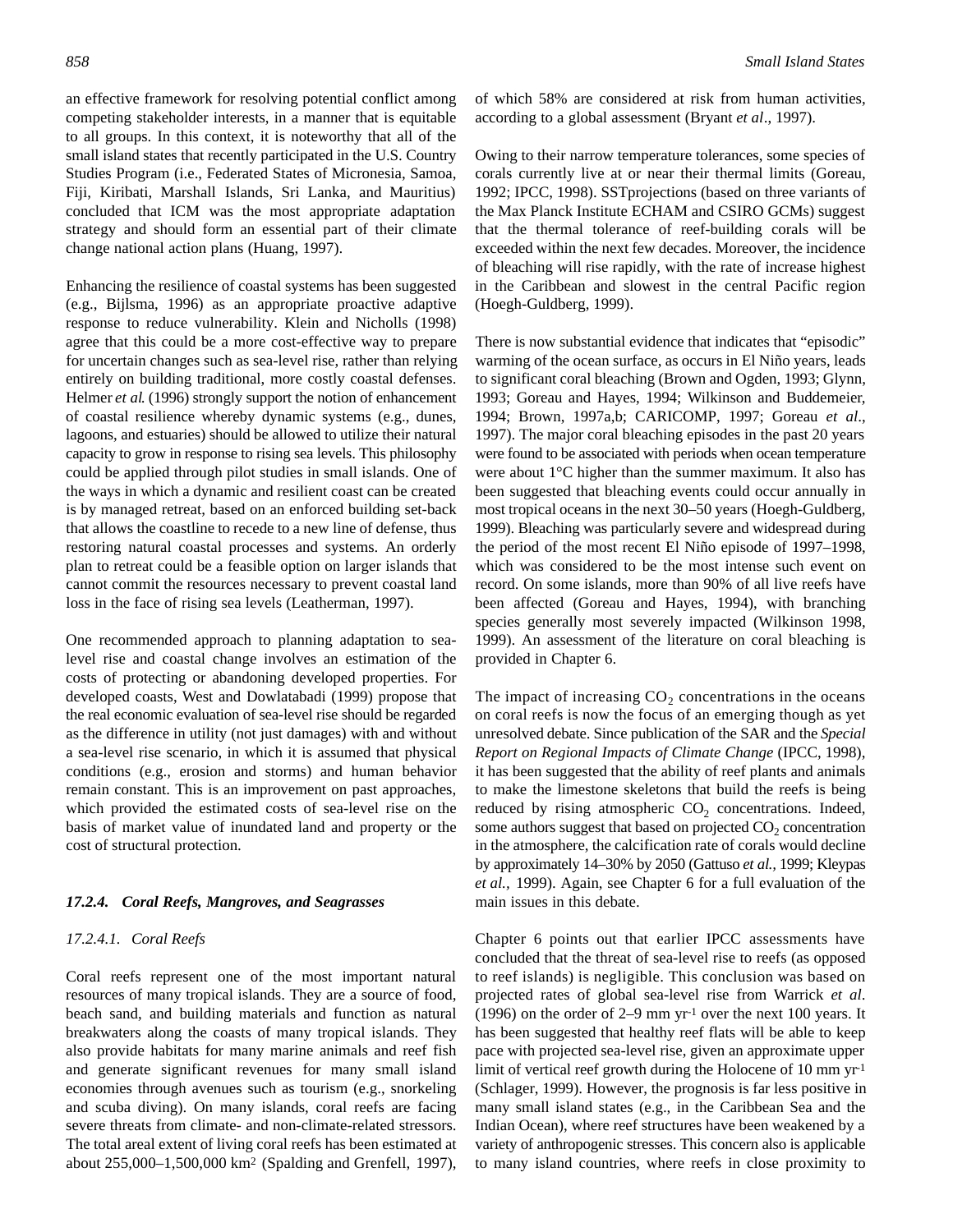an effective framework for resolving potential conflict among competing stakeholder interests, in a manner that is equitable to all groups. In this context, it is noteworthy that all of the small island states that recently participated in the U.S. Country Studies Program (i.e., Federated States of Micronesia, Samoa, Fiji, Kiribati, Marshall Islands, Sri Lanka, and Mauritius) concluded that ICM was the most appropriate adaptation strategy and should form an essential part of their climate change national action plans (Huang, 1997).

Enhancing the resilience of coastal systems has been suggested (e.g., Bijlsma, 1996) as an appropriate proactive adaptive response to reduce vulnerability. Klein and Nicholls (1998) agree that this could be a more cost-effective way to prepare for uncertain changes such as sea-level rise, rather than relying entirely on building traditional, more costly coastal defenses. Helmer *et al*. (1996) strongly support the notion of enhancement of coastal resilience whereby dynamic systems (e.g., dunes, lagoons, and estuaries) should be allowed to utilize their natural capacity to grow in response to rising sea levels. This philosophy could be applied through pilot studies in small islands. One of the ways in which a dynamic and resilient coast can be created is by managed retreat, based on an enforced building set-back that allows the coastline to recede to a new line of defense, thus restoring natural coastal processes and systems. An orderly plan to retreat could be a feasible option on larger islands that cannot commit the resources necessary to prevent coastal land loss in the face of rising sea levels (Leatherman, 1997).

One recommended approach to planning adaptation to sealevel rise and coastal change involves an estimation of the costs of protecting or abandoning developed properties. For developed coasts, West and Dowlatabadi (1999) propose that the real economic evaluation of sea-level rise should be regarded as the difference in utility (not just damages) with and without a sea-level rise scenario, in which it is assumed that physical conditions (e.g., erosion and storms) and human behavior remain constant. This is an improvement on past approaches, which provided the estimated costs of sea-level rise on the basis of market value of inundated land and property or the cost of structural protection.

#### *17.2.4. Coral Reefs, Mangroves, and Seagrasses*

#### *17.2.4.1. Coral Reefs*

Coral reefs represent one of the most important natural resources of many tropical islands. They are a source of food, beach sand, and building materials and function as natural breakwaters along the coasts of many tropical islands. They also provide habitats for many marine animals and reef fish and generate significant revenues for many small island economies through avenues such as tourism (e.g., snorkeling and scuba diving). On many islands, coral reefs are facing severe threats from climate- and non-climate-related stressors. The total areal extent of living coral reefs has been estimated at about 255,000–1,500,000 km<sup>2</sup> (Spalding and Grenfell, 1997), of which 58% are considered at risk from human activities, according to a global assessment (Bryant *et al*., 1997).

Owing to their narrow temperature tolerances, some species of corals currently live at or near their thermal limits (Goreau, 1992; IPCC, 1998). SSTprojections (based on three variants of the Max Planck Institute ECHAM and CSIRO GCMs) suggest that the thermal tolerance of reef-building corals will be exceeded within the next few decades. Moreover, the incidence of bleaching will rise rapidly, with the rate of increase highest in the Caribbean and slowest in the central Pacific region (Hoegh-Guldberg, 1999).

There is now substantial evidence that indicates that "episodic" warming of the ocean surface, as occurs in El Niño years, leads to significant coral bleaching (Brown and Ogden, 1993; Glynn, 1993; Goreau and Hayes, 1994; Wilkinson and Buddemeier, 1994; Brown, 1997a,b; CARICOMP, 1997; Goreau *et al*., 1997). The major coral bleaching episodes in the past 20 years were found to be associated with periods when ocean temperature were about 1°C higher than the summer maximum. It also has been suggested that bleaching events could occur annually in most tropical oceans in the next 30–50 years (Hoegh-Guldberg, 1999). Bleaching was particularly severe and widespread during the period of the most recent El Niño episode of 1997–1998, which was considered to be the most intense such event on record. On some islands, more than 90% of all live reefs have been affected (Goreau and Hayes, 1994), with branching species generally most severely impacted (Wilkinson 1998, 1999). An assessment of the literature on coral bleaching is provided in Chapter 6.

The impact of increasing  $CO<sub>2</sub>$  concentrations in the oceans on coral reefs is now the focus of an emerging though as yet unresolved debate. Since publication of the SAR and the *Special Report on Regional Impacts of Climate Change* (IPCC, 1998), it has been suggested that the ability of reef plants and animals to make the limestone skeletons that build the reefs is being reduced by rising atmospheric  $CO<sub>2</sub>$  concentrations. Indeed, some authors suggest that based on projected  $CO_2$  concentration in the atmosphere, the calcification rate of corals would decline by approximately 14–30% by 2050 (Gattuso *et al.,* 1999; Kleypas *et al.,* 1999). Again, see Chapter 6 for a full evaluation of the main issues in this debate.

Chapter 6 points out that earlier IPCC assessments have concluded that the threat of sea-level rise to reefs (as opposed to reef islands) is negligible. This conclusion was based on projected rates of global sea-level rise from Warrick *et al.* (1996) on the order of 2–9 mm yr<sup>-1</sup> over the next 100 years. It has been suggested that healthy reef flats will be able to keep pace with projected sea-level rise, given an approximate upper limit of vertical reef growth during the Holocene of 10 mm  $yr<sup>1</sup>$ (Schlager, 1999). However, the prognosis is far less positive in many small island states (e.g., in the Caribbean Sea and the Indian Ocean), where reef structures have been weakened by a variety of anthropogenic stresses. This concern also is applicable to many island countries, where reefs in close proximity to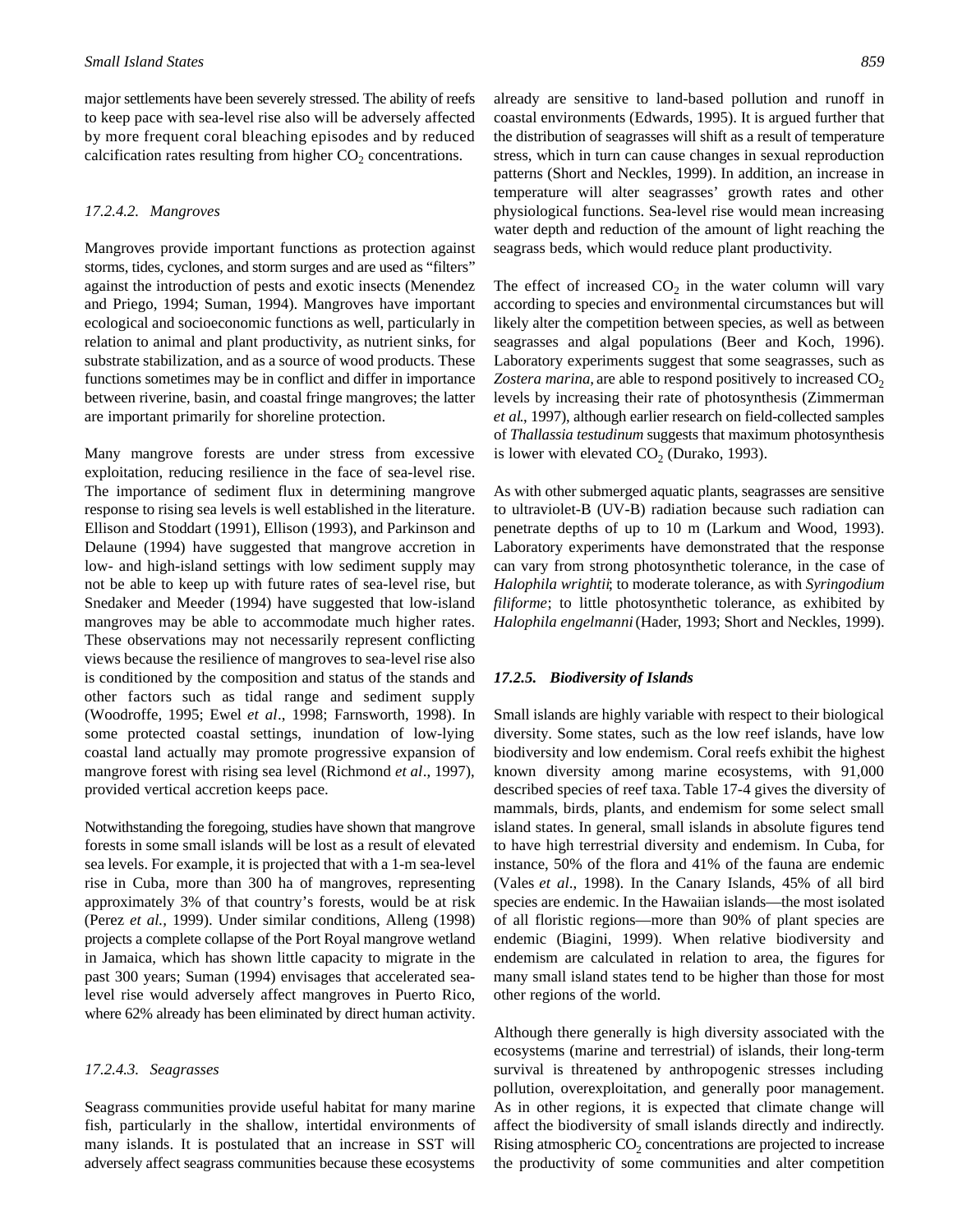major settlements have been severely stressed. The ability of reefs to keep pace with sea-level rise also will be adversely affected by more frequent coral bleaching episodes and by reduced calcification rates resulting from higher  $CO_2$  concentrations.

#### *17.2.4.2. Mangroves*

Mangroves provide important functions as protection against storms, tides, cyclones, and storm surges and are used as "filters" against the introduction of pests and exotic insects (Menendez and Priego, 1994; Suman, 1994). Mangroves have important ecological and socioeconomic functions as well, particularly in relation to animal and plant productivity, as nutrient sinks, for substrate stabilization, and as a source of wood products. These functions sometimes may be in conflict and differ in importance between riverine, basin, and coastal fringe mangroves; the latter are important primarily for shoreline protection.

Many mangrove forests are under stress from excessive exploitation, reducing resilience in the face of sea-level rise. The importance of sediment flux in determining mangrove response to rising sea levels is well established in the literature. Ellison and Stoddart (1991), Ellison (1993), and Parkinson and Delaune (1994) have suggested that mangrove accretion in low- and high-island settings with low sediment supply may not be able to keep up with future rates of sea-level rise, but Snedaker and Meeder (1994) have suggested that low-island mangroves may be able to accommodate much higher rates. These observations may not necessarily represent conflicting views because the resilience of mangroves to sea-level rise also is conditioned by the composition and status of the stands and other factors such as tidal range and sediment supply (Woodroffe, 1995; Ewel *et al*., 1998; Farnsworth, 1998). In some protected coastal settings, inundation of low-lying coastal land actually may promote progressive expansion of mangrove forest with rising sea level (Richmond *et al*., 1997), provided vertical accretion keeps pace.

Notwithstanding the foregoing, studies have shown that mangrove forests in some small islands will be lost as a result of elevated sea levels. For example, it is projected that with a 1-m sea-level rise in Cuba, more than 300 ha of mangroves, representing approximately 3% of that country's forests, would be at risk (Perez *et al.,* 1999). Under similar conditions, Alleng (1998) projects a complete collapse of the Port Royal mangrove wetland in Jamaica, which has shown little capacity to migrate in the past 300 years; Suman (1994) envisages that accelerated sealevel rise would adversely affect mangroves in Puerto Rico, where 62% already has been eliminated by direct human activity.

#### *17.2.4.3. Seagrasses*

Seagrass communities provide useful habitat for many marine fish, particularly in the shallow, intertidal environments of many islands. It is postulated that an increase in SST will adversely affect seagrass communities because these ecosystems already are sensitive to land-based pollution and runoff in coastal environments (Edwards, 1995). It is argued further that the distribution of seagrasses will shift as a result of temperature stress, which in turn can cause changes in sexual reproduction patterns (Short and Neckles, 1999). In addition, an increase in temperature will alter seagrasses' growth rates and other physiological functions. Sea-level rise would mean increasing water depth and reduction of the amount of light reaching the seagrass beds, which would reduce plant productivity.

The effect of increased  $CO<sub>2</sub>$  in the water column will vary according to species and environmental circumstances but will likely alter the competition between species, as well as between seagrasses and algal populations (Beer and Koch, 1996). Laboratory experiments suggest that some seagrasses, such as *Zostera marina,* are able to respond positively to increased  $CO<sub>2</sub>$ levels by increasing their rate of photosynthesis (Zimmerman *et al*., 1997), although earlier research on field-collected samples of *Thallassia testudinum* suggests that maximum photosynthesis is lower with elevated  $CO<sub>2</sub>$  (Durako, 1993).

As with other submerged aquatic plants, seagrasses are sensitive to ultraviolet-B (UV-B) radiation because such radiation can penetrate depths of up to 10 m (Larkum and Wood, 1993). Laboratory experiments have demonstrated that the response can vary from strong photosynthetic tolerance, in the case of *Halophila wrightii*; to moderate tolerance, as with *Syringodium filiforme*; to little photosynthetic tolerance, as exhibited by *Halophila engelmanni* (Hader, 1993; Short and Neckles, 1999).

#### *17.2.5. Biodiversity of Islands*

Small islands are highly variable with respect to their biological diversity. Some states, such as the low reef islands, have low biodiversity and low endemism. Coral reefs exhibit the highest known diversity among marine ecosystems, with 91,000 described species of reef taxa. Table 17-4 gives the diversity of mammals, birds, plants, and endemism for some select small island states. In general, small islands in absolute figures tend to have high terrestrial diversity and endemism. In Cuba, for instance, 50% of the flora and 41% of the fauna are endemic (Vales *et al*., 1998). In the Canary Islands, 45% of all bird species are endemic. In the Hawaiian islands—the most isolated of all floristic regions—more than 90% of plant species are endemic (Biagini, 1999). When relative biodiversity and endemism are calculated in relation to area, the figures for many small island states tend to be higher than those for most other regions of the world.

Although there generally is high diversity associated with the ecosystems (marine and terrestrial) of islands, their long-term survival is threatened by anthropogenic stresses including pollution, overexploitation, and generally poor management. As in other regions, it is expected that climate change will affect the biodiversity of small islands directly and indirectly. Rising atmospheric  $CO<sub>2</sub>$  concentrations are projected to increase the productivity of some communities and alter competition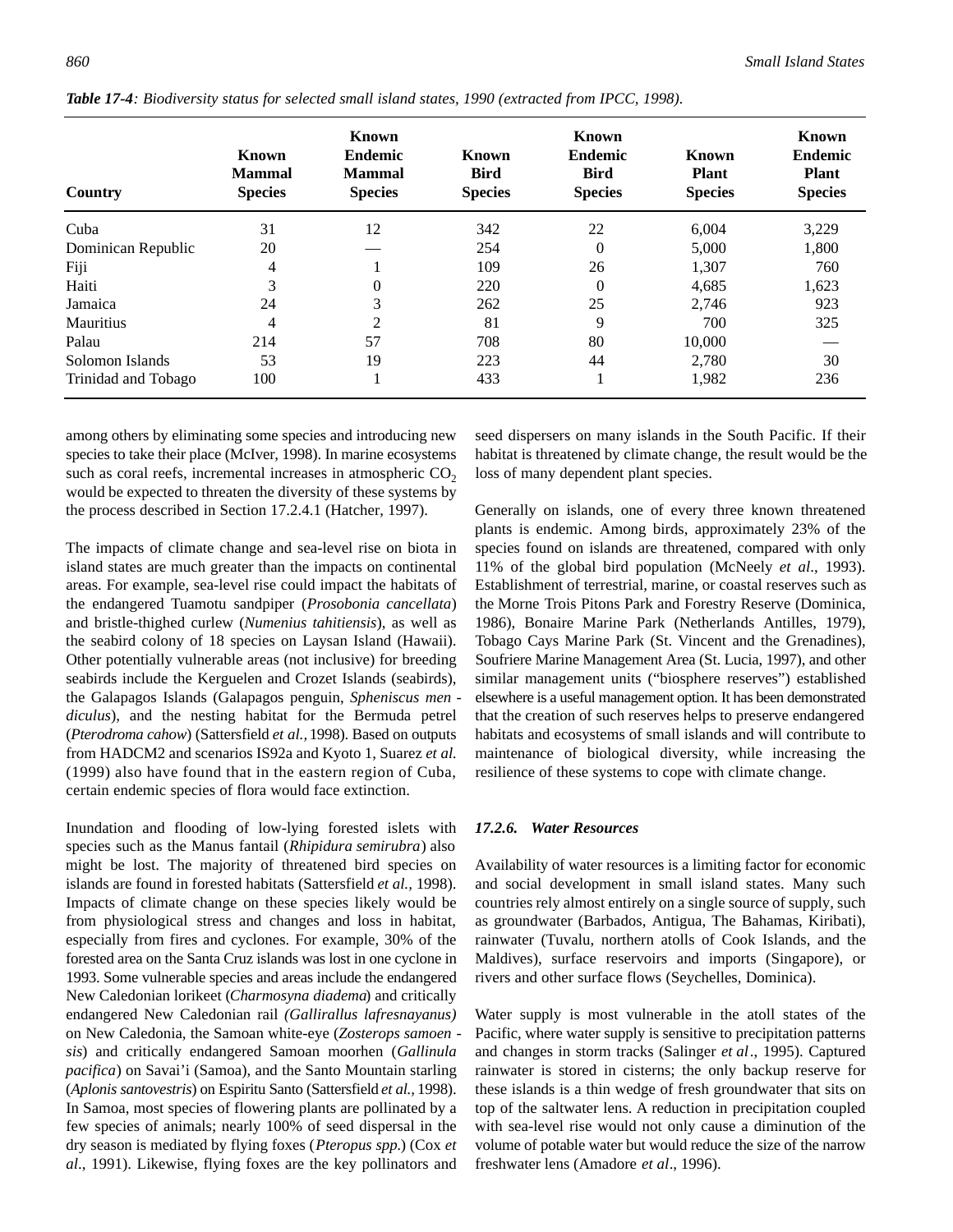| Country             | <b>Known</b><br><b>Mammal</b><br><b>Species</b> | Known<br><b>Endemic</b><br><b>Mammal</b><br><b>Species</b> | Known<br><b>Bird</b><br><b>Species</b> | Known<br><b>Endemic</b><br><b>Bird</b><br><b>Species</b> | Known<br><b>Plant</b><br><b>Species</b> | Known<br><b>Endemic</b><br><b>Plant</b><br><b>Species</b> |
|---------------------|-------------------------------------------------|------------------------------------------------------------|----------------------------------------|----------------------------------------------------------|-----------------------------------------|-----------------------------------------------------------|
| Cuba                | 31                                              | 12                                                         | 342                                    | 22                                                       | 6,004                                   | 3,229                                                     |
| Dominican Republic  | 20                                              |                                                            | 254                                    | $\theta$                                                 | 5,000                                   | 1,800                                                     |
| Fiji                | 4                                               |                                                            | 109                                    | 26                                                       | 1,307                                   | 760                                                       |
| Haiti               | 3                                               | 0                                                          | 220                                    | $\theta$                                                 | 4,685                                   | 1,623                                                     |
| Jamaica             | 24                                              | 3                                                          | 262                                    | 25                                                       | 2,746                                   | 923                                                       |
| Mauritius           | $\overline{4}$                                  | 2                                                          | 81                                     | 9                                                        | 700                                     | 325                                                       |
| Palau               | 214                                             | 57                                                         | 708                                    | 80                                                       | 10,000                                  |                                                           |
| Solomon Islands     | 53                                              | 19                                                         | 223                                    | 44                                                       | 2,780                                   | 30                                                        |
| Trinidad and Tobago | 100                                             |                                                            | 433                                    |                                                          | 1,982                                   | 236                                                       |

|  |  | Table 17-4: Biodiversity status for selected small island states, 1990 (extracted from IPCC, 1998). |  |  |  |  |  |  |  |  |  |
|--|--|-----------------------------------------------------------------------------------------------------|--|--|--|--|--|--|--|--|--|
|--|--|-----------------------------------------------------------------------------------------------------|--|--|--|--|--|--|--|--|--|

among others by eliminating some species and introducing new species to take their place (McIver, 1998). In marine ecosystems such as coral reefs, incremental increases in atmospheric  $CO<sub>2</sub>$ would be expected to threaten the diversity of these systems by the process described in Section 17.2.4.1 (Hatcher, 1997).

The impacts of climate change and sea-level rise on biota in island states are much greater than the impacts on continental areas. For example, sea-level rise could impact the habitats of the endangered Tuamotu sandpiper (*Prosobonia cancellata*) and bristle-thighed curlew (*Numenius tahitiensis*), as well as the seabird colony of 18 species on Laysan Island (Hawaii). Other potentially vulnerable areas (not inclusive) for breeding seabirds include the Kerguelen and Crozet Islands (seabirds), the Galapagos Islands (Galapagos penguin, *Spheniscus men diculus*), and the nesting habitat for the Bermuda petrel (Pterodroma cahow) (Sattersfield et al., 1998). Based on outputs from HADCM2 and scenarios IS92a and Kyoto 1, Suarez *et al.* (1999) also have found that in the eastern region of Cuba, certain endemic species of flora would face extinction.

Inundation and flooding of low-lying forested islets with species such as the Manus fantail (*Rhipidura semirubra*) also might be lost. The majority of threatened bird species on islands are found in forested habitats (Sattersfield *et al.,* 1998). Impacts of climate change on these species likely would be from physiological stress and changes and loss in habitat, especially from fires and cyclones. For example, 30% of the forested area on the Santa Cruz islands was lost in one cyclone in 1993. Some vulnerable species and areas include the endangered New Caledonian lorikeet (*Charmosyna diadema*) and critically endangered New Caledonian rail *(Gallirallus lafresnayanus)* on New Caledonia, the Samoan white-eye (*Zosterops samoen sis*) and critically endangered Samoan moorhen (*Gallinula pacifica*) on Savai'i (Samoa), and the Santo Mountain starling (*Aplonis santovestris*) on Espiritu Santo (Sattersfield *et al.*, 1998). In Samoa, most species of flowering plants are pollinated by a few species of animals; nearly 100% of seed dispersal in the dry season is mediated by flying foxes (*Pteropus spp.*) (Cox *et al*., 1991). Likewise, flying foxes are the key pollinators and

seed dispersers on many islands in the South Pacific. If their habitat is threatened by climate change, the result would be the loss of many dependent plant species.

Generally on islands, one of every three known threatened plants is endemic. Among birds, approximately 23% of the species found on islands are threatened, compared with only 11% of the global bird population (McNeely *et al*., 1993). Establishment of terrestrial, marine, or coastal reserves such as the Morne Trois Pitons Park and Forestry Reserve (Dominica, 1986), Bonaire Marine Park (Netherlands Antilles, 1979), Tobago Cays Marine Park (St. Vincent and the Grenadines), Soufriere Marine Management Area (St. Lucia, 1997), and other similar management units ("biosphere reserves") established elsewhere is a useful management option. It has been demonstrated that the creation of such reserves helps to preserve endangered habitats and ecosystems of small islands and will contribute to maintenance of biological diversity, while increasing the resilience of these systems to cope with climate change.

#### *17.2.6. Water Resources*

Availability of water resources is a limiting factor for economic and social development in small island states. Many such countries rely almost entirely on a single source of supply, such as groundwater (Barbados, Antigua, The Bahamas, Kiribati), rainwater (Tuvalu, northern atolls of Cook Islands, and the Maldives), surface reservoirs and imports (Singapore), or rivers and other surface flows (Seychelles, Dominica).

Water supply is most vulnerable in the atoll states of the Pacific, where water supply is sensitive to precipitation patterns and changes in storm tracks (Salinger *et al*., 1995). Captured rainwater is stored in cisterns; the only backup reserve for these islands is a thin wedge of fresh groundwater that sits on top of the saltwater lens. A reduction in precipitation coupled with sea-level rise would not only cause a diminution of the volume of potable water but would reduce the size of the narrow freshwater lens (Amadore *et al*., 1996).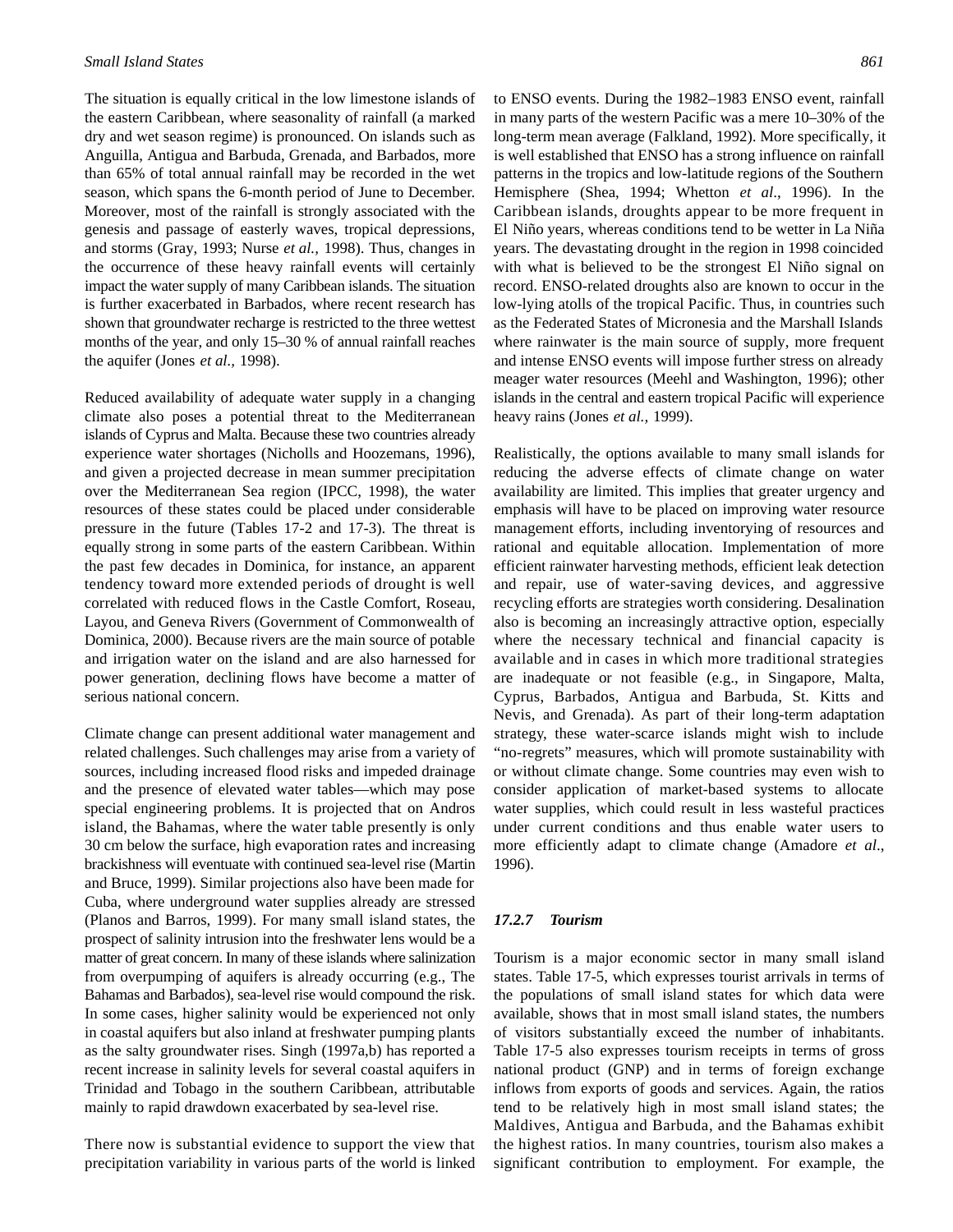The situation is equally critical in the low limestone islands of the eastern Caribbean, where seasonality of rainfall (a marked dry and wet season regime) is pronounced. On islands such as Anguilla, Antigua and Barbuda, Grenada, and Barbados, more than 65% of total annual rainfall may be recorded in the wet season, which spans the 6-month period of June to December. Moreover, most of the rainfall is strongly associated with the genesis and passage of easterly waves, tropical depressions, and storms (Gray, 1993; Nurse *et al.,* 1998). Thus, changes in the occurrence of these heavy rainfall events will certainly impact the water supply of many Caribbean islands. The situation is further exacerbated in Barbados, where recent research has shown that groundwater recharge is restricted to the three wettest months of the year, and only 15–30 % of annual rainfall reaches the aquifer (Jones *et al.,* 1998).

Reduced availability of adequate water supply in a changing climate also poses a potential threat to the Mediterranean islands of Cyprus and Malta. Because these two countries already experience water shortages (Nicholls and Hoozemans, 1996), and given a projected decrease in mean summer precipitation over the Mediterranean Sea region (IPCC, 1998), the water resources of these states could be placed under considerable pressure in the future (Tables 17-2 and 17-3). The threat is equally strong in some parts of the eastern Caribbean. Within the past few decades in Dominica, for instance, an apparent tendency toward more extended periods of drought is well correlated with reduced flows in the Castle Comfort, Roseau, Layou, and Geneva Rivers (Government of Commonwealth of Dominica, 2000). Because rivers are the main source of potable and irrigation water on the island and are also harnessed for power generation, declining flows have become a matter of serious national concern.

Climate change can present additional water management and related challenges. Such challenges may arise from a variety of sources, including increased flood risks and impeded drainage and the presence of elevated water tables—which may pose special engineering problems. It is projected that on Andros island, the Bahamas, where the water table presently is only 30 cm below the surface, high evaporation rates and increasing brackishness will eventuate with continued sea-level rise (Martin and Bruce, 1999). Similar projections also have been made for Cuba, where underground water supplies already are stressed (Planos and Barros, 1999). For many small island states, the prospect of salinity intrusion into the freshwater lens would be a matter of great concern. In many of these islands where salinization from overpumping of aquifers is already occurring (e.g., The Bahamas and Barbados), sea-level rise would compound the risk. In some cases, higher salinity would be experienced not only in coastal aquifers but also inland at freshwater pumping plants as the salty groundwater rises. Singh (1997a,b) has reported a recent increase in salinity levels for several coastal aquifers in Trinidad and Tobago in the southern Caribbean, attributable mainly to rapid drawdown exacerbated by sea-level rise.

There now is substantial evidence to support the view that precipitation variability in various parts of the world is linked

to ENSO events. During the 1982–1983 ENSO event, rainfall in many parts of the western Pacific was a mere 10–30% of the long-term mean average (Falkland, 1992). More specifically, it is well established that ENSO has a strong influence on rainfall patterns in the tropics and low-latitude regions of the Southern Hemisphere (Shea, 1994; Whetton *et al*., 1996). In the Caribbean islands, droughts appear to be more frequent in El Niño years, whereas conditions tend to be wetter in La Niña years. The devastating drought in the region in 1998 coincided with what is believed to be the strongest El Niño signal on record. ENSO-related droughts also are known to occur in the low-lying atolls of the tropical Pacific. Thus, in countries such as the Federated States of Micronesia and the Marshall Islands where rainwater is the main source of supply, more frequent and intense ENSO events will impose further stress on already meager water resources (Meehl and Washington, 1996); other islands in the central and eastern tropical Pacific will experience heavy rains (Jones *et al.,* 1999).

Realistically, the options available to many small islands for reducing the adverse effects of climate change on water availability are limited. This implies that greater urgency and emphasis will have to be placed on improving water resource management efforts, including inventorying of resources and rational and equitable allocation. Implementation of more efficient rainwater harvesting methods, efficient leak detection and repair, use of water-saving devices, and aggressive recycling efforts are strategies worth considering. Desalination also is becoming an increasingly attractive option, especially where the necessary technical and financial capacity is available and in cases in which more traditional strategies are inadequate or not feasible (e.g., in Singapore, Malta, Cyprus, Barbados, Antigua and Barbuda, St. Kitts and Nevis, and Grenada). As part of their long-term adaptation strategy, these water-scarce islands might wish to include "no-regrets" measures, which will promote sustainability with or without climate change. Some countries may even wish to consider application of market-based systems to allocate water supplies, which could result in less wasteful practices under current conditions and thus enable water users to more efficiently adapt to climate change (Amadore *et al*., 1996).

#### *17.2.7 Tourism*

Tourism is a major economic sector in many small island states. Table 17-5, which expresses tourist arrivals in terms of the populations of small island states for which data were available, shows that in most small island states, the numbers of visitors substantially exceed the number of inhabitants. Table 17-5 also expresses tourism receipts in terms of gross national product (GNP) and in terms of foreign exchange inflows from exports of goods and services. Again, the ratios tend to be relatively high in most small island states; the Maldives, Antigua and Barbuda, and the Bahamas exhibit the highest ratios. In many countries, tourism also makes a significant contribution to employment. For example, the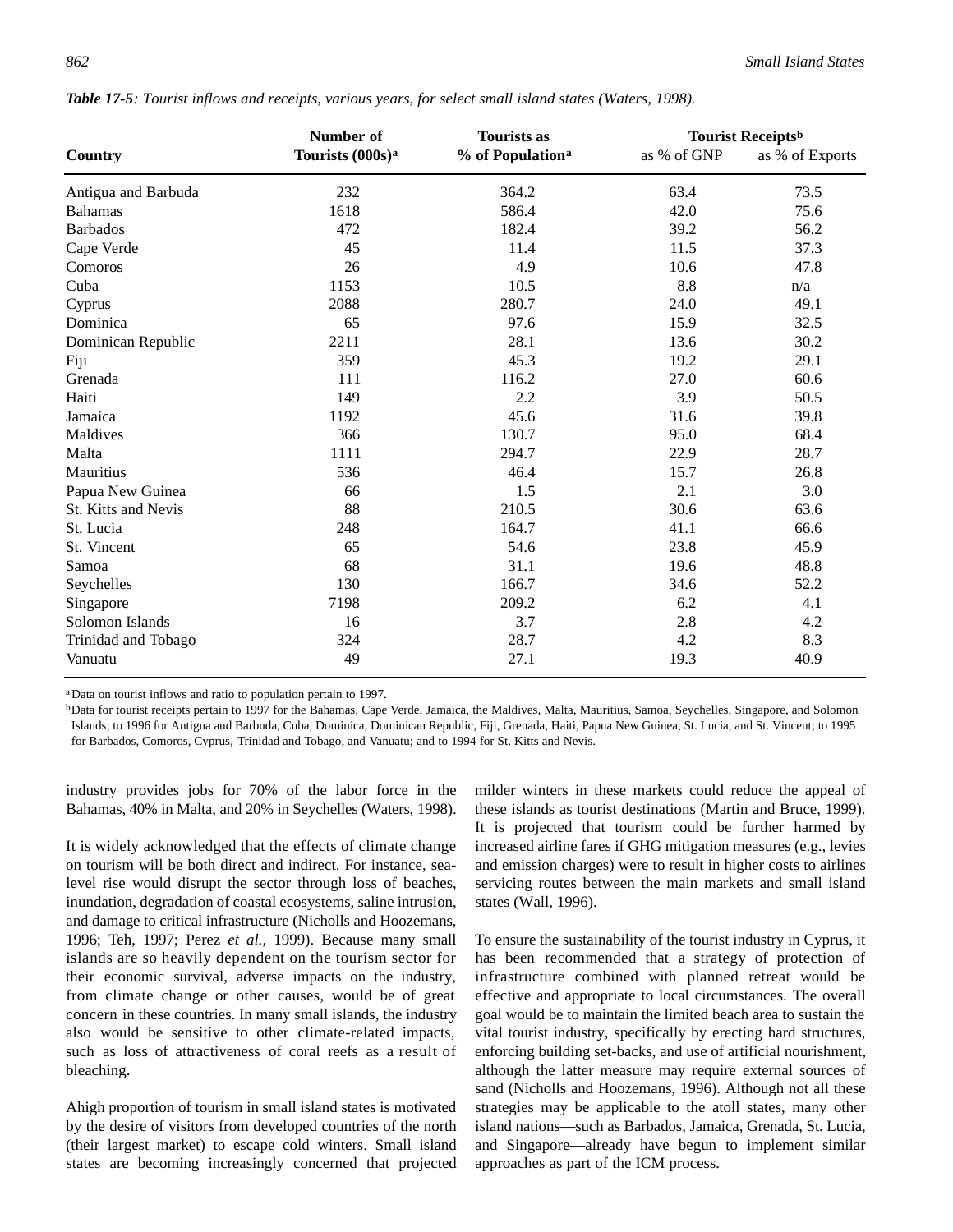|                     | Number of                    | <b>Tourists as</b>           |             | <b>Tourist Receiptsb</b> |
|---------------------|------------------------------|------------------------------|-------------|--------------------------|
| Country             | Tourists (000s) <sup>a</sup> | % of Population <sup>a</sup> | as % of GNP | as % of Exports          |
| Antigua and Barbuda | 232                          | 364.2                        | 63.4        | 73.5                     |
| <b>Bahamas</b>      | 1618                         | 586.4                        | 42.0        | 75.6                     |
| <b>Barbados</b>     | 472                          | 182.4                        | 39.2        | 56.2                     |
| Cape Verde          | 45                           | 11.4                         | 11.5        | 37.3                     |
| Comoros             | 26                           | 4.9                          | 10.6        | 47.8                     |
| Cuba                | 1153                         | 10.5                         | 8.8         | n/a                      |
| Cyprus              | 2088                         | 280.7                        | 24.0        | 49.1                     |
| Dominica            | 65                           | 97.6                         | 15.9        | 32.5                     |
| Dominican Republic  | 2211                         | 28.1                         | 13.6        | 30.2                     |
| Fiji                | 359                          | 45.3                         | 19.2        | 29.1                     |
| Grenada             | 111                          | 116.2                        | 27.0        | 60.6                     |
| Haiti               | 149                          | 2.2                          | 3.9         | 50.5                     |
| Jamaica             | 1192                         | 45.6                         | 31.6        | 39.8                     |
| Maldives            | 366                          | 130.7                        | 95.0        | 68.4                     |
| Malta               | 1111                         | 294.7                        | 22.9        | 28.7                     |
| Mauritius           | 536                          | 46.4                         | 15.7        | 26.8                     |
| Papua New Guinea    | 66                           | 1.5                          | 2.1         | 3.0                      |
| St. Kitts and Nevis | 88                           | 210.5                        | 30.6        | 63.6                     |
| St. Lucia           | 248                          | 164.7                        | 41.1        | 66.6                     |
| St. Vincent         | 65                           | 54.6                         | 23.8        | 45.9                     |
| Samoa               | 68                           | 31.1                         | 19.6        | 48.8                     |
| Seychelles          | 130                          | 166.7                        | 34.6        | 52.2                     |
| Singapore           | 7198                         | 209.2                        | 6.2         | 4.1                      |
| Solomon Islands     | 16                           | 3.7                          | 2.8         | 4.2                      |
| Trinidad and Tobago | 324                          | 28.7                         | 4.2         | 8.3                      |
| Vanuatu             | 49                           | 27.1                         | 19.3        | 40.9                     |

*Table 17-5: Tourist inflows and receipts, various years, for select small island states (Waters, 1998).*

aData on tourist inflows and ratio to population pertain to 1997.

bData for tourist receipts pertain to 1997 for the Bahamas, Cape Verde, Jamaica, the Maldives, Malta, Mauritius, Samoa, Seychelles, Singapore, and Solomon Islands; to 1996 for Antigua and Barbuda, Cuba, Dominica, Dominican Republic, Fiji, Grenada, Haiti, Papua New Guinea, St. Lucia, and St. Vincent; to 1995 for Barbados, Comoros, Cyprus, Trinidad and Tobago, and Vanuatu; and to 1994 for St. Kitts and Nevis.

industry provides jobs for 70% of the labor force in the Bahamas, 40% in Malta, and 20% in Seychelles (Waters, 1998).

It is widely acknowledged that the effects of climate change on tourism will be both direct and indirect. For instance, sealevel rise would disrupt the sector through loss of beaches, inundation, degradation of coastal ecosystems, saline intrusion, and damage to critical infrastructure (Nicholls and Hoozemans, 1996; Teh, 1997; Perez *et al.,* 1999). Because many small islands are so heavily dependent on the tourism sector for their economic survival, adverse impacts on the industry, from climate change or other causes, would be of great concern in these countries. In many small islands, the industry also would be sensitive to other climate-related impacts, such as loss of attractiveness of coral reefs as a result of bleaching.

Ahigh proportion of tourism in small island states is motivated by the desire of visitors from developed countries of the north (their largest market) to escape cold winters. Small island states are becoming increasingly concerned that projected milder winters in these markets could reduce the appeal of these islands as tourist destinations (Martin and Bruce, 1999). It is projected that tourism could be further harmed by increased airline fares if GHG mitigation measures (e.g., levies and emission charges) were to result in higher costs to airlines servicing routes between the main markets and small island states (Wall, 1996).

To ensure the sustainability of the tourist industry in Cyprus, it has been recommended that a strategy of protection of in frastructure combined with planned retreat would be effective and appropriate to local circumstances. The overall goal would be to maintain the limited beach area to sustain the vital tourist industry, specifically by erecting hard structures, enforcing building set-backs, and use of artificial nourishment, although the latter measure may require external sources of sand (Nicholls and Hoozemans, 1996). Although not all these strategies may be applicable to the atoll states, many other island nations—such as Barbados, Jamaica, Grenada, St. Lucia, and Singapore—already have begun to implement similar approaches as part of the ICM process.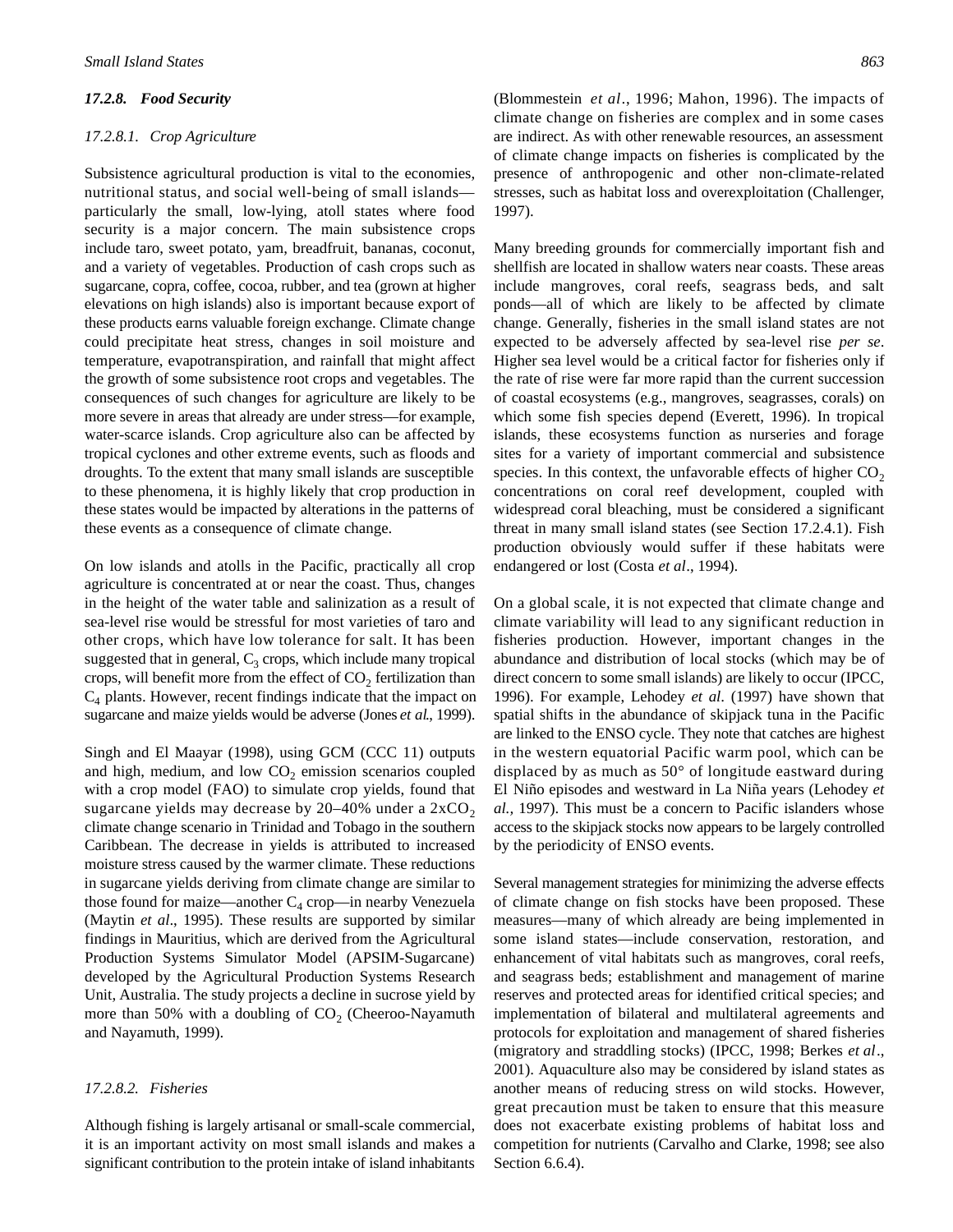#### *17.2.8. Food Security*

#### *17.2.8.1. Crop Agriculture*

Subsistence agricultural production is vital to the economies, nutritional status, and social well-being of small islands particularly the small, low-lying, atoll states where food security is a major concern. The main subsistence crops include taro, sweet potato, yam, breadfruit, bananas, coconut, and a variety of vegetables. Production of cash crops such as sugarcane, copra, coffee, cocoa, rubber, and tea (grown at higher elevations on high islands) also is important because export of these products earns valuable foreign exchange. Climate change could precipitate heat stress, changes in soil moisture and temperature, evapotranspiration, and rainfall that might affect the growth of some subsistence root crops and vegetables. The consequences of such changes for agriculture are likely to be more severe in areas that already are under stress—for example, water-scarce islands. Crop agriculture also can be affected by tropical cyclones and other extreme events, such as floods and droughts. To the extent that many small islands are susceptible to these phenomena, it is highly likely that crop production in these states would be impacted by alterations in the patterns of these events as a consequence of climate change.

On low islands and atolls in the Pacific, practically all crop agriculture is concentrated at or near the coast. Thus, changes in the height of the water table and salinization as a result of sea-level rise would be stressful for most varieties of taro and other crops, which have low tolerance for salt. It has been suggested that in general,  $C_3$  crops, which include many tropical crops, will benefit more from the effect of  $CO_2$  fertilization than  $C_4$  plants. However, recent findings indicate that the impact on sugarcane and maize yields would be adverse (Jones *et al*., 1999).

Singh and El Maayar (1998), using GCM (CCC 11) outputs and high, medium, and low  $CO<sub>2</sub>$  emission scenarios coupled with a crop model (FAO) to simulate crop yields, found that sugarcane yields may decrease by  $20-40\%$  under a  $2xCO<sub>2</sub>$ climate change scenario in Trinidad and Tobago in the southern Caribbean. The decrease in yields is attributed to increased moisture stress caused by the warmer climate. These reductions in sugarcane yields deriving from climate change are similar to those found for maize—another C<sub>4</sub> crop—in nearby Venezuela (Maytin *et al*., 1995). These results are supported by similar findings in Mauritius, which are derived from the Agricultural Production Systems Simulator Model (APSIM-Sugarcane) developed by the Agricultural Production Systems Research Unit, Australia. The study projects a decline in sucrose yield by more than 50% with a doubling of  $CO<sub>2</sub>$  (Cheeroo-Nayamuth and Nayamuth, 1999).

#### *17.2.8.2. Fisheries*

Although fishing is largely artisanal or small-scale commercial, it is an important activity on most small islands and makes a significant contribution to the protein intake of island inhabitants

(Blommestein *et al*., 1996; Mahon, 1996). The impacts of climate change on fisheries are complex and in some cases are indirect. As with other renewable resources, an assessment of climate change impacts on fisheries is complicated by the presence of anthropogenic and other non-climate-related stresses, such as habitat loss and overexploitation (Challenger, 1997).

Many breeding grounds for commercially important fish and shellfish are located in shallow waters near coasts. These areas include mangroves, coral reefs, seagrass beds, and salt ponds—all of which are likely to be affected by climate change. Generally, fisheries in the small island states are not expected to be adversely affected by sea-level rise *per se*. Higher sea level would be a critical factor for fisheries only if the rate of rise were far more rapid than the current succession of coastal ecosystems (e.g., mangroves, seagrasses, corals) on which some fish species depend (Everett, 1996). In tropical islands, these ecosystems function as nurseries and forage sites for a variety of important commercial and subsistence species. In this context, the unfavorable effects of higher  $CO<sub>2</sub>$ concentrations on coral reef development, coupled with widespread coral bleaching, must be considered a significant threat in many small island states (see Section 17.2.4.1). Fish production obviously would suffer if these habitats were endangered or lost (Costa *et al*., 1994).

On a global scale, it is not expected that climate change and climate variability will lead to any significant reduction in fisheries production. However, important changes in the abundance and distribution of local stocks (which may be of direct concern to some small islands) are likely to occur (IPCC, 1996). For example, Lehodey *et al*. (1997) have shown that spatial shifts in the abundance of skipjack tuna in the Pacific are linked to the ENSO cycle. They note that catches are highest in the western equatorial Pacific warm pool, which can be displaced by as much as  $50^{\circ}$  of longitude eastward during El Niño episodes and westward in La Niña years (Lehodey *et al.,* 1997). This must be a concern to Pacific islanders whose access to the skipjack stocks now appears to be largely controlled by the periodicity of ENSO events.

Several management strategies for minimizing the adverse effects of climate change on fish stocks have been proposed. These measures—many of which already are being implemented in some island states—include conservation, restoration, and enhancement of vital habitats such as mangroves, coral reefs, and seagrass beds; establishment and management of marine reserves and protected areas for identified critical species; and implementation of bilateral and multilateral agreements and protocols for exploitation and management of shared fisheries (migratory and straddling stocks) (IPCC, 1998; Berkes *et al*., 2001). Aquaculture also may be considered by island states as another means of reducing stress on wild stocks. However, great precaution must be taken to ensure that this measure does not exacerbate existing problems of habitat loss and competition for nutrients (Carvalho and Clarke, 1998; see also Section 6.6.4).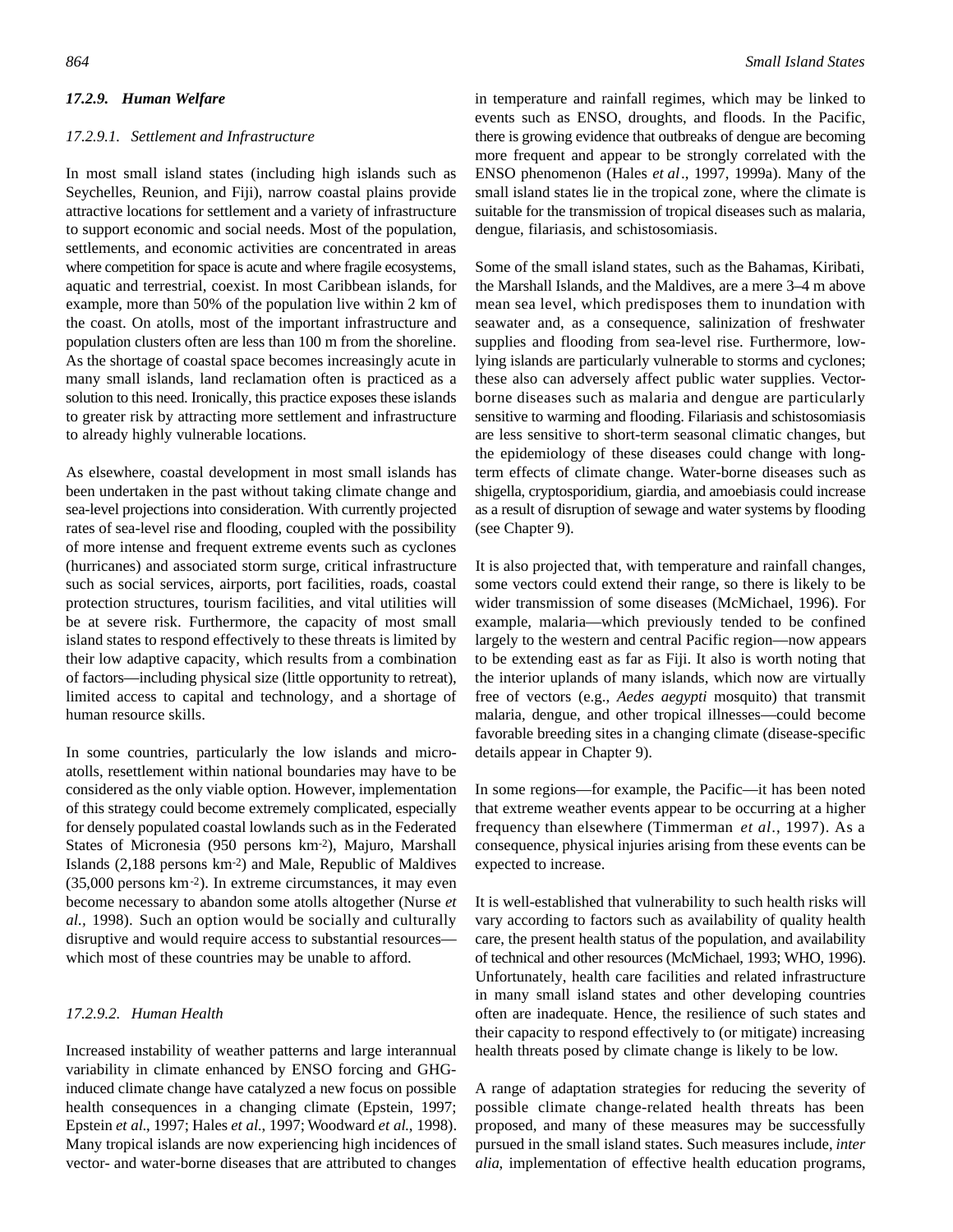#### *17.2.9. Human Welfare*

#### *17.2.9.1. Settlement and Infrastructure*

In most small island states (including high islands such as Seychelles, Reunion, and Fiji), narrow coastal plains provide attractive locations for settlement and a variety of infrastructure to support economic and social needs. Most of the population, settlements, and economic activities are concentrated in areas where competition for space is acute and where fragile ecosystems, aquatic and terrestrial, coexist. In most Caribbean islands, for example, more than 50% of the population live within 2 km of the coast. On atolls, most of the important infrastructure and population clusters often are less than 100 m from the shoreline. As the shortage of coastal space becomes increasingly acute in many small islands, land reclamation often is practiced as a solution to this need. Ironically, this practice exposes these islands to greater risk by attracting more settlement and infrastructure to already highly vulnerable locations.

As elsewhere, coastal development in most small islands has been undertaken in the past without taking climate change and sea-level projections into consideration. With currently projected rates of sea-level rise and flooding, coupled with the possibility of more intense and frequent extreme events such as cyclones (hurricanes) and associated storm surge, critical infrastructure such as social services, airports, port facilities, roads, coastal protection structures, tourism facilities, and vital utilities will be at severe risk. Furthermore, the capacity of most small island states to respond effectively to these threats is limited by their low adaptive capacity, which results from a combination of factors—including physical size (little opportunity to retreat), limited access to capital and technology, and a shortage of human resource skills.

In some countries, particularly the low islands and microatolls, resettlement within national boundaries may have to be considered as the only viable option. However, implementation of this strategy could become extremely complicated, especially for densely populated coastal lowlands such as in the Federated States of Micronesia (950 persons km-2), Majuro, Marshall Islands (2,188 persons km-2) and Male, Republic of Maldives (35,000 persons km-2). In extreme circumstances, it may even become necessary to abandon some atolls altogether (Nurse *et al.*, 1998). Such an option would be socially and culturally disruptive and would require access to substantial resources which most of these countries may be unable to afford.

#### *17.2.9.2. Human Health*

Increased instability of weather patterns and large interannual variability in climate enhanced by ENSO forcing and GHGinduced climate change have catalyzed a new focus on possible health consequences in a changing climate (Epstein, 1997; Epstein *et al*., 1997; Hales *et al*., 1997; Woodward *et al*., 1998). Many tropical islands are now experiencing high incidences of vector- and water-borne diseases that are attributed to changes in temperature and rainfall regimes, which may be linked to events such as ENSO, droughts, and floods. In the Pacific, there is growing evidence that outbreaks of dengue are becoming more frequent and appear to be strongly correlated with the ENSO phenomenon (Hales *et al*., 1997, 1999a). Many of the small island states lie in the tropical zone, where the climate is suitable for the transmission of tropical diseases such as malaria, dengue, filariasis, and schistosomiasis.

Some of the small island states, such as the Bahamas, Kiribati, the Marshall Islands, and the Maldives, are a mere 3–4 m above mean sea level, which predisposes them to inundation with seawater and, as a consequence, salinization of freshwater supplies and flooding from sea-level rise. Furthermore, lowlying islands are particularly vulnerable to storms and cyclones; these also can adversely affect public water supplies. Vectorborne diseases such as malaria and dengue are particularly sensitive to warming and flooding. Filariasis and schistosomiasis are less sensitive to short-term seasonal climatic changes, but the epidemiology of these diseases could change with longterm effects of climate change. Water-borne diseases such as shigella, cryptosporidium, giardia, and amoebiasis could increase as a result of disruption of sewage and water systems by flooding (see Chapter 9).

It is also projected that, with temperature and rainfall changes, some vectors could extend their range, so there is likely to be wider transmission of some diseases (McMichael, 1996). For example, malaria—which previously tended to be confined largely to the western and central Pacific region—now appears to be extending east as far as Fiji. It also is worth noting that the interior uplands of many islands, which now are virtually free of vectors (e.g., *Aedes aegypti* mosquito) that transmit malaria, dengue, and other tropical illnesses—could become favorable breeding sites in a changing climate (disease-specific details appear in Chapter 9).

In some regions—for example, the Pacific—it has been noted that extreme weather events appear to be occurring at a higher frequency than elsewhere (Timmerman *et al*., 1997). As a consequence, physical injuries arising from these events can be expected to increase.

It is well-established that vulnerability to such health risks will vary according to factors such as availability of quality health care, the present health status of the population, and availability of technical and other resources (McMichael, 1993; WHO, 1996). Unfortunately, health care facilities and related infrastructure in many small island states and other developing countries often are inadequate. Hence, the resilience of such states and their capacity to respond effectively to (or mitigate) increasing health threats posed by climate change is likely to be low.

A range of adaptation strategies for reducing the severity of possible climate change-related health threats has been proposed, and many of these measures may be successfully pursued in the small island states. Such measures include, *inter alia*, implementation of effective health education programs,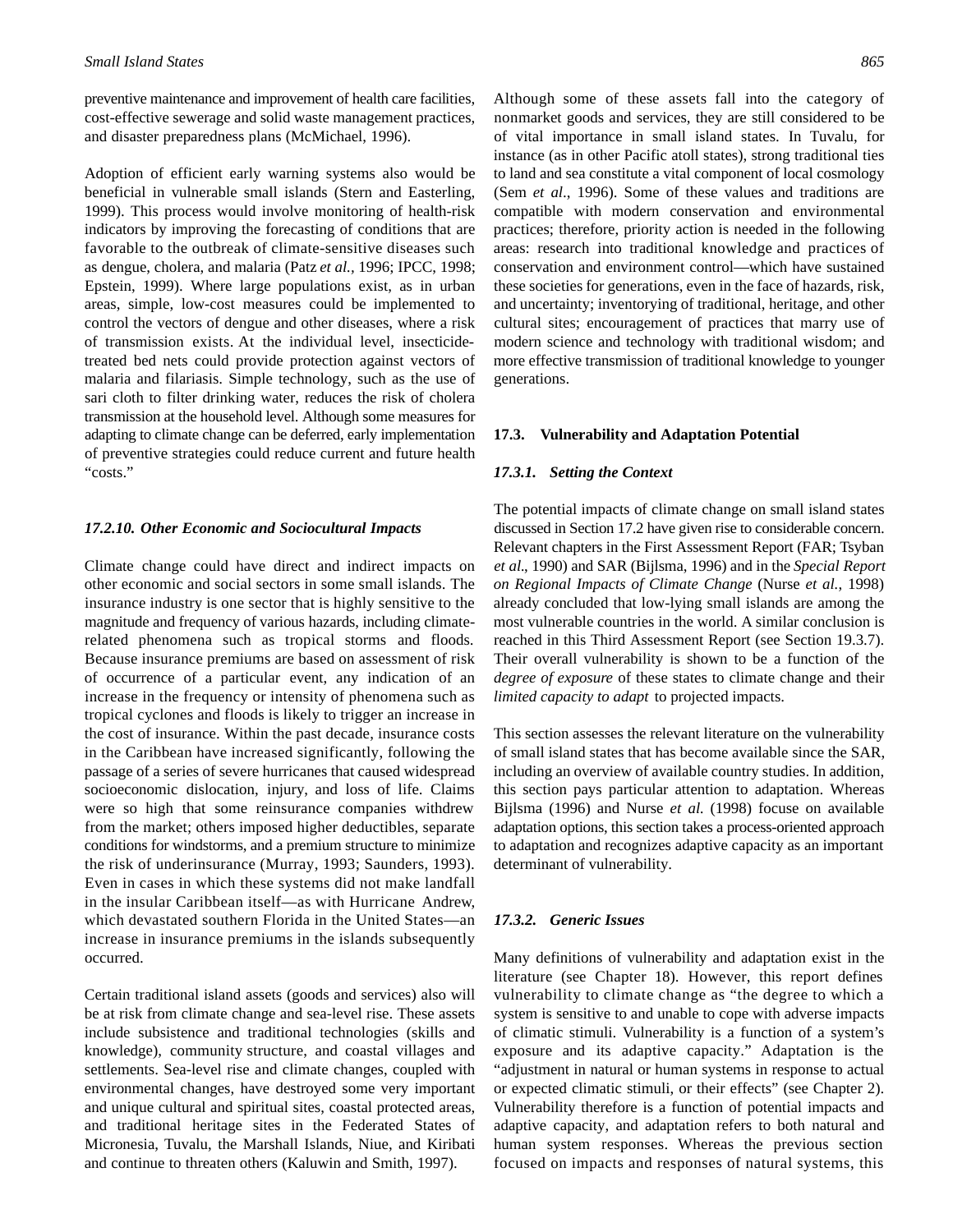preventive maintenance and improvement of health care facilities, cost-effective sewerage and solid waste management practices, and disaster preparedness plans (McMichael, 1996).

Adoption of efficient early warning systems also would be beneficial in vulnerable small islands (Stern and Easterling, 1999). This process would involve monitoring of health-risk indicators by improving the forecasting of conditions that are favorable to the outbreak of climate-sensitive diseases such as dengue, cholera, and malaria (Patz *et al.,* 1996; IPCC, 1998; Epstein, 1999). Where large populations exist, as in urban areas, simple, low-cost measures could be implemented to control the vectors of dengue and other diseases, where a risk of transmission exists. At the individual level, insecticidetreated bed nets could provide protection against vectors of malaria and filariasis. Simple technology, such as the use of sari cloth to filter drinking water, reduces the risk of cholera transmission at the household level. Although some measures for adapting to climate change can be deferred, early implementation of preventive strategies could reduce current and future health "costs."

#### *17.2.10. Other Economic and Sociocultural Impacts*

Climate change could have direct and indirect impacts on other economic and social sectors in some small islands. The insurance industry is one sector that is highly sensitive to the magnitude and frequency of various hazards, including climaterelated phenomena such as tropical storms and floods. Because insurance premiums are based on assessment of risk of occurrence of a particular event, any indication of an increase in the frequency or intensity of phenomena such as tropical cyclones and floods is likely to trigger an increase in the cost of insurance. Within the past decade, insurance costs in the Caribbean have increased significantly, following the passage of a series of severe hurricanes that caused widespread socioeconomic dislocation, injury, and loss of life. Claims were so high that some reinsurance companies withdrew from the market; others imposed higher deductibles, separate conditions for windstorms, and a premium structure to minimize the risk of underinsurance (Murray, 1993; Saunders, 1993). Even in cases in which these systems did not make landfall in the insular Caribbean itself—as with Hurricane Andrew, which devastated southern Florida in the United States—an increase in insurance premiums in the islands subsequently occurred.

Certain traditional island assets (goods and services) also will be at risk from climate change and sea-level rise. These assets include subsistence and traditional technologies (skills and knowledge), community structure, and coastal villages and settlements. Sea-level rise and climate changes, coupled with environmental changes, have destroyed some very important and unique cultural and spiritual sites, coastal protected areas, and traditional heritage sites in the Federated States of Micronesia, Tuvalu, the Marshall Islands, Niue, and Kiribati and continue to threaten others (Kaluwin and Smith, 1997).

Although some of these assets fall into the category of nonmarket goods and services, they are still considered to be of vital importance in small island states. In Tuvalu, for instance (as in other Pacific atoll states), strong traditional ties to land and sea constitute a vital component of local cosmology (Sem *et al*., 1996). Some of these values and traditions are compatible with modern conservation and environmental practices; therefore, priority action is needed in the following areas: research into traditional knowledge and practices of conservation and environment control—which have sustained these societies for generations, even in the face of hazards, risk, and uncertainty; inventorying of traditional, heritage, and other cultural sites; encouragement of practices that marry use of modern science and technology with traditional wisdom; and more effective transmission of traditional knowledge to younger generations.

#### **17.3. Vulnerability and Adaptation Potential**

#### *17.3.1. Setting the Context*

The potential impacts of climate change on small island states discussed in Section 17.2 have given rise to considerable concern. Relevant chapters in the First Assessment Report (FAR; Tsyban *et al.*, 1990) and SAR (Bijlsma, 1996) and in the *Special Report on Regional Impacts of Climate Change* (Nurse *et al.*, 1998) already concluded that low-lying small islands are among the most vulnerable countries in the world. A similar conclusion is reached in this Third Assessment Report (see Section 19.3.7). Their overall vulnerability is shown to be a function of the *degree of exposure* of these states to climate change and their *limited capacity to adapt* to projected impacts.

This section assesses the relevant literature on the vulnerability of small island states that has become available since the SAR, including an overview of available country studies. In addition, this section pays particular attention to adaptation. Whereas Bijlsma (1996) and Nurse *et al.* (1998) focuse on available adaptation options, this section takes a process-oriented approach to adaptation and recognizes adaptive capacity as an important determinant of vulnerability.

#### *17.3.2. Generic Issues*

Many definitions of vulnerability and adaptation exist in the literature (see Chapter 18). However, this report defines vulnerability to climate change as "the degree to which a system is sensitive to and unable to cope with adverse impacts of climatic stimuli. Vulnerability is a function of a system's exposure and its adaptive capacity." Adaptation is the "adjustment in natural or human systems in response to actual or expected climatic stimuli, or their effects" (see Chapter 2). Vulnerability therefore is a function of potential impacts and adaptive capacity, and adaptation refers to both natural and human system responses. Whereas the previous section focused on impacts and responses of natural systems, this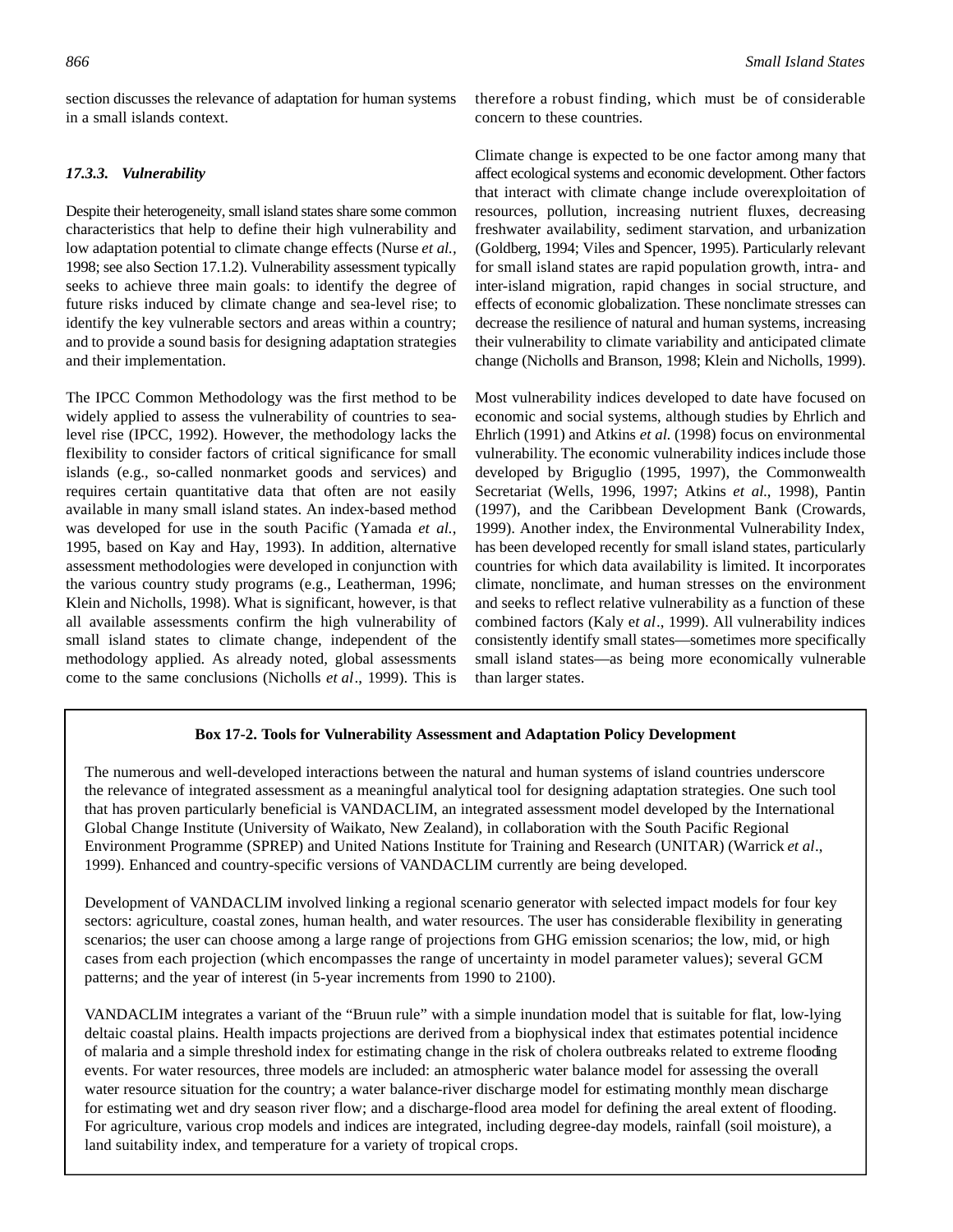section discusses the relevance of adaptation for human systems in a small islands context.

#### *17.3.3. Vulnerability*

Despite their heterogeneity, small island states share some common characteristics that help to define their high vulnerability and low adaptation potential to climate change effects (Nurse *et al.,* 1998; see also Section 17.1.2). Vulnerability assessment typically seeks to achieve three main goals: to identify the degree of future risks induced by climate change and sea-level rise; to identify the key vulnerable sectors and areas within a country; and to provide a sound basis for designing adaptation strategies and their implementation.

The IPCC Common Methodology was the first method to be widely applied to assess the vulnerability of countries to sealevel rise (IPCC, 1992). However, the methodology lacks the flexibility to consider factors of critical significance for small islands (e.g., so-called nonmarket goods and services) and requires certain quantitative data that often are not easily available in many small island states. An index-based method was developed for use in the south Pacific (Yamada *et al.*, 1995, based on Kay and Hay, 1993). In addition, alternative assessment methodologies were developed in conjunction with the various country study programs (e.g., Leatherman, 1996; Klein and Nicholls, 1998). What is significant, however, is that all available assessments confirm the high vulnerability of small island states to climate change, independent of the methodology applied. As already noted, global assessments come to the same conclusions (Nicholls *et al*., 1999). This is therefore a robust finding, which must be of considerable concern to these countries.

Climate change is expected to be one factor among many that a ffect ecological systems and economic development. Other factors that interact with climate change include overexploitation of resources, pollution, increasing nutrient fluxes, decreasing freshwater availability, sediment starvation, and urbanization (Goldberg, 1994; Viles and Spencer, 1995). Particularly relevant for small island states are rapid population growth, intra- and inter-island migration, rapid changes in social structure, and e ffects of economic globalization. These nonclimate stresses can decrease the resilience of natural and human systems, increasing their vulnerability to climate variability and anticipated climate change (Nicholls and Branson, 1998; Klein and Nicholls, 1999).

Most vulnerability indices developed to date have focused on economic and social systems, although studies by Ehrlich and Ehrlich (1991) and Atkins *et al.* (1998) focus on environmental vulnerability. The economic vulnerability indices include those developed by Briguglio (1995, 1997), the Commonwealth Secretariat (Wells, 1996, 1997; Atkins *et al.*, 1998), Pantin (1997), and the Caribbean Development Bank (Crowards, 1999). Another index, the Environmental Vulnerability Index, has been developed recently for small island states, particularly countries for which data availability is limited. It incorporates climate, nonclimate, and human stresses on the environment and seeks to reflect relative vulnerability as a function of these combined factors (Kaly e*t al*., 1999). All vulnerability indices consistently identify small states—sometimes more specifically small island states—as being more economically vulnerable than larger states.

#### **Box 17-2. Tools for Vulnerability Assessment and Adaptation Policy Development**

The numerous and well-developed interactions between the natural and human systems of island countries underscore the relevance of integrated assessment as a meaningful analytical tool for designing adaptation strategies. One such tool that has proven particularly beneficial is VANDACLIM, an integrated assessment model developed by the International Global Change Institute (University of Waikato, New Zealand), in collaboration with the South Pacific Regional Environment Programme (SPREP) and United Nations Institute for Training and Research (UNITAR) (Warrick *et al*., 1999). Enhanced and country-specific versions of VANDACLIM currently are being developed.

Development of VANDACLIM involved linking a regional scenario generator with selected impact models for four key sectors: agriculture, coastal zones, human health, and water resources. The user has considerable flexibility in generating scenarios; the user can choose among a large range of projections from GHG emission scenarios; the low, mid, or high cases from each projection (which encompasses the range of uncertainty in model parameter values); several GCM patterns; and the year of interest (in 5-year increments from 1990 to 2100).

VANDACLIM integrates a variant of the "Bruun rule" with a simple inundation model that is suitable for flat, low-lying deltaic coastal plains. Health impacts projections are derived from a biophysical index that estimates potential incidence of malaria and a simple threshold index for estimating change in the risk of cholera outbreaks related to extreme flooding events. For water resources, three models are included: an atmospheric water balance model for assessing the overall water resource situation for the country; a water balance-river discharge model for estimating monthly mean discharge for estimating wet and dry season river flow; and a discharge-flood area model for defining the areal extent of flooding. For agriculture, various crop models and indices are integrated, including degree-day models, rainfall (soil moisture), a land suitability index, and temperature for a variety of tropical crops.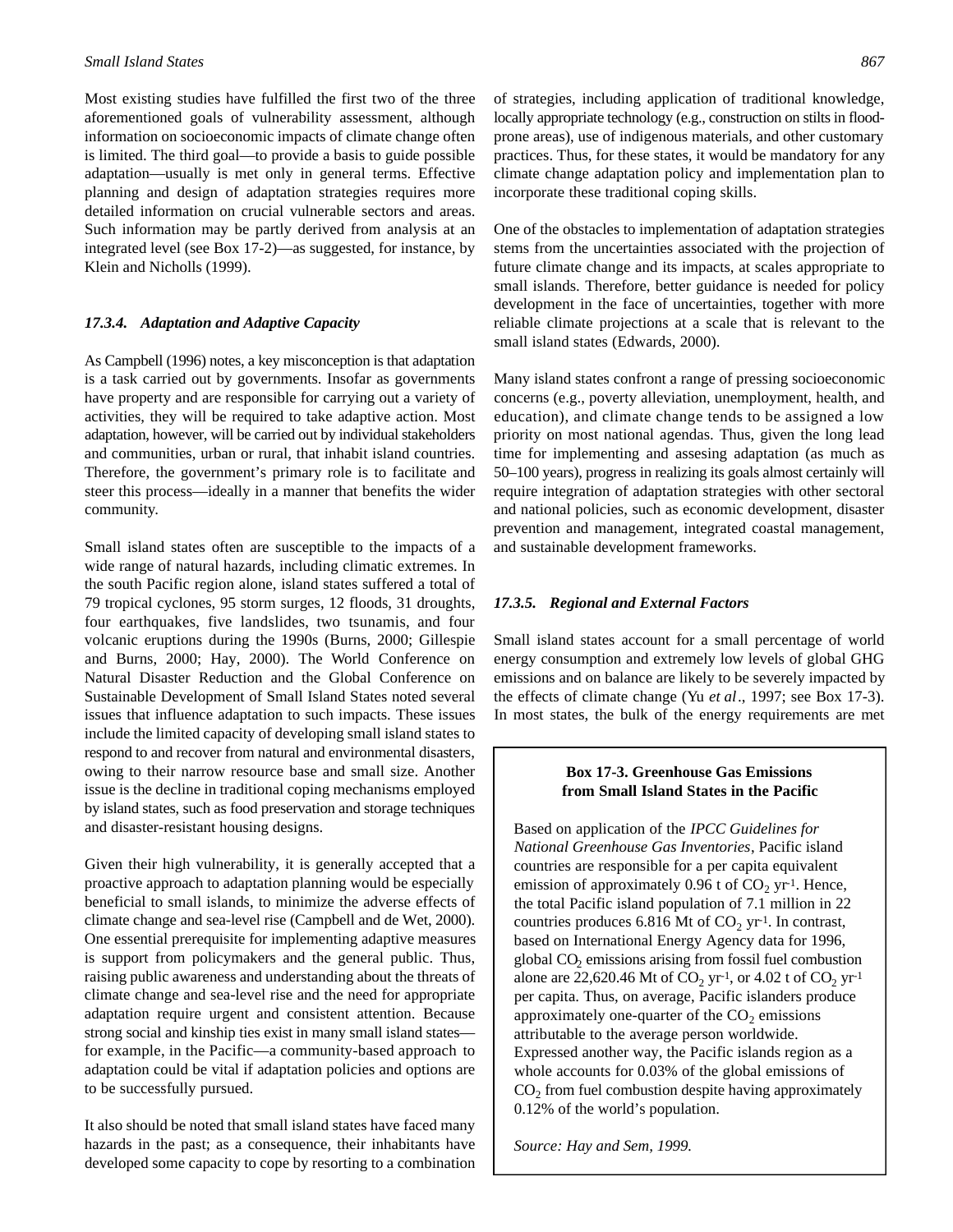Most existing studies have fulfilled the first two of the three aforementioned goals of vulnerability assessment, although information on socioeconomic impacts of climate change often is limited. The third goal—to provide a basis to guide possible adaptation—usually is met only in general terms. Effective planning and design of adaptation strategies requires more detailed information on crucial vulnerable sectors and areas. Such information may be partly derived from analysis at an integrated level (see Box 17-2)—as suggested, for instance, by Klein and Nicholls (1999).

#### *17.3.4. Adaptation and Adaptive Capacity*

As Campbell (1996) notes, a key misconception is that adaptation is a task carried out by governments. Insofar as governments have property and are responsible for carrying out a variety of activities, they will be required to take adaptive action. Most adaptation, however, will be carried out by individual stakeholders and communities, urban or rural, that inhabit island countries. Therefore, the government's primary role is to facilitate and steer this process—ideally in a manner that benefits the wider community.

Small island states often are susceptible to the impacts of a wide range of natural hazards, including climatic extremes. In the south Pacific region alone, island states suffered a total of 79 tropical cyclones, 95 storm surges, 12 floods, 31 droughts, four earthquakes, five landslides, two tsunamis, and four volcanic eruptions during the 1990s (Burns, 2000; Gillespie and Burns, 2000; Hay, 2000). The World Conference on Natural Disaster Reduction and the Global Conference on Sustainable Development of Small Island States noted several issues that influence adaptation to such impacts. These issues include the limited capacity of developing small island states to respond to and recover from natural and environmental disasters, owing to their narrow resource base and small size. Another issue is the decline in traditional coping mechanisms employed by island states, such as food preservation and storage techniques and disaster-resistant housing designs.

Given their high vulnerability, it is generally accepted that a proactive approach to adaptation planning would be especially beneficial to small islands, to minimize the adverse effects of climate change and sea-level rise (Campbell and de Wet, 2000). One essential prerequisite for implementing adaptive measures is support from policymakers and the general public. Thus, raising public awareness and understanding about the threats of climate change and sea-level rise and the need for appropriate adaptation require urgent and consistent attention. Because strong social and kinship ties exist in many small island states for example, in the Pacific—a community-based approach to adaptation could be vital if adaptation policies and options are to be successfully pursued.

It also should be noted that small island states have faced many hazards in the past; as a consequence, their inhabitants have developed some capacity to cope by resorting to a combination

of strategies, including application of traditional knowledge, locally appropriate technology (e.g., construction on stilts in floodprone areas), use of indigenous materials, and other customary practices. Thus, for these states, it would be mandatory for any climate change adaptation policy and implementation plan to incorporate these traditional coping skills.

One of the obstacles to implementation of adaptation strategies stems from the uncertainties associated with the projection of future climate change and its impacts, at scales appropriate to small islands. Therefore, better guidance is needed for policy development in the face of uncertainties, together with more reliable climate projections at a scale that is relevant to the small island states (Edwards, 2000).

Many island states confront a range of pressing socioeconomic concerns (e.g., poverty alleviation, unemployment, health, and education), and climate change tends to be assigned a low priority on most national agendas. Thus, given the long lead time for implementing and assesing adaptation (as much as 50–100 years), progress in realizing its goals almost certainly will require integration of adaptation strategies with other sectoral and national policies, such as economic development, disaster prevention and management, integrated coastal management, and sustainable development frameworks.

#### *17.3.5. Regional and External Factors*

Small island states account for a small percentage of world energy consumption and extremely low levels of global GHG emissions and on balance are likely to be severely impacted by the effects of climate change (Yu *et al*., 1997; see Box 17-3). In most states, the bulk of the energy requirements are met

#### **Box 17-3. Greenhouse Gas Emissions from Small Island States in the Pacific**

Based on application of the *IPCC Guidelines for National Greenhouse Gas Inventories*, Pacific island countries are responsible for a per capita equivalent emission of approximately 0.96 t of  $CO<sub>2</sub>$  yr<sup>1</sup>. Hence, the total Pacific island population of 7.1 million in 22 countries produces 6.816 Mt of  $CO<sub>2</sub>$  yr<sup>-1</sup>. In contrast, based on International Energy Agency data for 1996, global  $CO<sub>2</sub>$  emissions arising from fossil fuel combustion alone are 22,620.46 Mt of  $CO_2$  yr<sup>-1</sup>, or 4.02 t of  $CO_2$  yr<sup>-1</sup> per capita. Thus, on average, Pacific islanders produce approximately one-quarter of the  $CO_2$  emissions attributable to the average person worldwide. Expressed another way, the Pacific islands region as a whole accounts for 0.03% of the global emissions of  $CO<sub>2</sub>$  from fuel combustion despite having approximately 0.12% of the world's population.

*Source: Hay and Sem, 1999.*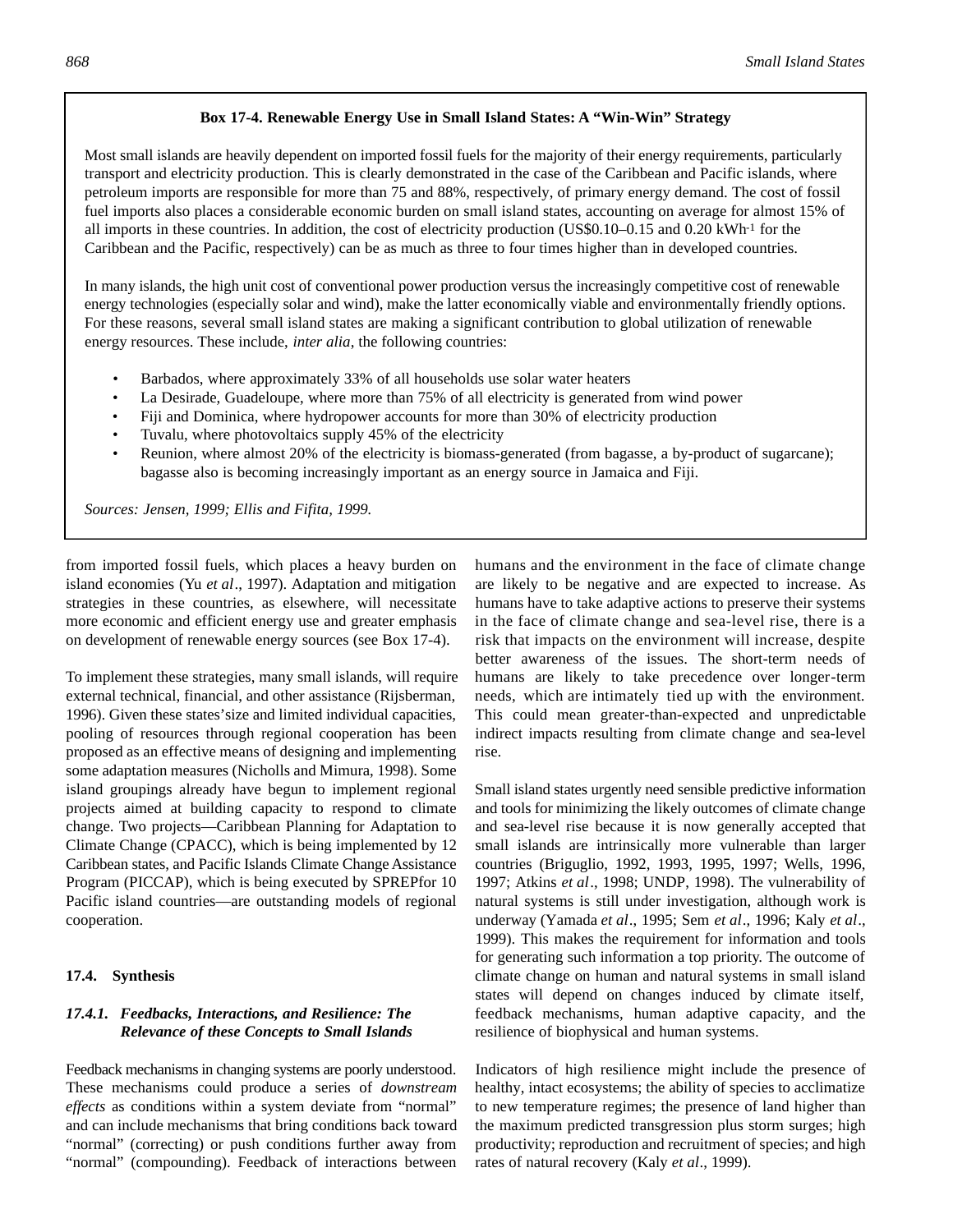#### **Box 17-4. Renewable Energy Use in Small Island States: A "Win-Win" Strategy**

Most small islands are heavily dependent on imported fossil fuels for the majority of their energy requirements, particularly transport and electricity production. This is clearly demonstrated in the case of the Caribbean and Pacific islands, where petroleum imports are responsible for more than 75 and 88%, respectively, of primary energy demand. The cost of fossil fuel imports also places a considerable economic burden on small island states, accounting on average for almost 15% of all imports in these countries. In addition, the cost of electricity production (US\$0.10–0.15 and 0.20 kWh-1 for the Caribbean and the Pacific, respectively) can be as much as three to four times higher than in developed countries.

In many islands, the high unit cost of conventional power production versus the increasingly competitive cost of renewable energy technologies (especially solar and wind), make the latter economically viable and environmentally friendly options. For these reasons, several small island states are making a significant contribution to global utilization of renewable energy resources. These include, *inter alia*, the following countries:

- Barbados, where approximately 33% of all households use solar water heaters
- La Desirade, Guadeloupe, where more than 75% of all electricity is generated from wind power
- Fiji and Dominica, where hydropower accounts for more than 30% of electricity production
- Tuvalu, where photovoltaics supply 45% of the electricity
- Reunion, where almost 20% of the electricity is biomass-generated (from bagasse, a by-product of sugarcane); bagasse also is becoming increasingly important as an energy source in Jamaica and Fiji.

*Sources: Jensen, 1999; Ellis and Fifita, 1999.*

from imported fossil fuels, which places a heavy burden on island economies (Yu *et al*., 1997). Adaptation and mitigation strategies in these countries, as elsewhere, will necessitate more economic and efficient energy use and greater emphasis on development of renewable energy sources (see Box 17-4).

To implement these strategies, many small islands, will require external technical, financial, and other assistance (Rijsberman, 1996). Given these states'size and limited individual capacities, pooling of resources through regional cooperation has been proposed as an effective means of designing and implementing some adaptation measures (Nicholls and Mimura, 1998). Some island groupings already have begun to implement regional projects aimed at building capacity to respond to climate change. Two projects—Caribbean Planning for Adaptation to Climate Change (CPACC), which is being implemented by 12 Caribbean states, and Pacific Islands Climate Change Assistance Program (PICCAP), which is being executed by SPREPfor 10 Pacific island countries—are outstanding models of regional cooperation.

#### **17.4. Synthesis**

#### *17.4.1. Feedbacks, Interactions, and Resilience: The Relevance of these Concepts to Small Islands*

Feedback mechanisms in changing systems are poorly understood. These mechanisms could produce a series of *downstream effects* as conditions within a system deviate from "normal" and can include mechanisms that bring conditions back toward "normal" (correcting) or push conditions further away from "normal" (compounding). Feedback of interactions between

humans and the environment in the face of climate change are likely to be negative and are expected to increase. As humans have to take adaptive actions to preserve their systems in the face of climate change and sea-level rise, there is a risk that impacts on the environment will increase, despite better awareness of the issues. The short-term needs of humans are likely to take precedence over longer-term needs, which are intimately tied up with the environment. This could mean greater-than-expected and unpredictable indirect impacts resulting from climate change and sea-level rise.

Small island states urgently need sensible predictive information and tools for minimizing the likely outcomes of climate change and sea-level rise because it is now generally accepted that small islands are intrinsically more vulnerable than larger countries (Briguglio, 1992, 1993, 1995, 1997; Wells, 1996, 1997; Atkins *et al*., 1998; UNDP, 1998). The vulnerability of natural systems is still under investigation, although work is underway (Yamada *et al*., 1995; Sem *et al*., 1996; Kaly *et al*., 1999). This makes the requirement for information and tools for generating such information a top priority. The outcome of climate change on human and natural systems in small island states will depend on changes induced by climate itself, feedback mechanisms, human adaptive capacity, and the resilience of biophysical and human systems.

Indicators of high resilience might include the presence of healthy, intact ecosystems; the ability of species to acclimatize to new temperature regimes; the presence of land higher than the maximum predicted transgression plus storm surges; high productivity; reproduction and recruitment of species; and high rates of natural recovery (Kaly *et al*., 1999).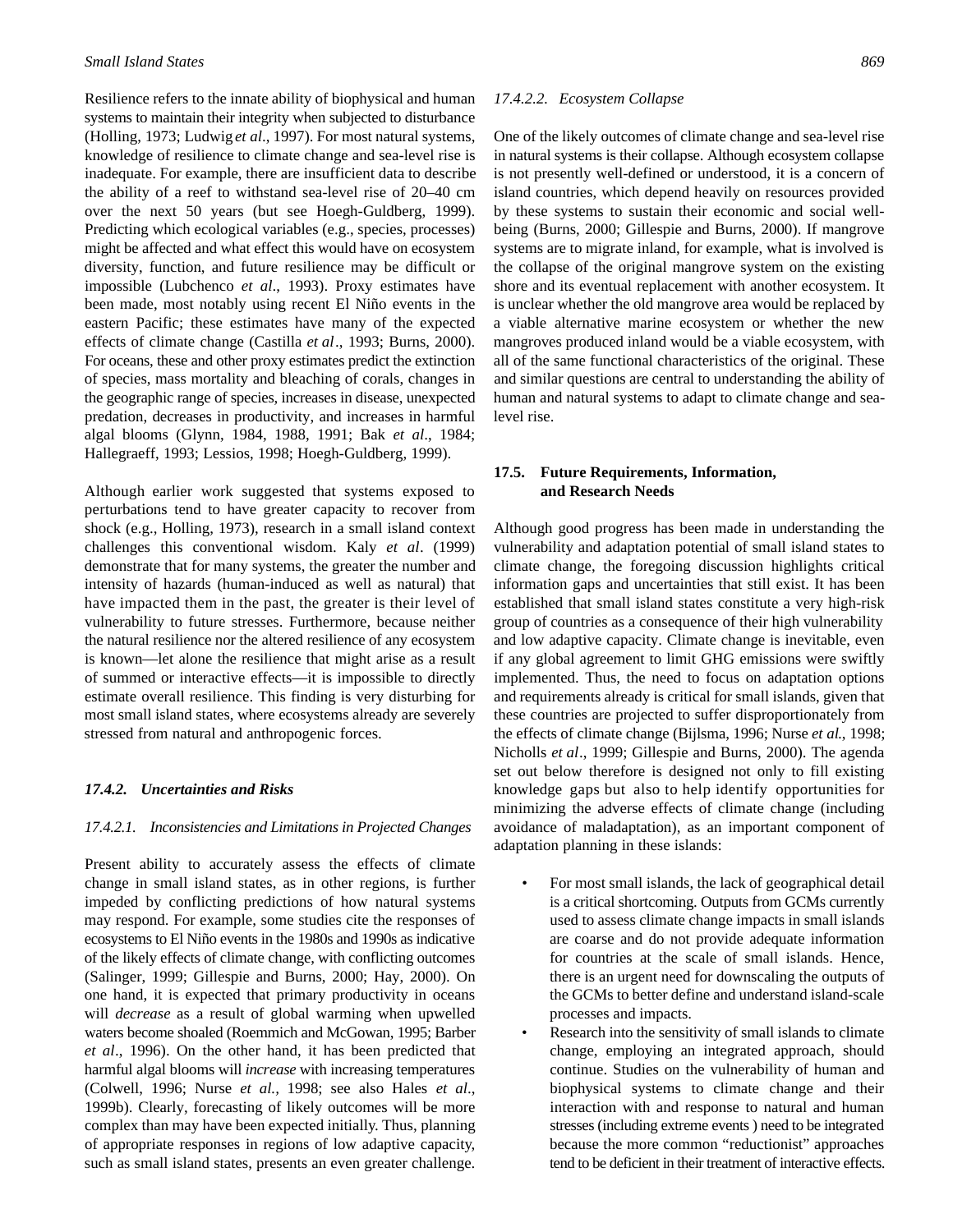Resilience refers to the innate ability of biophysical and human systems to maintain their integrity when subjected to disturbance (Holling, 1973; Ludwig *et al*., 1997). For most natural systems, knowledge of resilience to climate change and sea-level rise is inadequate. For example, there are insufficient data to describe the ability of a reef to withstand sea-level rise of 20–40 cm over the next 50 years (but see Hoegh-Guldberg, 1999). Predicting which ecological variables (e.g., species, processes) might be affected and what effect this would have on ecosystem diversity, function, and future resilience may be difficult or impossible (Lubchenco *et al*., 1993). Proxy estimates have been made, most notably using recent El Niño events in the eastern Pacific; these estimates have many of the expected effects of climate change (Castilla *et al*., 1993; Burns, 2000). For oceans, these and other proxy estimates predict the extinction of species, mass mortality and bleaching of corals, changes in the geographic range of species, increases in disease, unexpected predation, decreases in productivity, and increases in harmful algal blooms (Glynn, 1984, 1988, 1991; Bak *et al*., 1984; Hallegraeff, 1993; Lessios, 1998; Hoegh-Guldberg, 1999).

Although earlier work suggested that systems exposed to perturbations tend to have greater capacity to recover from shock (e.g., Holling, 1973), research in a small island context challenges this conventional wisdom. Kaly *et al*. (1999) demonstrate that for many systems, the greater the number and intensity of hazards (human-induced as well as natural) that have impacted them in the past, the greater is their level of vulnerability to future stresses. Furthermore, because neither the natural resilience nor the altered resilience of any ecosystem is known—let alone the resilience that might arise as a result of summed or interactive effects—it is impossible to directly estimate overall resilience. This finding is very disturbing for most small island states, where ecosystems already are severely stressed from natural and anthropogenic forces.

#### *17.4.2. Uncertainties and Risks*

#### *1 7 . 4 . 2 . 1 . Inconsistencies and Limitations in Projected Changes*

Present ability to accurately assess the effects of climate change in small island states, as in other regions, is further impeded by conflicting predictions of how natural systems may respond. For example, some studies cite the responses of ecosystems to El Niño events in the 1980s and 1990s as indicative of the likely effects of climate change, with conflicting outcomes (Salinger, 1999; Gillespie and Burns, 2000; Hay, 2000). On one hand, it is expected that primary productivity in oceans will *decrease* as a result of global warming when upwelled waters become shoaled (Roemmich and McGowan, 1995; Barber *et al*., 1996). On the other hand, it has been predicted that harmful algal blooms will *increase* with increasing temperatures (Colwell, 1996; Nurse *et al.,* 1998; see also Hales *et al*., 1999b). Clearly, forecasting of likely outcomes will be more complex than may have been expected initially. Thus, planning of appropriate responses in regions of low adaptive capacity, such as small island states, presents an even greater challenge.

#### *17.4.2.2. Ecosystem Collapse*

One of the likely outcomes of climate change and sea-level rise in natural systems is their collapse. Although ecosystem collapse is not presently well-defined or understood, it is a concern of island countries, which depend heavily on resources provided by these systems to sustain their economic and social wellbeing (Burns, 2000; Gillespie and Burns, 2000). If mangrove systems are to migrate inland, for example, what is involved is the collapse of the original mangrove system on the existing shore and its eventual replacement with another ecosystem. It is unclear whether the old mangrove area would be replaced by a viable alternative marine ecosystem or whether the new mangroves produced inland would be a viable ecosystem, with all of the same functional characteristics of the original. These and similar questions are central to understanding the ability of human and natural systems to adapt to climate change and sealevel rise.

#### **17.5. Future Requirements, Information, and Research Needs**

Although good progress has been made in understanding the vulnerability and adaptation potential of small island states to climate change, the foregoing discussion highlights critical information gaps and uncertainties that still exist. It has been established that small island states constitute a very high-risk group of countries as a consequence of their high vulnerability and low adaptive capacity. Climate change is inevitable, even if any global agreement to limit GHG emissions were swiftly implemented. Thus, the need to focus on adaptation options and requirements already is critical for small islands, given that these countries are projected to suffer disproportionately from the effects of climate change (Bijlsma, 1996; Nurse *et al*., 1998; Nicholls *et al*., 1999; Gillespie and Burns, 2000). The agenda set out below therefore is designed not only to fill existing knowledge gaps but also to help identify opportunities for minimizing the adverse effects of climate change (including avoidance of maladaptation), as an important component of adaptation planning in these islands:

- For most small islands, the lack of geographical detail is a critical shortcoming. Outputs from GCMs currently used to assess climate change impacts in small islands are coarse and do not provide adequate information for countries at the scale of small islands. Hence, there is an urgent need for downscaling the outputs of the GCMs to better define and understand island-scale processes and impacts.
- Research into the sensitivity of small islands to climate change, employing an integrated approach, should continue. Studies on the vulnerability of human and biophysical systems to climate change and their interaction with and response to natural and human stresses (including extreme events ) need to be integrated because the more common "reductionist" approaches tend to be deficient in their treatment of interactive effects.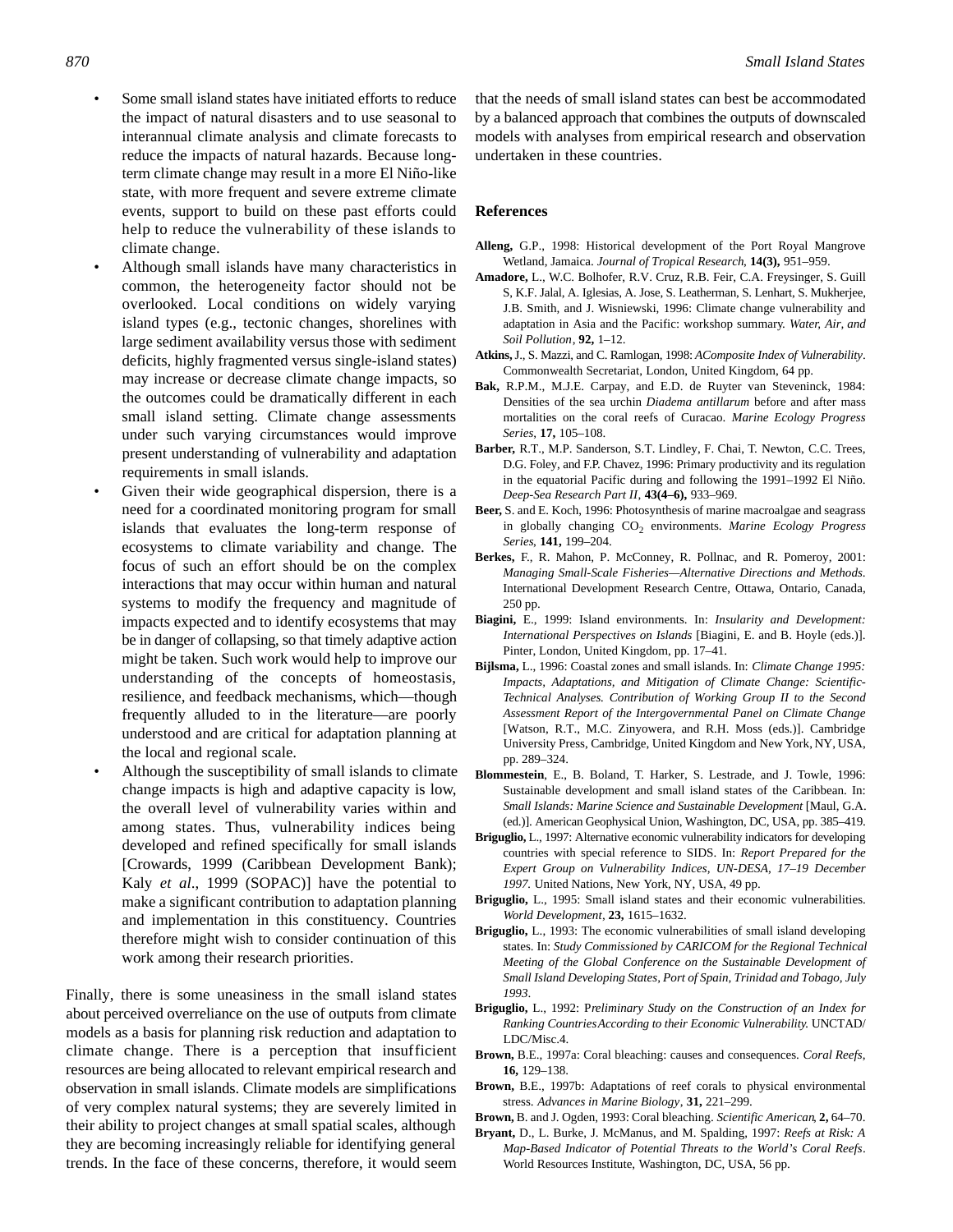- Some small island states have initiated efforts to reduce the impact of natural disasters and to use seasonal to interannual climate analysis and climate forecasts to reduce the impacts of natural hazards. Because longterm climate change may result in a more El Niño-like state, with more frequent and severe extreme climate events, support to build on these past efforts could help to reduce the vulnerability of these islands to climate change.
- Although small islands have many characteristics in common, the heterogeneity factor should not be overlooked. Local conditions on widely varying island types (e.g., tectonic changes, shorelines with large sediment availability versus those with sediment deficits, highly fragmented versus single-island states) may increase or decrease climate change impacts, so the outcomes could be dramatically different in each small island setting. Climate change assessments under such varying circumstances would improve present understanding of vulnerability and adaptation requirements in small islands.
- Given their wide geographical dispersion, there is a need for a coordinated monitoring program for small islands that evaluates the long-term response of ecosystems to climate variability and change. The focus of such an effort should be on the complex interactions that may occur within human and natural systems to modify the frequency and magnitude of impacts expected and to identify ecosystems that may be in danger of collapsing, so that timely adaptive action might be taken. Such work would help to improve our understanding of the concepts of homeostasis, resilience, and feedback mechanisms, which—though frequently alluded to in the literature—are poorly understood and are critical for adaptation planning at the local and regional scale.
- Although the susceptibility of small islands to climate change impacts is high and adaptive capacity is low, the overall level of vulnerability varies within and among states. Thus, vulnerability indices being developed and refined specifically for small islands [Crowards, 1999 (Caribbean Development Bank); Kaly *et al*., 1999 (SOPAC)] have the potential to make a significant contribution to adaptation planning and implementation in this constituency. Countries therefore might wish to consider continuation of this work among their research priorities.

Finally, there is some uneasiness in the small island states about perceived overreliance on the use of outputs from climate models as a basis for planning risk reduction and adaptation to climate change. There is a perception that insufficient resources are being allocated to relevant empirical research and observation in small islands. Climate models are simplifications of very complex natural systems; they are severely limited in their ability to project changes at small spatial scales, although they are becoming increasingly reliable for identifying general trends. In the face of these concerns, therefore, it would seem

that the needs of small island states can best be accommodated by a balanced approach that combines the outputs of downscaled models with analyses from empirical research and observation undertaken in these countries.

#### **References**

- **Alleng,** G.P., 1998: Historical development of the Port Royal Mangrove Wetland, Jamaica. *Journal of Tropical Research*, **14(3),** 951–959.
- **Amadore,** L., W.C. Bolhofer, R.V. Cruz, R.B. Feir, C.A. Freysinger, S. Guill S, K.F. Jalal, A. Iglesias, A. Jose, S. Leatherman, S. Lenhart, S. Mukherjee, J.B. Smith, and J. Wisniewski, 1996: Climate change vulnerability and adaptation in Asia and the Pacific: workshop summary. *Water, Air, and Soil Pollution*, **92,** 1–12.
- Atkins, J., S. Mazzi, and C. Ramlogan, 1998: *AComposite Index of Vulnerability*. Commonwealth Secretariat, London, United Kingdom, 64 pp.
- **Bak,** R.P.M., M.J.E. Carpay, and E.D. de Ruyter van Steveninck, 1984: Densities of the sea urchin *Diadema antillarum* before and after mass mortalities on the coral reefs of Curacao. *Marine Ecology Progress Series*, **17,** 105–108.
- **Barber,** R.T., M.P. Sanderson, S.T. Lindley, F. Chai, T. Newton, C.C. Trees, D.G. Foley, and F.P. Chavez, 1996: Primary productivity and its regulation in the equatorial Pacific during and following the 1991–1992 El Niño. *Deep-Sea Research Part II*, **43(4–6),** 933–969.
- **Beer,** S. and E. Koch, 1996: Photosynthesis of marine macroalgae and seagrass in globally changing  $CO<sub>2</sub>$  environments. *Marine Ecology Progress Series*, **141,** 199–204.
- **Berkes,** F., R. Mahon, P. McConney, R. Pollnac, and R. Pomeroy, 2001: *Managing Small-Scale Fisheries—Alternative Directions and Methods*. International Development Research Centre, Ottawa, Ontario, Canada, 250 pp.
- **Biagini,** E., 1999: Island environments. In: *Insularity and Development: International Perspectives on Islands* [Biagini, E. and B. Hoyle (eds.)]. Pinter, London, United Kingdom, pp. 17–41.
- **Bijlsma,** L., 1996: Coastal zones and small islands. In: *Climate Change 1995: Impacts, Adaptations, and Mitigation of Climate Change: Scientific-Technical Analyses. Contribution of Working Group II to the Second Assessment Report of the Intergovernmental Panel on Climate Change* [Watson, R.T., M.C. Zinyowera, and R.H. Moss (eds.)]. Cambridge University Press, Cambridge, United Kingdom and New York, NY, USA, pp. 289–324.
- **Blommestein**, E., B. Boland, T. Harker, S. Lestrade, and J. Towle, 1996: Sustainable development and small island states of the Caribbean. In: *Small Islands: Marine Science and Sustainable Development* [Maul, G.A. (ed.)]. American Geophysical Union, Washington, DC, USA, pp. 385–419.
- Briguglio, L., 1997: Alternative economic vulnerability indicators for developing countries with special reference to SIDS. In: *Report Prepared for the Expert Group on Vulnerability Indices, UN-DESA, 17–19 December 1997.* United Nations, New York, NY, USA, 49 pp.
- **Briguglio,** L., 1995: Small island states and their economic vulnerabilities. *World Development*, **23,** 1615–1632.
- **Briguglio,** L., 1993: The economic vulnerabilities of small island developing states. In: *Study Commissioned by CARICOM for the Regional Technical Meeting of the Global Conference on the Sustainable Development of Small Island Developing States, Port of Spain, Trinidad and Tobago, July 1993*.
- **Briguglio,** L., 1992: P*reliminary Study on the Construction of an Index for Ranking Countries According to their Economic Vulnerability.* UNCTAD/ LDC/Misc.4.
- **Brown,** B.E., 1997a: Coral bleaching: causes and consequences. *Coral Reefs*, **16,** 129–138.
- **Brown,** B.E., 1997b: Adaptations of reef corals to physical environmental stress. *Advances in Marine Biology*, **31,** 221–299.
- **Brown,** B. and J. Ogden, 1993: Coral bleaching. *Scientific American*, **2,** 64–70.
- **Bryant,** D., L. Burke, J. McManus, and M. Spalding, 1997: *Reefs at Risk: A Map-Based Indicator of Potential Threats to the World's Coral Reefs*. World Resources Institute, Washington, DC, USA, 56 pp.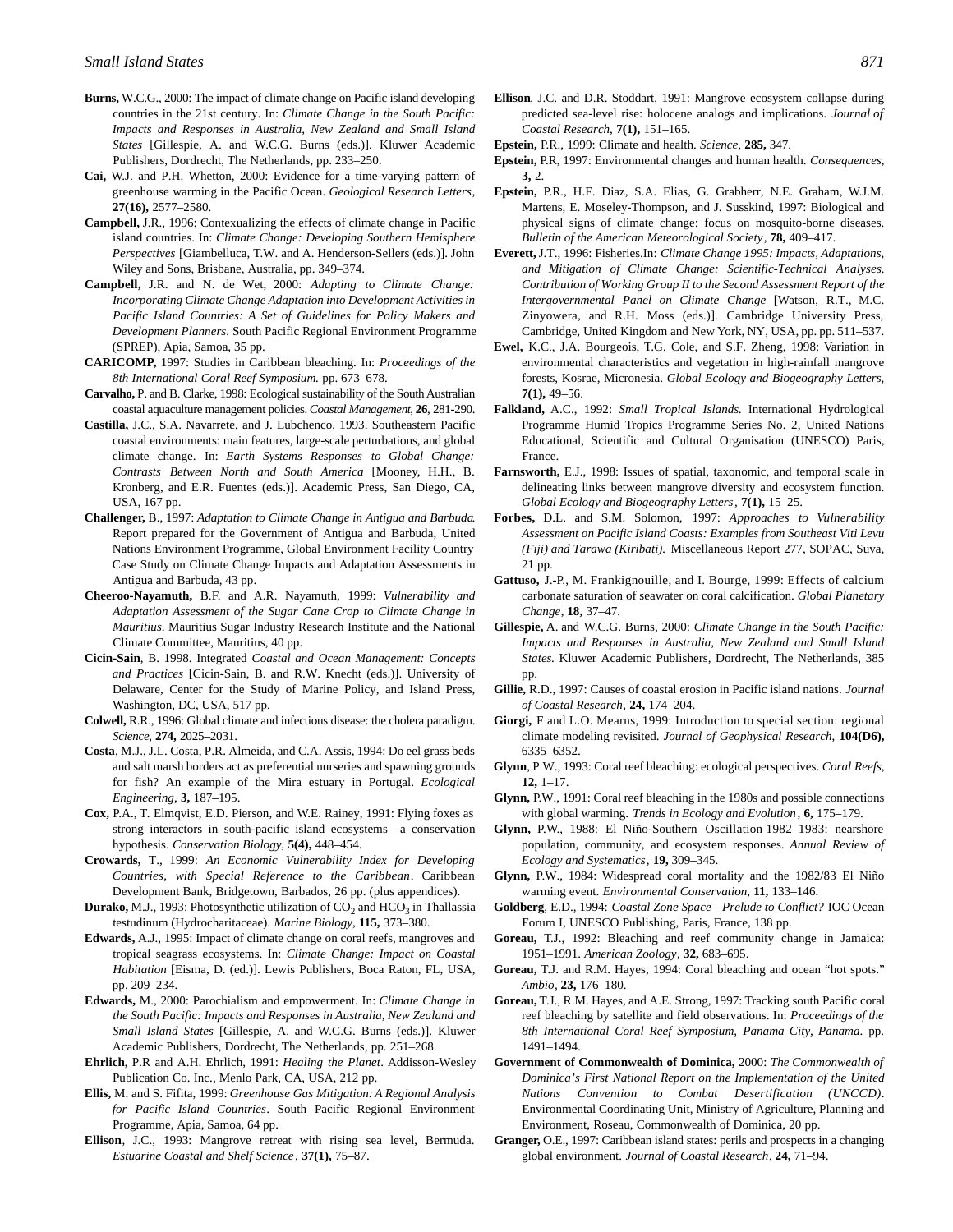- **Burns,** W.C.G., 2000: The impact of climate change on Pacific island developing countries in the 21st century. In: *Climate Change in the South Pacific: Impacts and Responses in Australia, New Zealand and Small Island States* [Gillespie, A. and W.C.G. Burns (eds.)]. Kluwer Academic Publishers, Dordrecht, The Netherlands, pp. 233–250.
- **Cai,** W.J. and P.H. Whetton, 2000: Evidence for a time-varying pattern of greenhouse warming in the Pacific Ocean. *Geological Research Letters*, **27(16),** 2577–2580.
- **Campbell,** J.R., 1996: Contexualizing the effects of climate change in Pacific island countries. In: *Climate Change: Developing Southern Hemisphere Perspectives* [Giambelluca, T.W. and A. Henderson-Sellers (eds.)]. John Wiley and Sons, Brisbane, Australia, pp. 349–374.
- Campbell, J.R. and N. de Wet, 2000: *Adapting to Climate Change: Incorporating Climate Change Adaptation into Development Activities in Pacific Island Countries: A Set of Guidelines for Policy Makers and Development Planners*. South Pacific Regional Environment Programme (SPREP), Apia, Samoa, 35 pp.
- **CARICOMP,** 1997: Studies in Caribbean bleaching. In: *Proceedings of the 8th International Coral Reef Symposium.* pp. 673–678.
- Carvalho, P. and B. Clarke, 1998: Ecological sustainability of the South Australian coastal aquaculture management policies. *Coastal Management*, 26, 281-290.
- **Castilla,** J.C., S.A. Navarrete, and J. Lubchenco, 1993. Southeastern Pacific coastal environments: main features, large-scale perturbations, and global climate change. In: *Earth Systems Responses to Global Change:* Contrasts Between North and South America [Mooney, H.H., B. Kronberg, and E.R. Fuentes (eds.)]. Academic Press, San Diego, CA, USA, 167 pp.
- **Challenger,** B., 1997: *Adaptation to Climate Change in Antigua and Barbuda*. Report prepared for the Government of Antigua and Barbuda, United Nations Environment Programme, Global Environment Facility Country Case Study on Climate Change Impacts and Adaptation Assessments in Antigua and Barbuda, 43 pp.
- **Cheeroo-Navamuth, B.F.** and A.R. Navamuth, 1999: *Vulnerability and Adaptation Assessment of the Sugar Cane Crop to Climate Change in Mauritius*. Mauritius Sugar Industry Research Institute and the National Climate Committee, Mauritius, 40 pp.
- **Cicin-Sain**, B. 1998. Integrated *Coastal and Ocean Management: Concepts and Practices* [Cicin-Sain, B. and R.W. Knecht (eds.)]. University of Delaware, Center for the Study of Marine Policy, and Island Press, Washington, DC, USA, 517 pp.
- Colwell, R.R., 1996: Global climate and infectious disease: the cholera paradigm. *Science*, 274, 2025-2031.
- **Costa**, M.J., J.L. Costa, P.R. Almeida, and C.A. Assis, 1994: Do eel grass beds and salt marsh borders act as preferential nurseries and spawning grounds for fish? An example of the Mira estuary in Portugal. *Ecological Engineering*, **3,** 187–195.
- **Cox,** P.A., T. Elmqvist, E.D. Pierson, and W.E. Rainey, 1991: Flying foxes as strong interactors in south-pacific island ecosystems—a conservation hypothesis. *Conservation Biology*, **5(4),** 448–454.
- Crowards, T., 1999: An Economic Vulnerability Index for Developing *Countries, with Special Reference to the Caribbean*. Caribbean Development Bank, Bridgetown, Barbados, 26 pp. (plus appendices).
- **Durako,** M.J., 1993: Photosynthetic utilization of  $CO_2$  and  $HCO_3$  in Thallassia testudinum (Hydrocharitaceae). *Marine Biology*, **115,** 373–380.
- **Edwards,** A.J., 1995: Impact of climate change on coral reefs, mangroves and tropical seagrass ecosystems. In: *Climate Change: Impact on Coastal Habitation* [Eisma, D. (ed.)]. Lewis Publishers, Boca Raton, FL, USA, pp. 209–234.
- **Edwards,** M., 2000: Parochialism and empowerment. In: *Climate Change in the South Pacific: Impacts and Responses in Australia, New Zealand and Small Island States* [Gillespie, A. and W.C.G. Burns (eds.)]. Kluwer Academic Publishers, Dordrecht, The Netherlands, pp. 251–268.
- **Ehrlich**, P.R and A.H. Ehrlich, 1991: *Healing the Planet*. Addisson-Wesley Publication Co. Inc., Menlo Park, CA, USA, 212 pp.
- **Ellis,** M. and S. Fifita, 1999: *Greenhouse Gas Mitigation: A Regional Analysis for Pacific Island Countries*. South Pacific Regional Environment Programme, Apia, Samoa, 64 pp.
- **Ellison**, J.C., 1993: Mangrove retreat with rising sea level, Bermuda. *Estuarine Coastal and Shelf Science*, **37(1),** 75–87.
- **Ellison**, J.C. and D.R. Stoddart, 1991: Mangrove ecosystem collapse during predicted sea-level rise: holocene analogs and implications. *Journal of Coastal Research*, **7(1),** 151–165.
- **Epstein,** P.R., 1999: Climate and health. *Science*, **285,** 347.
- **Epstein,** P.R, 1997: Environmental changes and human health. *Consequences*, **3,** 2.
- **Epstein,** P.R., H.F. Diaz, S.A. Elias, G. Grabherr, N.E. Graham, W.J.M. Martens, E. Moseley-Thompson, and J. Susskind, 1997: Biological and physical signs of climate change: focus on mosquito-borne diseases. *Bulletin of the American Meteorological Society*, **78,** 409–417.
- **Everett,** J.T., 1996: Fisheries.In: *Climate Change 1995: Impacts, Adaptations,* and Mitigation of Climate Change: Scientific-Technical Analyses. *Contribution of Working Group II to the Second Assessment Report of the Intergovernmental Panel on Climate Change* [Watson, R.T., M.C. Zinyowera, and R.H. Moss (eds.)]. Cambridge University Press, Cambridge, United Kingdom and New York, NY, USA, pp. pp. 511–537.
- **Ewel,** K.C., J.A. Bourgeois, T.G. Cole, and S.F. Zheng, 1998: Variation in environmental characteristics and vegetation in high-rainfall mangrove forests, Kosrae, Micronesia. *Global Ecology and Biogeography Letters*, **7(1),** 49–56.
- **Falkland,** A.C., 1992: *Small Tropical Islands*. International Hydrological Programme Humid Tropics Programme Series No. 2, United Nations Educational, Scientific and Cultural Organisation (UNESCO) Paris, France.
- **Farnsworth,** E.J., 1998: Issues of spatial, taxonomic, and temporal scale in delineating links between mangrove diversity and ecosystem function. *Global Ecology and Biogeography Letters*, **7(1),** 15–25.
- Forbes, D.L. and S.M. Solomon, 1997: Approaches to Vulnerability *Assessment on Pacific Island Coasts: Examples from Southeast Viti Levu (Fiji) and Tarawa (Kiribati).* Miscellaneous Report 277, SOPAC, Suva, 21 pp.
- Gattuso, J.-P., M. Frankignouille, and I. Bourge, 1999: Effects of calcium carbonate saturation of seawater on coral calcification. *Global Planetary Change*, **18,** 37–47.
- **Gillespie,** A. and W.C.G. Burns, 2000: *Climate Change in the South Pacific: Impacts and Responses in Australia, New Zealand and Small Island States*. Kluwer Academic Publishers, Dordrecht, The Netherlands, 385 pp.
- **Gillie,** R.D., 1997: Causes of coastal erosion in Pacific island nations. *Journal of Coastal Research*, **24,** 174–204.
- Giorgi, F and L.O. Mearns, 1999: Introduction to special section: regional climate modeling revisited. *Journal of Geophysical Research*, 104(D6), 6335–6352.
- **Glynn**, P.W., 1993: Coral reef bleaching: ecological perspectives. *Coral Reefs*, **12,** 1–17.
- **Glynn,** P.W., 1991: Coral reef bleaching in the 1980s and possible connections with global warming. *Trends in Ecology and Evolution*, **6,** 175–179.
- Glynn, P.W., 1988: El Niño-Southern Oscillation 1982-1983: nearshore population, community, and ecosystem responses. Annual Review of *Ecology and Systematics*, **19,** 309–345.
- **Glynn,** P.W., 1984: Widespread coral mortality and the 1982/83 El Niño warming event. *Environmental Conservation*, **11,** 133–146.
- **Goldberg**, E.D., 1994: *Coastal Zone Space—Prelude to Conflict?* IOC Ocean Forum I, UNESCO Publishing, Paris, France, 138 pp.
- **Goreau,** T.J., 1992: Bleaching and reef community change in Jamaica: 1951–1991. *American Zoology*, **32,** 683–695.
- **Goreau,** T.J. and R.M. Hayes, 1994: Coral bleaching and ocean "hot spots." *Ambio*, **23,** 176–180.
- **Goreau,** T.J., R.M. Hayes, and A.E. Strong, 1997: Tracking south Pacific coral reef bleaching by satellite and field observations. In: *Proceedings of the 8th International Coral Reef Symposium, Panama City, Panama*. pp. 1491–1494.
- **Government of Commonwealth of Dominica,** 2000: *The Commonwealth of Dominica's First National Report on the Implementation of the United Nations Convention to Combat Desertification (UNCCD)*. Environmental Coordinating Unit, Ministry of Agriculture, Planning and Environment, Roseau, Commonwealth of Dominica, 20 pp.
- **Granger,** O.E., 1997: Caribbean island states: perils and prospects in a changing global environment. *Journal of Coastal Research*, **24,** 71–94.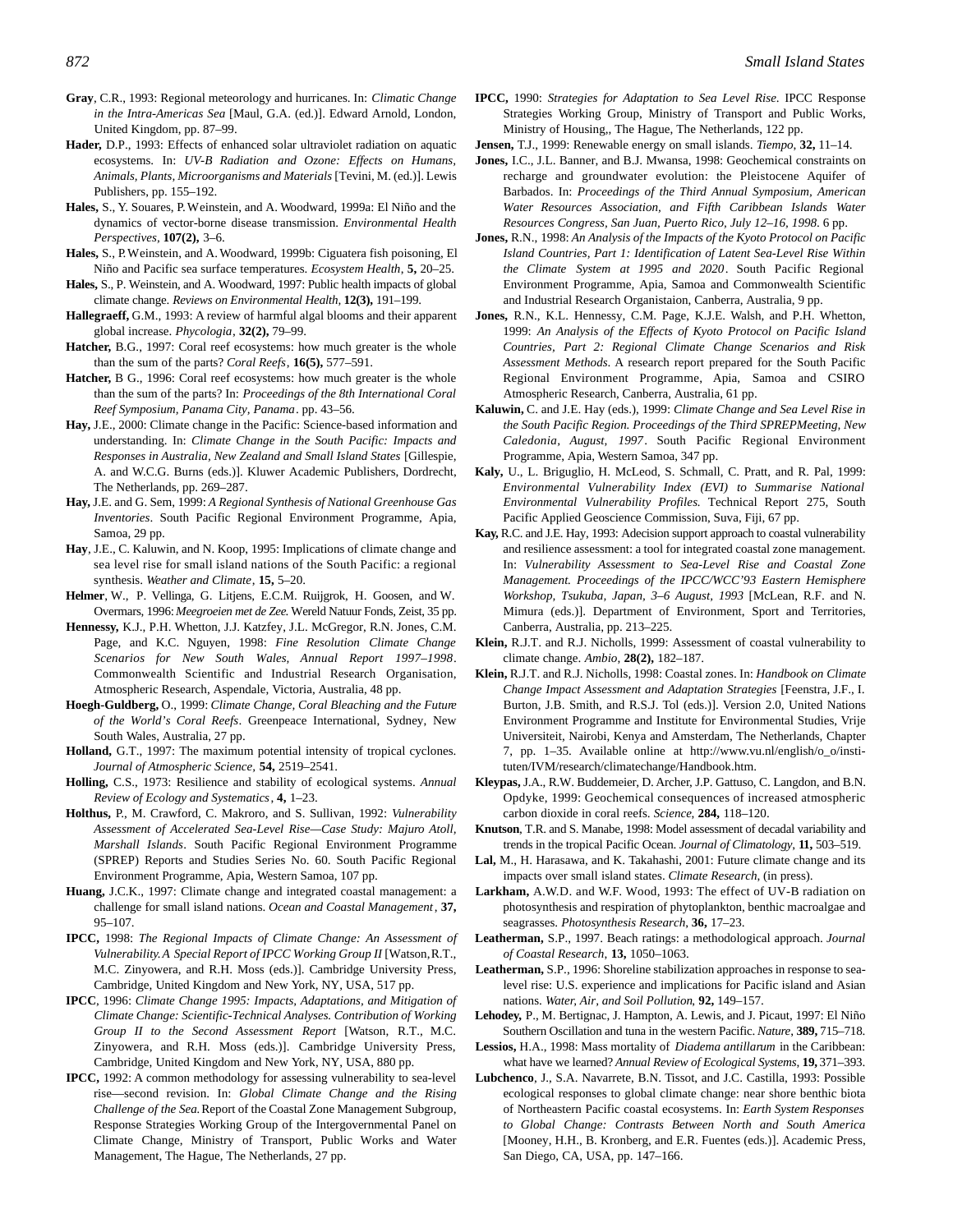- **Gray**, C.R., 1993: Regional meteorology and hurricanes. In: *Climatic Change in the Intra-Americas Sea* [Maul, G.A. (ed.)]. Edward Arnold, London, United Kingdom, pp. 87–99.
- **Hader,** D.P., 1993: Effects of enhanced solar ultraviolet radiation on aquatic ecosystems. In: *U V-B Radiation and Ozone: Effects on Humans, Animals, Plants, Microorganisms and Materials* [Tevini, M. (ed.)]. Lewis Publishers, pp. 155–192.
- **Hales,** S., Y. Souares, P. Weinstein, and A. Woodward, 1999a: El Niño and the dynamics of vector-borne disease transmission. *Environmental Health Perspectives,* **107(2),** 3–6.
- **Hales,** S., P.Weinstein, and A. Woodward, 1999b: Ciguatera fish poisoning, El Niño and Pacific sea surface temperatures. *Ecosystem Health*, **5,** 20–25.
- Hales, S., P. Weinstein, and A. Woodward, 1997: Public health impacts of global climate change. *Reviews on Environmental Health*, **12(3)**, **191–199**.
- **Hallegraeff,** G.M., 1993: A review of harmful algal blooms and their apparent global increase. *Phycologia*, **32(2),** 79–99.
- **Hatcher,** B.G., 1997: Coral reef ecosystems: how much greater is the whole than the sum of the parts? *Coral Reefs*, **16(5),** 577–591.
- **Hatcher,** B G., 1996: Coral reef ecosystems: how much greater is the whole than the sum of the parts? In: *Proceedings of the 8th International Coral Reef Symposium, Panama City, Panama*. pp. 43–56.
- **Hay,** J.E., 2000: Climate change in the Pacific: Science-based information and understanding. In: *Climate Change in the South Pacific: Impacts and Responses in Australia, New Zealand and Small Island States* [Gillespie, A. and W.C.G. Burns (eds.)]. Kluwer Academic Publishers, Dordrecht, The Netherlands, pp. 269–287.
- **Hay,** J.E. and G. Sem, 1999: *A Regional Synthesis of National Greenhouse Gas Inventories*. South Pacific Regional Environment Programme, Apia, Samoa, 29 pp.
- **Hay**, J.E., C. Kaluwin, and N. Koop, 1995: Implications of climate change and sea level rise for small island nations of the South Pacific: a regional synthesis. Weather and Climate, 15, 5-20.
- **Helmer, W., P. Vellinga, G. Litjens, E.C.M. Ruijgrok, H. Goosen, and W.** Overmars, 1996: Meegroeien met de Zee. Wereld Natuur Fonds, Zeist, 35 pp.
- **Hennessy,** K.J., P.H. Whetton, J.J. Katzfey, J.L. McGregor, R.N. Jones, C.M. Page, and K.C. Nguyen, 1998: *Fine Resolution Climate Change Scenarios for New South Wales, Annual Report 1997–1998*. Commonwealth Scientific and Industrial Research Organisation, Atmospheric Research, Aspendale, Victoria, Australia, 48 pp.
- **Hoegh-Guldberg,** O., 1999: *Climate Change, Coral Bleaching and the Future of the World's Coral Reefs*. Greenpeace International, Sydney, New South Wales, Australia, 27 pp.
- **Holland,** G.T., 1997: The maximum potential intensity of tropical cyclones. *Journal of Atmospheric Science,* **54,** 2519–2541.
- **Holling,** C.S., 1973: Resilience and stability of ecological systems. *Annual Review of Ecology and Systematics*, **4,** 1–23.
- **Holthus,** P., M. Crawford, C. Makroro, and S. Sullivan, 1992: *Vulnerability Assessment of Accelerated Sea-Level Rise—Case Study: Majuro Atoll, Marshall Islands*. South Pacific Regional Environment Programme (SPREP) Reports and Studies Series No. 60. South Pacific Regional Environment Programme, Apia, Western Samoa, 107 pp.
- **Huang,** J.C.K., 1997: Climate change and integrated coastal management: a challenge for small island nations. *Ocean and Coastal Management*, **37,** 95–107.
- **IPCC,** 1998: *The Regional Impacts of Climate Change: An Assessment of Vulnerability.A Special Report of IPCC Working Group II* [Watson, R.T., M.C. Zinyowera, and R.H. Moss (eds.)]. Cambridge University Press, Cambridge, United Kingdom and New York, NY, USA, 517 pp.
- **IPCC**, 1996: *Climate Change 1995: Impacts, Adaptations, and Mitigation of Climate Change: Scientific-Technical Analyses. Contribution of Working G roup II to the Second Assessment Report* [ Watson, R.T., M.C. Zinyowera, and R.H. Moss (eds.)]. Cambridge University Press, Cambridge, United Kingdom and New York, NY, USA, 880 pp.
- **IPCC,** 1992: A common methodology for assessing vulnerability to sea-level rise—second revision. In: *Global Climate Change and the Rising Challenge of the Sea.*Report of the Coastal Zone Management Subgroup, Response Strategies Working Group of the Intergovernmental Panel on Climate Change, Ministry of Transport, Public Works and Water Management, The Hague, The Netherlands, 27 pp.

**IPCC,** 1990: *Strategies for Adaptation to Sea Level Rise*. IPCC Response Strategies Working Group, Ministry of Transport and Public Works, Ministry of Housing,, The Hague, The Netherlands, 122 pp.

- **Jones,** I.C., J.L. Banner, and B.J. Mwansa, 1998: Geochemical constraints on recharge and groundwater evolution: the Pleistocene Aquifer of Barbados. In: *Proceedings of the Third Annual Symposium, American* Water Resources Association, and Fifth Caribbean Islands Water *Resources Congress, San Juan, Puerto Rico, July 12–16, 1998*. 6 pp.
- **Jones,** R.N., 1998: *An Analysis of the Impacts of the Kyoto Protocol on Pacific Island Countries, Part 1: Identification of Latent Sea-Level Rise Within the Climate System at 1995 and 2020*. South Pacific Regional Environment Programme, Apia, Samoa and Commonwealth Scientific and Industrial Research Organistaion, Canberra, Australia, 9 pp.
- **Jones,** R.N., K.L. Hennessy, C.M. Page, K.J.E. Walsh, and P.H. Whetton, 1999: *An Analysis of the Effects of Kyoto Protocol on Pacific Island Countries, Part 2: Regional Climate Change Scenarios and Risk Assessment Methods*. A research report prepared for the South Pacific Regional Environment Programme, Apia, Samoa and CSIRO Atmospheric Research, Canberra, Australia, 61 pp.
- **Kaluwin,** C. and J.E. Hay (eds.), 1999: *Climate Change and Sea Level Rise in the South Pacific Region. Proceedings of the Third SPREPMeeting, New Caledonia, August, 1997*. South Pacific Regional Environment Programme, Apia, Western Samoa, 347 pp.
- **Kaly,** U., L. Briguglio, H. McLeod, S. Schmall, C. Pratt, and R. Pal, 1999: *Environmental Vulnerability Index (EVI) to Summarise National Environmental Vulnerability Profiles*. Technical Report 275, South Pacific Applied Geoscience Commission, Suva, Fiji, 67 pp.
- **Kay, R.C.** and J.E. Hay, 1993: Adecision support approach to coastal vulnerability and resilience assessment: a tool for integrated coastal zone management. In: *Vulnerability Assessment to Sea-Level Rise and Coastal Zone Management. Proceedings of the IPCC/WCC'93 Eastern Hemisphere Workshop, Tsukuba, Japan, 3–6 August, 1993* [McLean, R.F. and N. Mimura (eds.)]. Department of Environment, Sport and Territories, Canberra, Australia, pp. 213–225.
- **Klein,** R.J.T. and R.J. Nicholls, 1999: Assessment of coastal vulnerability to climate change. *Ambio*, **28(2),** 182–187.
- **Klein,** R.J.T. and R.J. Nicholls, 1998: Coastal zones. In: *Handbook on Climate Change Impact Assessment and Adaptation Strategies* [Feenstra, J.F., I. Burton, J.B. Smith, and R.S.J. Tol (eds.)]. Version 2.0, United Nations Environment Programme and Institute for Environmental Studies, Vrije Universiteit, Nairobi, Kenya and Amsterdam, The Netherlands, Chapter 7, pp. 1-35. Available online at http://www.vu.nl/english/o\_o/instituten/IVM/research/climatechange/Handbook.htm.
- Kleypas, J.A., R.W. Buddemeier, D. Archer, J.P. Gattuso, C. Langdon, and B.N. Opdyke, 1999: Geochemical consequences of increased atmospheric carbon dioxide in coral reefs. *Science*, **284**, 118-120.
- Knutson, T.R. and S. Manabe, 1998: Model assessment of decadal variability and trends in the tropical Pacific Ocean. *Journal of Climatology*, 11, 503-519.
- **Lal,** M., H. Harasawa, and K. Takahashi, 2001: Future climate change and its impacts over small island states. *Climate Research*, (in press).
- Larkham, A.W.D. and W.F. Wood, 1993: The effect of UV-B radiation on photosynthesis and respiration of phytoplankton, benthic macroalgae and seagrasses. *Photosynthesis Research*, **36,** 17–23.
- **Leatherman,** S.P., 1997. Beach ratings: a methodological approach. *Journal of Coastal Research*, **13,** 1050–1063.
- **Leatherman,** S.P., 1996: Shoreline stabilization approaches in response to sealevel rise: U.S. experience and implications for Pacific island and Asian nations. *Water, Air, and Soil Pollution*, **92,** 149–157.
- Lehodey, P., M. Bertignac, J. Hampton, A. Lewis, and J. Picaut, 1997: El Niño Southern Oscillation and tuna in the western Pacific. *Nature*, **389**, 715–718.
- Lessios, H.A., 1998: Mass mortality of *Diadema antillarum* in the Caribbean: what have we learned? *Annual Review of Ecological Systems*, **19**, 371-393.
- **Lubchenco**, J., S.A. Navarrete, B.N. Tissot, and J.C. Castilla, 1993: Possible ecological responses to global climate change: near shore benthic biota of Northeastern Pacific coastal ecosystems. In: *Earth System Responses to Global Change: Contrasts Between North and South America* [Mooney, H.H., B. Kronberg, and E.R. Fuentes (eds.)]. Academic Press, San Diego, CA, USA, pp. 147–166.

**Jensen,** T.J., 1999: Renewable energy on small islands. *Tiempo*, **32,** 11–14.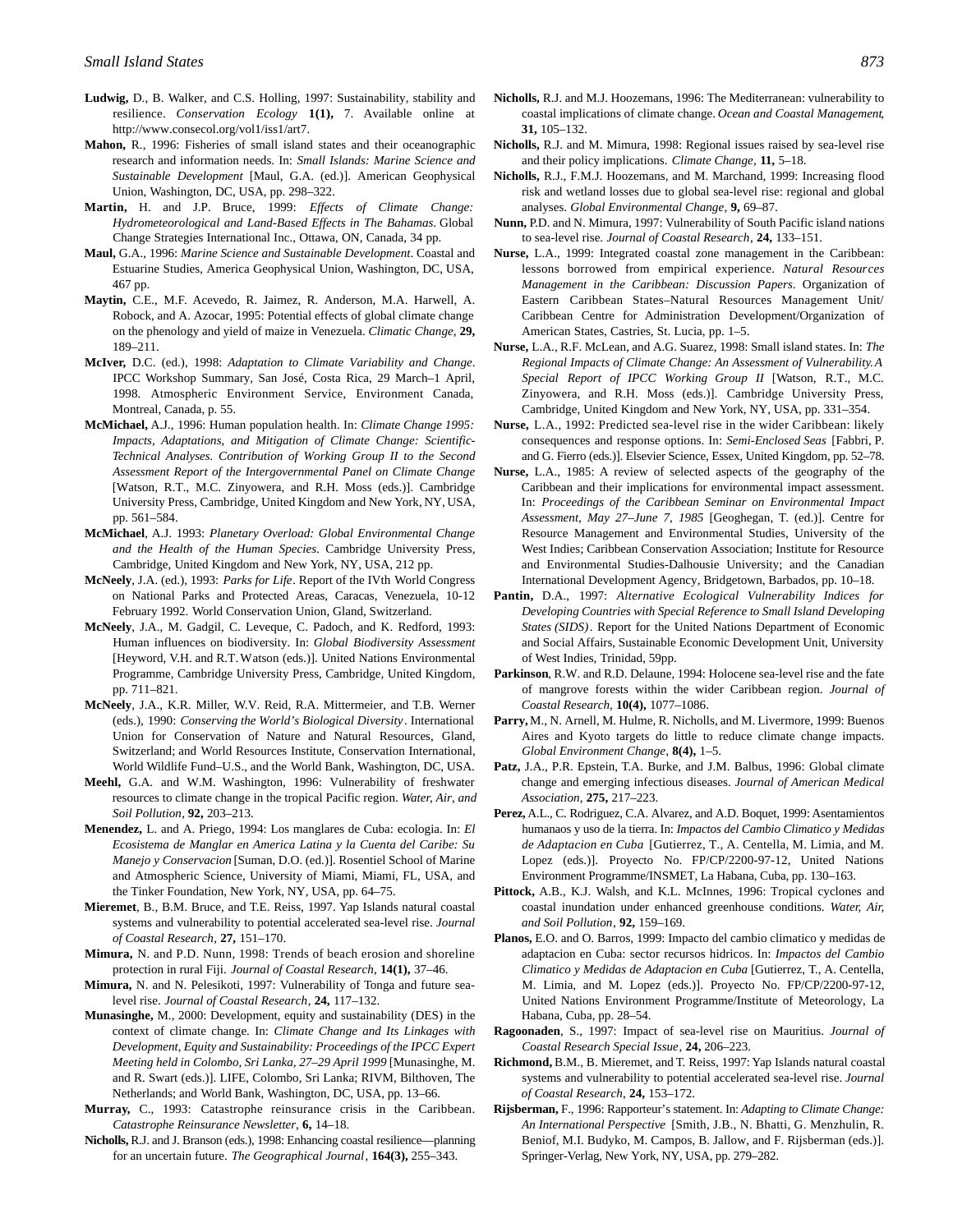- **Ludwig,** D., B. Walker, and C.S. Holling, 1997: Sustainability, stability and resilience. *Conservation Ecology* 1(1), 7. Available online at http://www.consecol.org/vol1/iss1/art7.
- **Mahon,** R., 1996: Fisheries of small island states and their oceanographic research and information needs. In: *Small Islands: Marine Science and Sustainable Development* [Maul, G.A. (ed.)]. American Geophysical Union, Washington, DC, USA, pp. 298–322.
- Martin, H. and J.P. Bruce, 1999: Effects of Climate Change: *Hydrometeorological and Land-Based Effects in The Bahamas*. Global Change Strategies International Inc., Ottawa, ON, Canada, 34 pp.
- **Maul,** G.A., 1996: *Marine Science and Sustainable Development*. Coastal and Estuarine Studies, America Geophysical Union, Washington, DC, USA, 467 pp.
- **Maytin,** C.E., M.F. Acevedo, R. Jaimez, R. Anderson, M.A. Harwell, A. Robock, and A. Azocar, 1995: Potential effects of global climate change on the phenology and yield of maize in Venezuela. *Climatic Change*, **29,** 189–211.
- **McIver,** D.C. (ed.), 1998: *Adaptation to Climate Variability and Change*. IPCC Workshop Summary, San José, Costa Rica, 29 March–1 April, 1998. Atmospheric Environment Service, Environment Canada, Montreal, Canada, p. 55.
- **McMichael,** A.J., 1996: Human population health. In: *Climate Change 1995: Impacts, Adaptations, and Mitigation of Climate Change: Scientific-Technical Analyses. Contribution of Working Group II to the Second Assessment Report of the Intergovernmental Panel on Climate Change* [Watson, R.T., M.C. Zinyowera, and R.H. Moss (eds.)]. Cambridge University Press, Cambridge, United Kingdom and New York, NY, USA, pp. 561–584.
- **McMichael**, A.J. 1993: *Planetary Overload: Global Environmental Change and the Health of the Human Species*. Cambridge University Press, Cambridge, United Kingdom and New York, NY, USA, 212 pp.
- **McNeely**, J.A. (ed.), 1993: *Parks for Life*. Report of the IVth World Congress on National Parks and Protected Areas, Caracas, Venezuela, 10-12 February 1992. World Conservation Union, Gland, Switzerland.
- **McNeely**, J.A., M. Gadgil, C. Leveque, C. Padoch, and K. Redford, 1993: Human influences on biodiversity. In: *Global Biodiversity Assessment* [Heyword, V.H. and R.T. Watson (eds.)]. United Nations Environmental Programme, Cambridge University Press, Cambridge, United Kingdom, pp. 711–821.
- **McNeely**, J.A., K.R. Miller, W.V. Reid, R.A. Mittermeier, and T.B. Werner (eds.), 1990: *Conserving the World's Biological Diversity*. International Union for Conservation of Nature and Natural Resources, Gland, Switzerland; and World Resources Institute, Conservation International, World Wildlife Fund–U.S., and the World Bank, Washington, DC, USA.
- Meehl, G.A. and W.M. Washington, 1996: Vulnerability of freshwater resources to climate change in the tropical Pacific region. *Water, Air, and Soil Pollution*, **92,** 203–213.
- **Menendez,** L. and A. Priego, 1994: Los manglares de Cuba: ecologia. In: *El Ecosistema de Manglar en America Latina y la Cuenta del Caribe: Su Manejo y Conservacion* [Suman, D.O. (ed.)]. Rosentiel School of Marine and Atmospheric Science, University of Miami, Miami, FL, USA, and the Tinker Foundation, New York, NY, USA, pp. 64–75.
- **Mieremet**, B., B.M. Bruce, and T.E. Reiss, 1997. Yap Islands natural coastal systems and vulnerability to potential accelerated sea-level rise. *Journal of Coastal Research*, **27,** 151–170.
- Mimura, N. and P.D. Nunn, 1998: Trends of beach erosion and shoreline protection in rural Fiji. *Journal of Coastal Research*, 14(1), 37-46.
- **Mimura,** N. and N. Pelesikoti, 1997: Vulnerability of Tonga and future sealevel rise. *Journal of Coastal Research*, **24,** 117–132.
- **Munasinghe,** M., 2000: Development, equity and sustainability (DES) in the context of climate change. In: *Climate Change and Its Linkages with Development, Equity and Sustainability: Proceedings of the IPCC Expert Meeting held in Colombo, Sri Lanka, 27–29 April 1999* [Munasinghe, M. and R. Swart (eds.)]. LIFE, Colombo, Sri Lanka; RIVM, Bilthoven, The Netherlands; and World Bank, Washington, DC, USA, pp. 13–66.
- Murray, C., 1993: Catastrophe reinsurance crisis in the Caribbean. *Catastrophe Reinsurance Newsletter*, **6,** 14–18.
- Nicholls, R.J. and J. Branson (eds.), 1998: Enhancing coastal resilience—planning for an uncertain future. *The Geographical Journal*, **164(3),** 255–343.
- **Nicholls,** R.J. and M.J. Hoozemans, 1996: The Mediterranean: vulnerability to coastal implications of climate change. *Ocean and Coastal Management*, **31,** 105–132.
- **Nicholls,** R.J. and M. Mimura, 1998: Regional issues raised by sea-level rise and their policy implications. *Climate Change*, **11,** 5–18.
- **Nicholls,** R.J., F.M.J. Hoozemans, and M. Marchand, 1999: Increasing flood risk and wetland losses due to global sea-level rise: regional and global analyses. *Global Environmental Change*, **9,** 69–87.
- **Nunn,** P.D. and N. Mimura, 1997: Vulnerability of South Pacific island nations to sea-level rise. *Journal of Coastal Research*, **24,** 133–151.
- **Nurse,** L.A., 1999: Integrated coastal zone management in the Caribbean: lessons borrowed from empirical experience. *Natural Resources Management in the Caribbean: Discussion Papers*. Organization of Eastern Caribbean States–Natural Resources Management Unit/ Caribbean Centre for Administration Development/Organization of American States, Castries, St. Lucia, pp. 1–5.
- **Nurse,** L.A., R.F. McLean, and A.G. Suarez, 1998: Small island states. In: *The Regional Impacts of Climate Change: An Assessment of Vulnerability. A* Special Report of IPCC Working Group II [Watson, R.T., M.C. Zinyowera, and R.H. Moss (eds.)]. Cambridge University Press, Cambridge, United Kingdom and New York, NY, USA, pp. 331–354.
- Nurse, L.A., 1992: Predicted sea-level rise in the wider Caribbean: likely consequences and response options. In: *Semi-Enclosed Seas* [Fabbri, P. and G. Fierro (eds.)]. Elsevier Science, Essex, United Kingdom, pp. 52–78.
- **Nurse,** L.A., 1985: A review of selected aspects of the geography of the Caribbean and their implications for environmental impact assessment. In: *Proceedings of the Caribbean Seminar on Environmental Impact Assessment, May 27–June 7, 1985* [Geoghegan, T. (ed.)]. Centre for Resource Management and Environmental Studies, University of the West Indies; Caribbean Conservation Association; Institute for Resource and Environmental Studies-Dalhousie University; and the Canadian International Development Agency, Bridgetown, Barbados, pp. 10–18.
- Pantin, D.A., 1997: *Alternative Ecological Vulnerability Indices for Developing Countries with Special Reference to Small Island Developing States (SIDS)*. Report for the United Nations Department of Economic and Social Affairs, Sustainable Economic Development Unit, University of West Indies, Trinidad, 59pp.
- **Parkinson**, R.W. and R.D. Delaune, 1994: Holocene sea-level rise and the fate of mangrove forests within the wider Caribbean region. *Journal of Coastal Research*, **10(4),** 1077–1086.
- **Parry,** M., N. Arnell, M. Hulme, R. Nicholls, and M. Livermore, 1999: Buenos Aires and Kyoto targets do little to reduce climate change impacts. *Global Environment Change*, **8(4),** 1–5.
- **Patz,** J.A., P.R. Epstein, T.A. Burke, and J.M. Balbus, 1996: Global climate change and emerging infectious diseases. *Journal of American Medical Association*, **275,** 217–223.
- Perez, A.L., C. Rodriguez, C.A. Alvarez, and A.D. Boquet, 1999: Asentamientos humanaos y uso de la tierra. In: *Impactos del Cambio Climatico y Medidas de Adaptacion en Cuba* [Gutierrez, T., A. Centella, M. Limia, and M. Lopez (eds.)]. Proyecto No. FP/CP/2200-97-12, United Nations Environment Programme/INSMET, La Habana, Cuba, pp. 130–163.
- **Pittock,** A.B., K.J. Walsh, and K.L. McInnes, 1996: Tropical cyclones and coastal inundation under enhanced greenhouse conditions. *Water, Air, and Soil Pollution*, **92,** 159–169.
- **Planos,** E.O. and O. Barros, 1999: Impacto del cambio climatico y medidas de adaptacion en Cuba: sector recursos hidricos. In: *Impactos del Cambio Climatico y Medidas de Adaptacion en Cuba* [Gutierrez, T., A. Centella, M. Limia, and M. Lopez (eds.)]. Proyecto No. FP/CP/2200-97-12, United Nations Environment Programme/Institute of Meteorology, La Habana, Cuba, pp. 28–54.
- **Ragoonaden**, S., 1997: Impact of sea-level rise on Mauritius. *Journal of Coastal Research Special Issue*, **24,** 206–223.
- **Richmond,** B.M., B. Mieremet, and T. Reiss, 1997: Yap Islands natural coastal systems and vulnerability to potential accelerated sea-level rise. *Journal of Coastal Research*, **24,** 153–172.
- **Rijsberman, F., 1996: Rapporteur's statement. In:** *Adapting to Climate Change: An International Perspective* [Smith, J.B., N. Bhatti, G. Menzhulin, R. Beniof, M.I. Budyko, M. Campos, B. Jallow, and F. Rijsberman (eds.)]. Springer-Verlag, New York, NY, USA, pp. 279-282.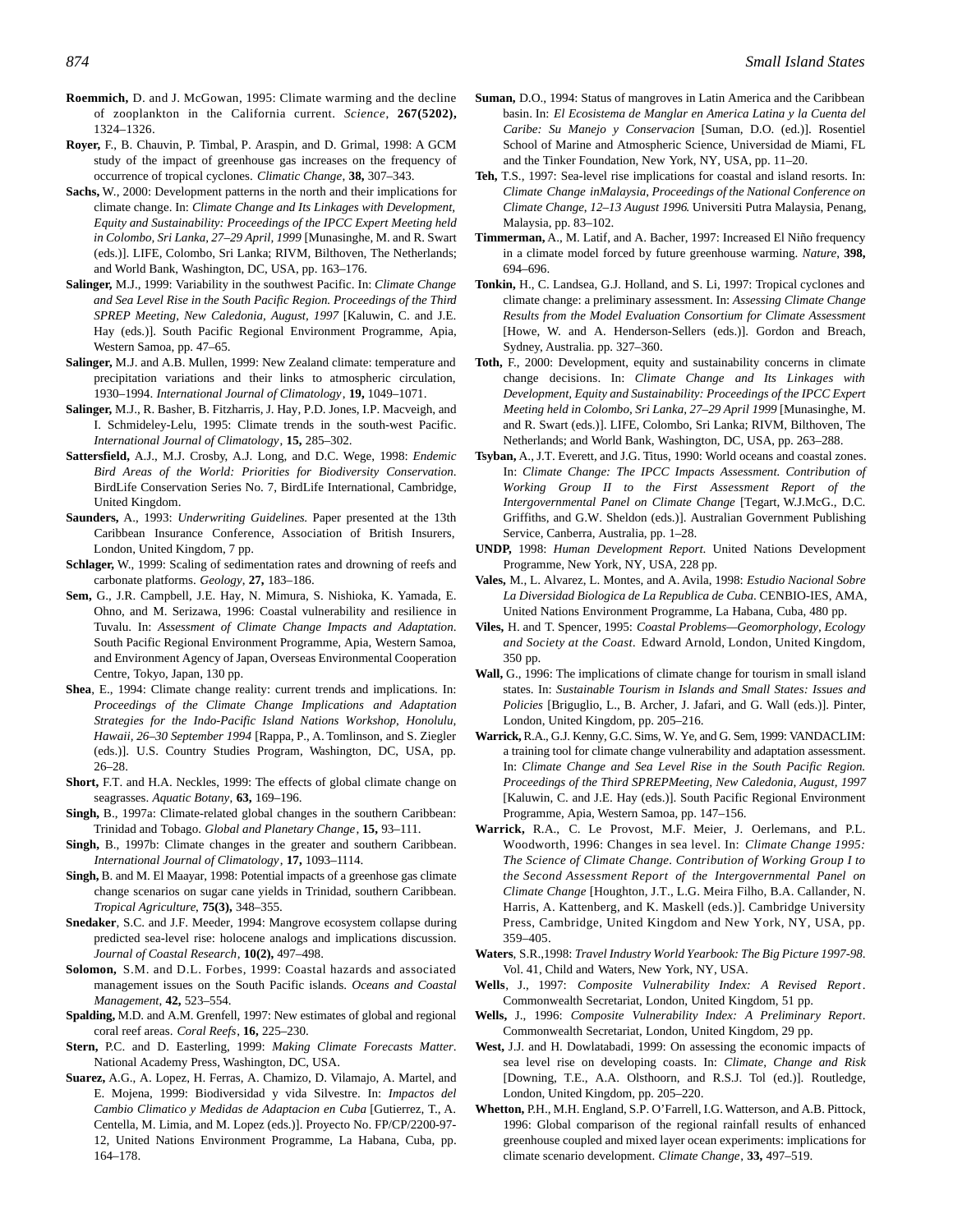- **Roemmich,** D. and J. McGowan, 1995: Climate warming and the decline of zooplankton in the California current. *Science*, 267(5202), 1 3 2 4 – 1 3 2 6 .
- **Royer,** F., B. Chauvin, P. Timbal, P. Araspin, and D. Grimal, 1998: A GCM study of the impact of greenhouse gas increases on the frequency of occurrence of tropical cyclones. *Climatic Change*, **38,** 307–343.
- **Sachs,** W., 2000: Development patterns in the north and their implications for climate change. In: *Climate Change and Its Linkages with Development, Equity and Sustainability: Proceedings of the IPCC Expert Meeting held in Colombo, Sri Lanka, 27–29 April, 1999* [Munasinghe, M. and R. Swart (eds.)]. LIFE, Colombo, Sri Lanka; RIVM, Bilthoven, The Netherlands; and World Bank, Washington, DC, USA, pp. 163–176.
- **Salinger,** M.J., 1999: Variability in the southwest Pacific. In: *Climate Change and Sea Level Rise in the South Pacific Region. Proceedings of the Third SPREP Meeting, New Caledonia, August, 1997* [Kaluwin, C. and J.E. Hay (eds.)]. South Pacific Regional Environment Programme, Apia, Western Samoa, pp. 47–65.
- **Salinger,** M.J. and A.B. Mullen, 1999: New Zealand climate: temperature and precipitation variations and their links to atmospheric circulation, 1930–1994. *International Journal of Climatology*, **19,** 1049–1071.
- **Salinger,** M.J., R. Basher, B. Fitzharris, J. Hay, P.D. Jones, I.P. Macveigh, and I. Schmideley-Lelu, 1995: Climate trends in the south-west Pacific. *International Journal of Climatology*, **15,** 285–302.
- **Sattersfield,** A.J., M.J. Crosby, A.J. Long, and D.C. Wege, 1998: *Endemic Bird Areas of the World: Priorities for Biodiversity Conservation*. BirdLife Conservation Series No. 7, BirdLife International, Cambridge, United Kingdom.
- **Saunders,** A., 1993: *Underwriting Guidelines*. Paper presented at the 13th Caribbean Insurance Conference, Association of British Insurers, London, United Kingdom, 7 pp.
- **Schlager,** W., 1999: Scaling of sedimentation rates and drowning of reefs and carbonate platforms. *Geology*, **27,** 183–186.
- **Sem,** G., J.R. Campbell, J.E. Hay, N. Mimura, S. Nishioka, K. Yamada, E. Ohno, and M. Serizawa, 1996: Coastal vulnerability and resilience in Tuvalu. In: *Assessment of Climate Change Impacts and Adaptation*. South Pacific Regional Environment Programme, Apia, Western Samoa, and Environment Agency of Japan, Overseas Environmental Cooperation Centre, Tokyo, Japan, 130 pp.
- **Shea**, E., 1994: Climate change reality: current trends and implications. In: *Proceedings of the Climate Change Implications and Adaptation Strategies for the Indo-Pacific Island Nations Workshop*, *Honolulu, Hawaii, 26–30 September 1994* [Rappa, P., A. Tomlinson, and S. Ziegler (eds.)]. U.S. Country Studies Program, Washington, DC, USA, pp. 26–28.
- **Short,** F.T. and H.A. Neckles, 1999: The effects of global climate change on seagrasses. *Aquatic Botany*, **63,** 169–196.
- **Singh,** B., 1997a: Climate-related global changes in the southern Caribbean: Trinidad and Tobago. *Global and Planetary Change*, **15,** 93–111.
- **Singh,** B., 1997b: Climate changes in the greater and southern Caribbean. *International Journal of Climatology*, **17,** 1093–1114.
- **Singh, B.** and M. El Maayar, 1998: Potential impacts of a greenhose gas climate change scenarios on sugar cane yields in Trinidad, southern Caribbean. *Tropical Agriculture*, **75(3),** 348–355.
- **Snedaker**, S.C. and J.F. Meeder, 1994: Mangrove ecosystem collapse during predicted sea-level rise: holocene analogs and implications discussion. *Journal of Coastal Research*, **10(2),** 497–498.
- Solomon, S.M. and D.L. Forbes, 1999: Coastal hazards and associated management issues on the South Pacific islands. Oceans and Coastal *Management*, **42,** 523–554.
- Spalding, M.D. and A.M. Grenfell, 1997: New estimates of global and regional coral reef areas. *Coral Reefs*, **16,** 225–230.
- **Stern,** P.C. and D. Easterling, 1999: *Making Climate Forecasts Matter*. National Academy Press, Washington, DC, USA.
- **Suarez,** A.G., A. Lopez, H. Ferras, A. Chamizo, D. Vilamajo, A. Martel, and E. Mojena, 1999: Biodiversidad y vida Silvestre. In: *Impactos del Cambio Climatico y Medidas de Adaptacion en Cuba* [Gutierrez, T., A. Centella, M. Limia, and M. Lopez (eds.)]. Proyecto No. FP/CP/2200-97- 12, United Nations Environment Programme, La Habana, Cuba, pp. 164–178.
- **Suman,** D.O., 1994: Status of mangroves in Latin America and the Caribbean basin. In: *El Ecosistema de Manglar en America Latina y la Cuenta del Caribe: Su Manejo y Conservacion* [Suman, D.O. (ed.)]. Rosentiel School of Marine and Atmospheric Science, Universidad de Miami, FL and the Tinker Foundation, New York, NY, USA, pp. 11–20.
- **Teh,** T.S., 1997: Sea-level rise implications for coastal and island resorts. In: *Climate Change inMalaysia*, *Proceedings of the National Conference on Climate Change*, *12–13 August 1996*. Universiti Putra Malaysia, Penang, Malaysia, pp. 83–102.
- **Timmerman,** A., M. Latif, and A. Bacher, 1997: Increased El Niño frequency in a climate model forced by future greenhouse warming. *Nature*, **398,** 694–696.
- **Tonkin,** H., C. Landsea, G.J. Holland, and S. Li, 1997: Tropical cyclones and climate change: a preliminary assessment. In: *Assessing Climate Change Results from the Model Evaluation Consortium for Climate Assessment* [Howe, W. and A. Henderson-Sellers (eds.)]. Gordon and Breach, Sydney, Australia. pp. 327–360.
- **Toth,** F., 2000: Development, equity and sustainability concerns in climate change decisions. In: *Climate Change and Its Linkages with Development, Equity and Sustainability: Proceedings of the IPCC Expert Meeting held in Colombo, Sri Lanka, 27–29 April 1999* [Munasinghe, M. and R. Swart (eds.)]. LIFE, Colombo, Sri Lanka; RIVM, Bilthoven, The Netherlands; and World Bank, Washington, DC, USA, pp. 263–288.
- **Tsyban,** A., J.T. Everett, and J.G. Titus, 1990: World oceans and coastal zones. In: *Climate Change: The IPCC Impacts Assessment. Contribution of Working Group II to the First Assessment Report of the Intergovernmental Panel on Climate Change* [Tegart, W.J.McG., D.C. Griffiths, and G.W. Sheldon (eds.)]. Australian Government Publishing Service, Canberra, Australia, pp. 1–28.
- **UNDP,** 1998: *Human Development Report*. United Nations Development Programme, New York, NY, USA, 228 pp.
- **Vales,** M., L. Alvarez, L. Montes, and A. Avila, 1998: *Estudio Nacional Sobre La Diversidad Biologica de La Republica de Cuba*. CENBIO-IES, AMA, United Nations Environment Programme, La Habana, Cuba, 480 pp.
- **Viles,** H. and T. Spencer, 1995: *Coastal Problems—Geomorphology, Ecology and Society at the Coast.* Edward Arnold, London, United Kingdom, 350 pp.
- **Wall,** G., 1996: The implications of climate change for tourism in small island states. In: *Sustainable Tourism in Islands and Small States: Issues and Policies* [Briguglio, L., B. Archer, J. Jafari, and G. Wall (eds.)]. Pinter, London, United Kingdom, pp. 205–216.
- Warrick, R.A., G.J. Kenny, G.C. Sims, W. Ye, and G. Sem, 1999: VANDACLIM: a training tool for climate change vulnerability and adaptation assessment. In: *Climate Change and Sea Level Rise in the South Pacific Region. Proceedings of the Third SPREPMeeting, New Caledonia, August, 1997* [Kaluwin, C. and J.E. Hay (eds.)]. South Pacific Regional Environment Programme, Apia, Western Samoa, pp. 147–156.
- Warrick, R.A., C. Le Provost, M.F. Meier, J. Oerlemans, and P.L. Woodworth, 1996: Changes in sea level. In: *Climate Change 1995: The Science of Climate Change. Contribution of Working Group I to the Second Assessment Report of the Intergovernmental Panel on Climate Change* [Houghton, J.T., L.G. Meira Filho, B.A. Callander, N. Harris, A. Kattenberg, and K. Maskell (eds.)]. Cambridge University Press, Cambridge, United Kingdom and New York, NY, USA, pp.  $359 - 405$ .
- **Waters**, S.R.,1998: *Travel Industry World Yearbook: The Big Picture 1997-98*. Vol. 41, Child and Waters, New York, NY, USA.
- Wells, J., 1997: Composite Vulnerability Index: A Revised Report. Commonwealth Secretariat, London, United Kingdom, 51 pp.
- Wells, J., 1996: *Composite Vulnerability Index: A Preliminary Report.* Commonwealth Secretariat, London, United Kingdom, 29 pp.
- **West,** J.J. and H. Dowlatabadi, 1999: On assessing the economic impacts of sea level rise on developing coasts. In: *Climate, Change and Risk* [Downing, T.E., A.A. Olsthoorn, and R.S.J. Tol (ed.)]. Routledge, London, United Kingdom, pp. 205–220.
- **Whetton,** P.H., M.H. England, S.P. O'Farrell, I.G. Watterson, and A.B. Pittock, 1996: Global comparison of the regional rainfall results of enhanced greenhouse coupled and mixed layer ocean experiments: implications for climate scenario development. *Climate Change*, **33,** 497–519.